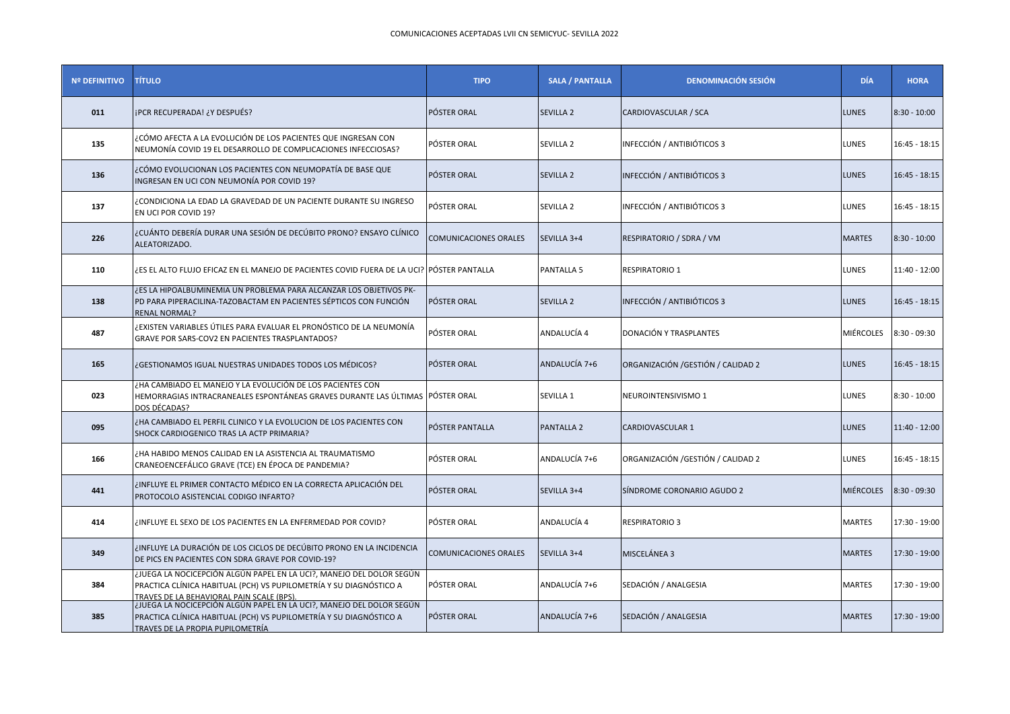| <b>Nº DEFINITIVO</b> | <b>TÍTULO</b>                                                                                                                                                                           | <b>TIPO</b>           | <b>SALA / PANTALLA</b> | <b>DENOMINACIÓN SESIÓN</b>         | DÍA              | <b>HORA</b>     |
|----------------------|-----------------------------------------------------------------------------------------------------------------------------------------------------------------------------------------|-----------------------|------------------------|------------------------------------|------------------|-----------------|
| 011                  | PCR RECUPERADA! ¿Y DESPUÉS?                                                                                                                                                             | PÓSTER ORAL           | <b>SEVILLA 2</b>       | CARDIOVASCULAR / SCA               | <b>LUNES</b>     | $8:30 - 10:00$  |
| 135                  | ¿CÓMO AFECTA A LA EVOLUCIÓN DE LOS PACIENTES QUE INGRESAN CON<br>NEUMONÍA COVID 19 EL DESARROLLO DE COMPLICACIONES INFECCIOSAS?                                                         | PÓSTER ORAL           | <b>SEVILLA 2</b>       | INFECCIÓN / ANTIBIÓTICOS 3         | <b>LUNES</b>     | $16:45 - 18:15$ |
| 136                  | ¿CÓMO EVOLUCIONAN LOS PACIENTES CON NEUMOPATÍA DE BASE QUE<br>INGRESAN EN UCI CON NEUMONÍA POR COVID 19?                                                                                | PÓSTER ORAL           | <b>SEVILLA 2</b>       | INFECCIÓN / ANTIBIÓTICOS 3         | <b>LUNES</b>     | $16:45 - 18:15$ |
| 137                  | ¿CONDICIONA LA EDAD LA GRAVEDAD DE UN PACIENTE DURANTE SU INGRESO<br>EN UCI POR COVID 19?                                                                                               | PÓSTER ORAL           | <b>SEVILLA 2</b>       | INFECCIÓN / ANTIBIÓTICOS 3         | <b>LUNES</b>     | 16:45 - 18:15   |
| 226                  | ¿CUÁNTO DEBERÍA DURAR UNA SESIÓN DE DECÚBITO PRONO? ENSAYO CLÍNICO<br>ALEATORIZADO.                                                                                                     | COMUNICACIONES ORALES | SEVILLA 3+4            | RESPIRATORIO / SDRA / VM           | <b>MARTES</b>    | $8:30 - 10:00$  |
| 110                  | ES EL ALTO FLUJO EFICAZ EN EL MANEJO DE PACIENTES COVID FUERA DE LA UCI? PÓSTER PANTALLA ¿                                                                                              |                       | <b>PANTALLA 5</b>      | RESPIRATORIO 1                     | <b>LUNES</b>     | 11:40 - 12:00   |
| 138                  | ¿ES LA HIPOALBUMINEMIA UN PROBLEMA PARA ALCANZAR LOS OBJETIVOS PK-<br>PD PARA PIPERACILINA-TAZOBACTAM EN PACIENTES SÉPTICOS CON FUNCIÓN<br><b>RENAL NORMAL?</b>                         | <b>POSTER ORAL</b>    | <b>SEVILLA 2</b>       | INFECCIÓN / ANTIBIÓTICOS 3         | <b>LUNES</b>     | $16:45 - 18:15$ |
| 487                  | ¿EXISTEN VARIABLES ÚTILES PARA EVALUAR EL PRONÓSTICO DE LA NEUMONÍA<br>GRAVE POR SARS-COV2 EN PACIENTES TRASPLANTADOS?                                                                  | PÓSTER ORAL           | ANDALUCÍA 4            | DONACIÓN Y TRASPLANTES             | <b>MIÉRCOLES</b> | $8:30 - 09:30$  |
| 165                  | ¿GESTIONAMOS IGUAL NUESTRAS UNIDADES TODOS LOS MÉDICOS?                                                                                                                                 | PÓSTER ORAL           | ANDALUCÍA 7+6          | ORGANIZACIÓN / GESTIÓN / CALIDAD 2 | <b>LUNES</b>     | $16:45 - 18:15$ |
| 023                  | ¿HA CAMBIADO EL MANEJO Y LA EVOLUCIÓN DE LOS PACIENTES CON<br>HEMORRAGIAS INTRACRANEALES ESPONTÁNEAS GRAVES DURANTE LAS ÚLTIMAS PPÓSTER ORAL<br>DOS DÉCADAS?                            |                       | SEVILLA 1              | NEUROINTENSIVISMO 1                | LUNES            | $8:30 - 10:00$  |
| 095                  | ¿HA CAMBIADO EL PERFIL CLINICO Y LA EVOLUCION DE LOS PACIENTES CON<br>SHOCK CARDIOGENICO TRAS LA ACTP PRIMARIA?                                                                         | PÓSTER PANTALLA       | <b>PANTALLA 2</b>      | <b>CARDIOVASCULAR 1</b>            | <b>LUNES</b>     | $11:40 - 12:00$ |
| 166                  | IHA HABIDO MENOS CALIDAD EN LA ASISTENCIA AL TRAUMATISMO<br>CRANEOENCEFÁLICO GRAVE (TCE) EN ÉPOCA DE PANDEMIA?                                                                          | PÓSTER ORAL           | ANDALUCÍA 7+6          | ORGANIZACIÓN / GESTIÓN / CALIDAD 2 | <b>LUNES</b>     | 16:45 - 18:15   |
| 441                  | INFLUYE EL PRIMER CONTACTO MÉDICO EN LA CORRECTA APLICACIÓN DEL<br>PROTOCOLO ASISTENCIAL CODIGO INFARTO?                                                                                | PÓSTER ORAL           | SEVILLA 3+4            | SÍNDROME CORONARIO AGUDO 2         | <b>MIÉRCOLES</b> | $8:30 - 09:30$  |
| 414                  | INFLUYE EL SEXO DE LOS PACIENTES EN LA ENFERMEDAD POR COVID?                                                                                                                            | PÓSTER ORAL           | ANDALUCÍA 4            | <b>RESPIRATORIO 3</b>              | <b>MARTES</b>    | 17:30 - 19:00   |
| 349                  | INFLUYE LA DURACIÓN DE LOS CICLOS DE DECÚBITO PRONO EN LA INCIDENCIA<br>DE PICS EN PACIENTES CON SDRA GRAVE POR COVID-19?                                                               | COMUNICACIONES ORALES | SEVILLA 3+4            | MISCELÁNEA 3                       | <b>MARTES</b>    | 17:30 - 19:00   |
| 384                  | ¿JUEGA LA NOCICEPCIÓN ALGÚN PAPEL EN LA UCI?, MANEJO DEL DOLOR SEGÚN<br>PRACTICA CLÍNICA HABITUAL (PCH) VS PUPILOMETRÍA Y SU DIAGNÓSTICO A<br>TRAVES DE LA BEHAVIORAL PAIN SCALE (BPS)  | PÓSTER ORAL           | ANDALUCÍA 7+6          | SEDACIÓN / ANALGESIA               | <b>MARTES</b>    | 17:30 - 19:00   |
| 385                  | UEGA LA NOCICEPCIÓN ALGÚN PAPEL EN LA UCI?, MANEJO DEL DOLOR SEGÚN: ¿<br>PRACTICA CLÍNICA HABITUAL (PCH) VS PUPILOMETRÍA Y SU DIAGNÓSTICO A<br><u>TRAVES DE LA PROPIA PUPILOMETRÍA.</u> | PÓSTER ORAL           | ANDALUCÍA 7+6          | SEDACIÓN / ANALGESIA               | <b>MARTES</b>    | 17:30 - 19:00   |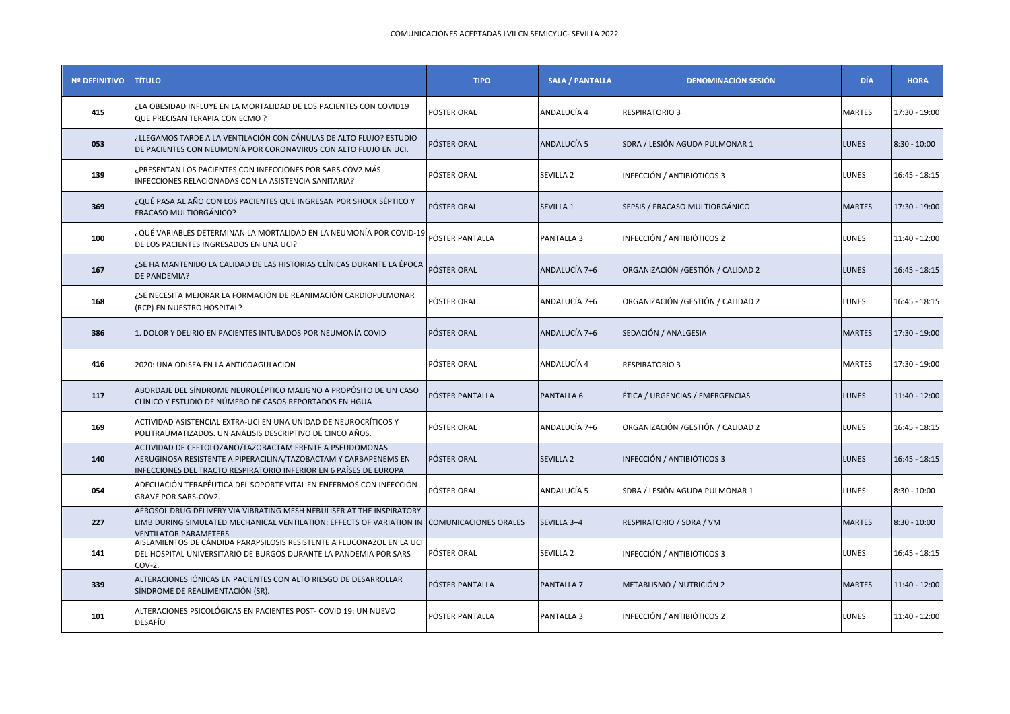| <b>Nº DEFINITIVO</b> | <b>TÍTULO</b>                                                                                                                                                                                      | <b>TIPO</b>                  | <b>SALA / PANTALLA</b> | <b>DENOMINACIÓN SESIÓN</b>         | <b>DÍA</b>    | <b>HORA</b>     |
|----------------------|----------------------------------------------------------------------------------------------------------------------------------------------------------------------------------------------------|------------------------------|------------------------|------------------------------------|---------------|-----------------|
| 415                  | ¿LA OBESIDAD INFLUYE EN LA MORTALIDAD DE LOS PACIENTES CON COVID19<br>QUE PRECISAN TERAPIA CON ECMO ?                                                                                              | PÓSTER ORAL                  | ANDALUCÍA 4            | <b>RESPIRATORIO 3</b>              | <b>MARTES</b> | 17:30 - 19:00   |
| 053                  | ¿LLEGAMOS TARDE A LA VENTILACIÓN CON CÁNULAS DE ALTO FLUJO? ESTUDIO<br>DE PACIENTES CON NEUMONÍA POR CORONAVIRUS CON ALTO FLUJO EN UCI.                                                            | PÓSTER ORAL                  | <b>ANDALUCÍA 5</b>     | SDRA / LESIÓN AGUDA PULMONAR 1     | <b>LUNES</b>  | $8:30 - 10:00$  |
| 139                  | PRESENTAN LOS PACIENTES CON INFECCIONES POR SARS-COV2 MÁS<br>INFECCIONES RELACIONADAS CON LA ASISTENCIA SANITARIA?                                                                                 | PÓSTER ORAL                  | SEVILLA <sub>2</sub>   | INFECCIÓN / ANTIBIÓTICOS 3         | <b>LUNES</b>  | $16:45 - 18:15$ |
| 369                  | ¿QUÉ PASA AL AÑO CON LOS PACIENTES QUE INGRESAN POR SHOCK SÉPTICO Y<br>FRACASO MULTIORGÁNICO?                                                                                                      | PÓSTER ORAL                  | <b>SEVILLA 1</b>       | SEPSIS / FRACASO MULTIORGÁNICO     | <b>MARTES</b> | 17:30 - 19:00   |
| 100                  | ¿QUÉ VARIABLES DETERMINAN LA MORTALIDAD EN LA NEUMONÍA POR COVID-19<br>DE LOS PACIENTES INGRESADOS EN UNA UCI?                                                                                     | PÓSTER PANTALLA              | <b>PANTALLA 3</b>      | INFECCIÓN / ANTIBIÓTICOS 2         | <b>LUNES</b>  | 11:40 - 12:00   |
| 167                  | ¿SE HA MANTENIDO LA CALIDAD DE LAS HISTORIAS CLÍNICAS DURANTE LA ÉPOCA<br>DE PANDEMIA?                                                                                                             | PÓSTER ORAL                  | ANDALUCÍA 7+6          | ORGANIZACIÓN / GESTIÓN / CALIDAD 2 | <b>LUNES</b>  | $16:45 - 18:15$ |
| 168                  | ¿SE NECESITA MEJORAR LA FORMACIÓN DE REANIMACIÓN CARDIOPULMONAR<br>(RCP) EN NUESTRO HOSPITAL?                                                                                                      | PÓSTER ORAL                  | ANDALUCÍA 7+6          | ORGANIZACIÓN / GESTIÓN / CALIDAD 2 | <b>LUNES</b>  | 16:45 - 18:15   |
| 386                  | 1. DOLOR Y DELIRIO EN PACIENTES INTUBADOS POR NEUMONÍA COVID                                                                                                                                       | PÓSTER ORAL                  | ANDALUCÍA 7+6          | SEDACIÓN / ANALGESIA               | <b>MARTES</b> | 17:30 - 19:00   |
| 416                  | 2020: UNA ODISEA EN LA ANTICOAGULACION                                                                                                                                                             | PÓSTER ORAL                  | ANDALUCÍA 4            | <b>RESPIRATORIO 3</b>              | <b>MARTES</b> | 17:30 - 19:00   |
| 117                  | ABORDAJE DEL SÍNDROME NEUROLÉPTICO MALIGNO A PROPÓSITO DE UN CASO<br>CLÍNICO Y ESTUDIO DE NÚMERO DE CASOS REPORTADOS EN HGUA                                                                       | PÓSTER PANTALLA              | <b>PANTALLA 6</b>      | ÉTICA / URGENCIAS / EMERGENCIAS    | <b>LUNES</b>  | 11:40 - 12:00   |
| 169                  | ACTIVIDAD ASISTENCIAL EXTRA-UCI EN UNA UNIDAD DE NEUROCRÍTICOS Y<br>POLITRAUMATIZADOS. UN ANÁLISIS DESCRIPTIVO DE CINCO AÑOS.                                                                      | PÓSTER ORAL                  | ANDALUCÍA 7+6          | ORGANIZACIÓN / GESTIÓN / CALIDAD 2 | <b>LUNES</b>  | $16:45 - 18:15$ |
| 140                  | ACTIVIDAD DE CEFTOLOZANO/TAZOBACTAM FRENTE A PSEUDOMONAS<br>AERUGINOSA RESISTENTE A PIPERACILINA/TAZOBACTAM Y CARBAPENEMS EN<br>INFECCIONES DEL TRACTO RESPIRATORIO INFERIOR EN 6 PAÍSES DE EUROPA | PÓSTER ORAL                  | <b>SEVILLA 2</b>       | INFECCIÓN / ANTIBIÓTICOS 3         | <b>LUNES</b>  | $16:45 - 18:15$ |
| 054                  | ADECUACIÓN TERAPÉUTICA DEL SOPORTE VITAL EN ENFERMOS CON INFECCIÓN<br>GRAVE POR SARS-COV2.                                                                                                         | PÓSTER ORAL                  | ANDALUCÍA 5            | SDRA / LESIÓN AGUDA PULMONAR 1     | <b>LUNES</b>  | $8:30 - 10:00$  |
| 227                  | AEROSOL DRUG DELIVERY VIA VIBRATING MESH NEBULISER AT THE INSPIRATORY<br>LIMB DURING SIMULATED MECHANICAL VENTILATION: EFFECTS OF VARIATION IN<br><b>VENTILATOR PARAMETERS</b>                     | <b>COMUNICACIONES ORALES</b> | SEVILLA 3+4            | RESPIRATORIO / SDRA / VM           | <b>MARTES</b> | $8:30 - 10:00$  |
| 141                  | AISLAMIENTOS DE CÁNDIDA PARAPSILOSIS RESISTENTE A FLUCONAZOL EN LA UCI<br>DEL HOSPITAL UNIVERSITARIO DE BURGOS DURANTE LA PANDEMIA POR SARS<br>$COV-2.$                                            | PÓSTER ORAL                  | SEVILLA <sub>2</sub>   | INFECCIÓN / ANTIBIÓTICOS 3         | <b>LUNES</b>  | $16:45 - 18:15$ |
| 339                  | ALTERACIONES IÓNICAS EN PACIENTES CON ALTO RIESGO DE DESARROLLAR<br>SÍNDROME DE REALIMENTACIÓN (SR).                                                                                               | PÓSTER PANTALLA              | <b>PANTALLA 7</b>      | METABLISMO / NUTRICIÓN 2           | <b>MARTES</b> | 11:40 - 12:00   |
| 101                  | ALTERACIONES PSICOLÓGICAS EN PACIENTES POST- COVID 19: UN NUEVO<br><b>DESAFÍO</b>                                                                                                                  | PÓSTER PANTALLA              | PANTALLA 3             | INFECCIÓN / ANTIBIÓTICOS 2         | <b>LUNES</b>  | 11:40 - 12:00   |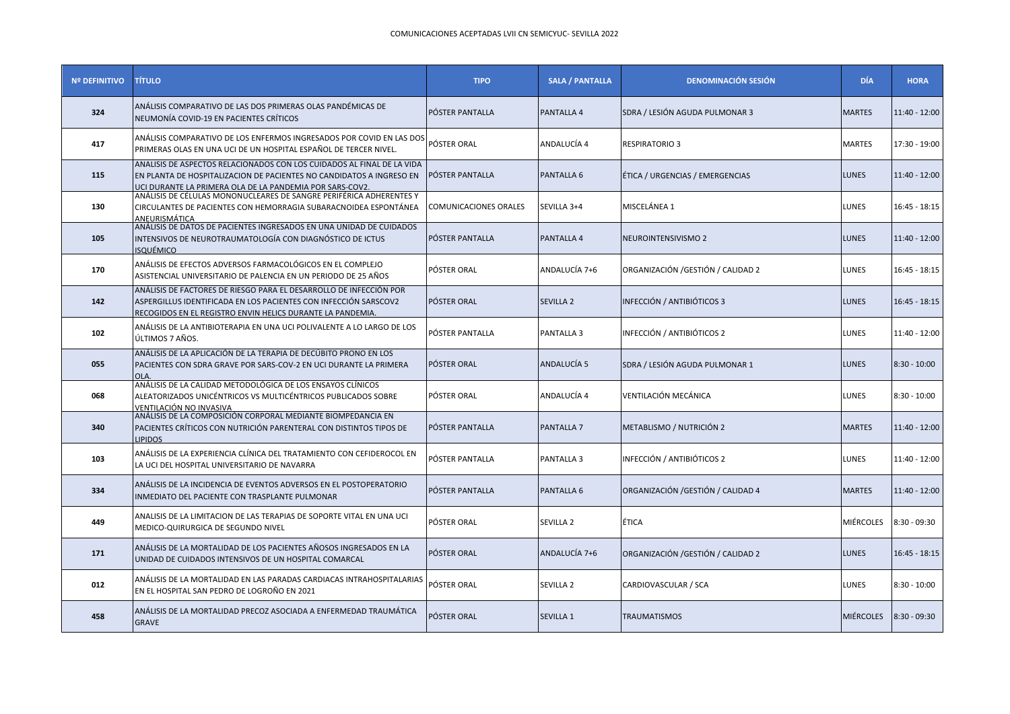| <b>Nº DEFINITIVO</b> | <b>TÍTULO</b>                                                                                                                                                                                             | <b>TIPO</b>           | <b>SALA / PANTALLA</b> | <b>DENOMINACIÓN SESIÓN</b>        | <b>DÍA</b>       | <b>HORA</b>     |
|----------------------|-----------------------------------------------------------------------------------------------------------------------------------------------------------------------------------------------------------|-----------------------|------------------------|-----------------------------------|------------------|-----------------|
| 324                  | ANÁLISIS COMPARATIVO DE LAS DOS PRIMERAS OLAS PANDÉMICAS DE<br>NEUMONÍA COVID-19 EN PACIENTES CRÍTICOS                                                                                                    | PÓSTER PANTALLA       | <b>PANTALLA4</b>       | SDRA / LESIÓN AGUDA PULMONAR 3    | <b>MARTES</b>    | 11:40 - 12:00   |
| 417                  | ANÁLISIS COMPARATIVO DE LOS ENFERMOS INGRESADOS POR COVID EN LAS DOS<br>PRIMERAS OLAS EN UNA UCI DE UN HOSPITAL ESPAÑOL DE TERCER NIVEL.                                                                  | PÓSTER ORAL           | ANDALUCÍA 4            | <b>RESPIRATORIO 3</b>             | <b>MARTES</b>    | 17:30 - 19:00   |
| 115                  | ANALISIS DE ASPECTOS RELACIONADOS CON LOS CUIDADOS AL FINAL DE LA VIDA<br>EN PLANTA DE HOSPITALIZACION DE PACIENTES NO CANDIDATOS A INGRESO EN<br>UCI DURANTE LA PRIMERA OLA DE LA PANDEMIA POR SARS-COV2 | PÓSTER PANTALLA       | <b>PANTALLA 6</b>      | ÉTICA / URGENCIAS / EMERGENCIAS   | <b>LUNES</b>     | $11:40 - 12:00$ |
| 130                  | ANÁLISIS DE CÉLULAS MONONUCLEARES DE SANGRE PERIFÉRICA ADHERENTES Y<br>CIRCULANTES DE PACIENTES CON HEMORRAGIA SUBARACNOIDEA ESPONTÁNEA<br>ANEURISMÁTICA                                                  | COMUNICACIONES ORALES | SEVILLA 3+4            | MISCELÁNEA 1                      | <b>LUNES</b>     | 16:45 - 18:15   |
| 105                  | ANÁLISIS DE DATOS DE PACIENTES INGRESADOS EN UNA UNIDAD DE CUIDADOS<br>INTENSIVOS DE NEUROTRAUMATOLOGÍA CON DIAGNÓSTICO DE ICTUS<br><b>ISQUÉMICO</b>                                                      | PÓSTER PANTALLA       | <b>PANTALLA4</b>       | <b>NEUROINTENSIVISMO 2</b>        | <b>LUNES</b>     | $11:40 - 12:00$ |
| 170                  | ANÁLISIS DE EFECTOS ADVERSOS FARMACOLÓGICOS EN EL COMPLEJO<br>ASISTENCIAL UNIVERSITARIO DE PALENCIA EN UN PERIODO DE 25 AÑOS                                                                              | PÓSTER ORAL           | ANDALUCÍA 7+6          | ORGANIZACIÓN /GESTIÓN / CALIDAD 2 | <b>LUNES</b>     | 16:45 - 18:15   |
| 142                  | ANÁLISIS DE FACTORES DE RIESGO PARA EL DESARROLLO DE INFECCIÓN POR<br>ASPERGILLUS IDENTIFICADA EN LOS PACIENTES CON INFECCIÓN SARSCOV2<br>RECOGIDOS EN EL REGISTRO ENVIN HELICS DURANTE LA PANDEMIA       | PÓSTER ORAL           | <b>SEVILLA 2</b>       | INFECCIÓN / ANTIBIÓTICOS 3        | <b>LUNES</b>     | $16:45 - 18:15$ |
| 102                  | ANÁLISIS DE LA ANTIBIOTERAPIA EN UNA UCI POLIVALENTE A LO LARGO DE LOS<br>ÚLTIMOS 7 AÑOS.                                                                                                                 | PÓSTER PANTALLA       | <b>PANTALLA 3</b>      | INFECCIÓN / ANTIBIÓTICOS 2        | <b>LUNES</b>     | 11:40 - 12:00   |
| 055                  | ANÁLISIS DE LA APLICACIÓN DE LA TERAPIA DE DECÚBITO PRONO EN LOS<br>PACIENTES CON SDRA GRAVE POR SARS-COV-2 EN UCI DURANTE LA PRIMERA<br>OLA                                                              | PÓSTER ORAL           | <b>ANDALUCÍA 5</b>     | SDRA / LESIÓN AGUDA PULMONAR 1    | <b>LUNES</b>     | $8:30 - 10:00$  |
| 068                  | ANÁLISIS DE LA CALIDAD METODOLÓGICA DE LOS ENSAYOS CLÍNICOS<br>ALEATORIZADOS UNICÉNTRICOS VS MULTICÉNTRICOS PUBLICADOS SOBRE<br>VENTILACIÓN NO INVASIVA                                                   | PÓSTER ORAL           | ANDALUCÍA 4            | VENTILACIÓN MECÁNICA              | <b>LUNES</b>     | $8:30 - 10:00$  |
| 340                  | ANÁLISIS DE LA COMPOSICIÓN CORPORAL MEDIANTE BIOMPEDANCIA EN<br>PACIENTES CRÍTICOS CON NUTRICIÓN PARENTERAL CON DISTINTOS TIPOS DE<br><b>LIPIDOS</b>                                                      | PÓSTER PANTALLA       | <b>PANTALLA 7</b>      | METABLISMO / NUTRICIÓN 2          | <b>MARTES</b>    | 11:40 - 12:00   |
| 103                  | ANÁLISIS DE LA EXPERIENCIA CLÍNICA DEL TRATAMIENTO CON CEFIDEROCOL EN<br>LA UCI DEL HOSPITAL UNIVERSITARIO DE NAVARRA                                                                                     | PÓSTER PANTALLA       | <b>PANTALLA 3</b>      | INFECCIÓN / ANTIBIÓTICOS 2        | <b>LUNES</b>     | 11:40 - 12:00   |
| 334                  | ANÁLISIS DE LA INCIDENCIA DE EVENTOS ADVERSOS EN EL POSTOPERATORIO<br>INMEDIATO DEL PACIENTE CON TRASPLANTE PULMONAR                                                                                      | PÓSTER PANTALLA       | <b>PANTALLA 6</b>      | ORGANIZACIÓN /GESTIÓN / CALIDAD 4 | <b>MARTES</b>    | 11:40 - 12:00   |
| 449                  | ANALISIS DE LA LIMITACION DE LAS TERAPIAS DE SOPORTE VITAL EN UNA UCI<br>MEDICO-QUIRURGICA DE SEGUNDO NIVEL                                                                                               | PÓSTER ORAL           | <b>SEVILLA 2</b>       | ÉTICA                             | <b>MIÉRCOLES</b> | $8:30 - 09:30$  |
| 171                  | ANÁLISIS DE LA MORTALIDAD DE LOS PACIENTES AÑOSOS INGRESADOS EN LA<br>UNIDAD DE CUIDADOS INTENSIVOS DE UN HOSPITAL COMARCAL                                                                               | PÓSTER ORAL           | ANDALUCÍA 7+6          | ORGANIZACIÓN /GESTIÓN / CALIDAD 2 | <b>LUNES</b>     | 16:45 - 18:15   |
| 012                  | ANÁLISIS DE LA MORTALIDAD EN LAS PARADAS CARDIACAS INTRAHOSPITALARIAS<br>EN EL HOSPITAL SAN PEDRO DE LOGROÑO EN 2021                                                                                      | PÓSTER ORAL           | <b>SEVILLA 2</b>       | CARDIOVASCULAR / SCA              | <b>LUNES</b>     | $8:30 - 10:00$  |
| 458                  | ANÁLISIS DE LA MORTALIDAD PRECOZ ASOCIADA A ENFERMEDAD TRAUMÁTICA<br><b>GRAVE</b>                                                                                                                         | PÓSTER ORAL           | <b>SEVILLA 1</b>       | <b>TRAUMATISMOS</b>               | <b>MIÉRCOLES</b> | 8:30 - 09:30    |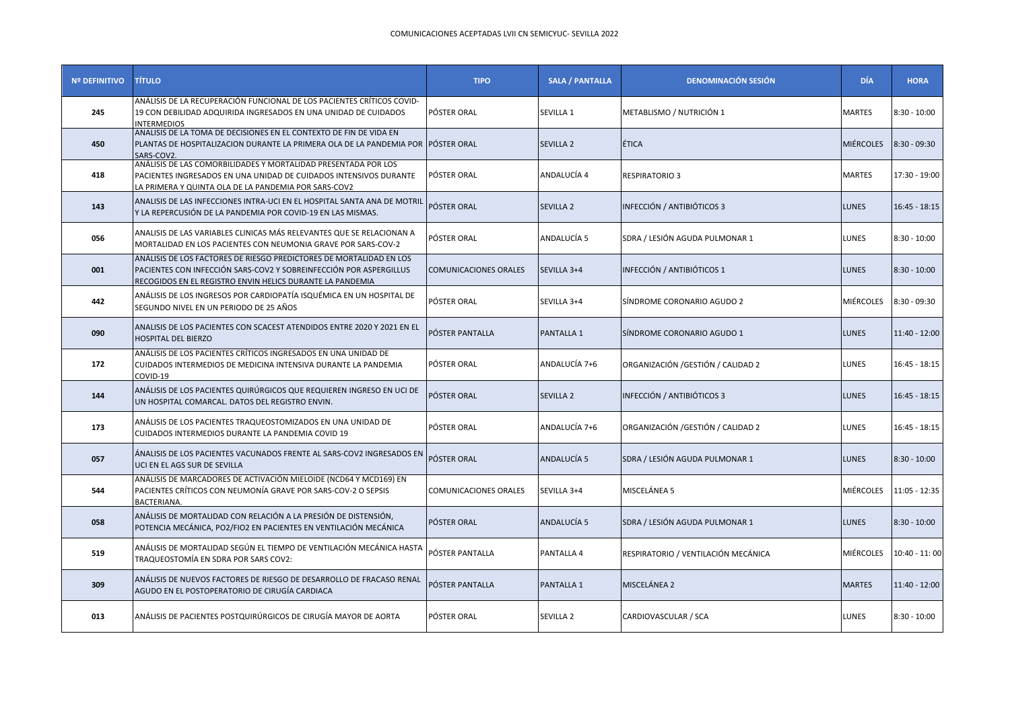| <b>Nº DEFINITIVO</b> | <b>TÍTULO</b>                                                                                                                                                                                          | <b>TIPO</b>                  | <b>SALA / PANTALLA</b> | <b>DENOMINACIÓN SESIÓN</b>          | <b>DÍA</b>       | <b>HORA</b>     |
|----------------------|--------------------------------------------------------------------------------------------------------------------------------------------------------------------------------------------------------|------------------------------|------------------------|-------------------------------------|------------------|-----------------|
| 245                  | ANÁLISIS DE LA RECUPERACIÓN FUNCIONAL DE LOS PACIENTES CRÍTICOS COVID-<br>19 CON DEBILIDAD ADQUIRIDA INGRESADOS EN UNA UNIDAD DE CUIDADOS<br><b>INTERMEDIOS</b>                                        | PÓSTER ORAL                  | SEVILLA 1              | METABLISMO / NUTRICIÓN 1            | <b>MARTES</b>    | $8:30 - 10:00$  |
| 450                  | ANALISIS DE LA TOMA DE DECISIONES EN EL CONTEXTO DE FIN DE VIDA EN<br>PLANTAS DE HOSPITALIZACION DURANTE LA PRIMERA OLA DE LA PANDEMIA POR PÓSTER ORAL<br>SARS-COV2                                    |                              | <b>SEVILLA 2</b>       | <b>ÉTICA</b>                        | <b>MIÉRCOLES</b> | $8:30 - 09:30$  |
| 418                  | ANÁLISIS DE LAS COMORBILIDADES Y MORTALIDAD PRESENTADA POR LOS<br>PACIENTES INGRESADOS EN UNA UNIDAD DE CUIDADOS INTENSIVOS DURANTE<br>LA PRIMERA Y QUINTA OLA DE LA PANDEMIA POR SARS-COV2            | PÓSTER ORAL                  | ANDALUCÍA 4            | <b>RESPIRATORIO 3</b>               | <b>MARTES</b>    | 17:30 - 19:00   |
| 143                  | ANALISIS DE LAS INFECCIONES INTRA-UCI EN EL HOSPITAL SANTA ANA DE MOTRIL<br>Y LA REPERCUSIÓN DE LA PANDEMIA POR COVID-19 EN LAS MISMAS.                                                                | PÓSTER ORAL                  | <b>SEVILLA 2</b>       | <b>INFECCIÓN / ANTIBIÓTICOS 3</b>   | <b>LUNES</b>     | 16:45 - 18:15   |
| 056                  | ANALISIS DE LAS VARIABLES CLINICAS MÁS RELEVANTES QUE SE RELACIONAN A<br>MORTALIDAD EN LOS PACIENTES CON NEUMONIA GRAVE POR SARS-COV-2                                                                 | PÓSTER ORAL                  | ANDALUCÍA 5            | SDRA / LESIÓN AGUDA PULMONAR 1      | <b>LUNES</b>     | $8:30 - 10:00$  |
| 001                  | ANÁLISIS DE LOS FACTORES DE RIESGO PREDICTORES DE MORTALIDAD EN LOS<br>PACIENTES CON INFECCIÓN SARS-COV2 Y SOBREINFECCIÓN POR ASPERGILLUS<br>RECOGIDOS EN EL REGISTRO ENVIN HELICS DURANTE LA PANDEMIA | <b>COMUNICACIONES ORALES</b> | SEVILLA 3+4            | INFECCIÓN / ANTIBIÓTICOS 1          | <b>LUNES</b>     | $8:30 - 10:00$  |
| 442                  | ANÁLISIS DE LOS INGRESOS POR CARDIOPATÍA ISQUÉMICA EN UN HOSPITAL DE<br>SEGUNDO NIVEL EN UN PERIODO DE 25 AÑOS                                                                                         | PÓSTER ORAL                  | SEVILLA 3+4            | SÍNDROME CORONARIO AGUDO 2          | <b>MIÉRCOLES</b> | $8:30 - 09:30$  |
| 090                  | ANALISIS DE LOS PACIENTES CON SCACEST ATENDIDOS ENTRE 2020 Y 2021 EN EL<br><b>HOSPITAL DEL BIERZO</b>                                                                                                  | PÓSTER PANTALLA              | <b>PANTALLA 1</b>      | SÍNDROME CORONARIO AGUDO 1          | <b>LUNES</b>     | 11:40 - 12:00   |
| 172                  | ANÁLISIS DE LOS PACIENTES CRÍTICOS INGRESADOS EN UNA UNIDAD DE<br>CUIDADOS INTERMEDIOS DE MEDICINA INTENSIVA DURANTE LA PANDEMIA<br>COVID-19                                                           | PÓSTER ORAL                  | ANDALUCÍA 7+6          | ORGANIZACIÓN / GESTIÓN / CALIDAD 2  | <b>LUNES</b>     | 16:45 - 18:15   |
| 144                  | ANÁLISIS DE LOS PACIENTES QUIRÚRGICOS QUE REQUIEREN INGRESO EN UCI DE<br>UN HOSPITAL COMARCAL. DATOS DEL REGISTRO ENVIN.                                                                               | PÓSTER ORAL                  | <b>SEVILLA 2</b>       | INFECCIÓN / ANTIBIÓTICOS 3          | <b>LUNES</b>     | $16:45 - 18:15$ |
| 173                  | ANÁLISIS DE LOS PACIENTES TRAQUEOSTOMIZADOS EN UNA UNIDAD DE<br>CUIDADOS INTERMEDIOS DURANTE LA PANDEMIA COVID 19                                                                                      | PÓSTER ORAL                  | ANDALUCÍA 7+6          | ORGANIZACIÓN / GESTIÓN / CALIDAD 2  | <b>LUNES</b>     | $16:45 - 18:15$ |
| 057                  | ÁNALISIS DE LOS PACIENTES VACUNADOS FRENTE AL SARS-COV2 INGRESADOS EN<br>UCI EN EL AGS SUR DE SEVILLA                                                                                                  | PÓSTER ORAL                  | <b>ANDALUCÍA 5</b>     | SDRA / LESIÓN AGUDA PULMONAR 1      | <b>LUNES</b>     | $8:30 - 10:00$  |
| 544                  | ANÁLISIS DE MARCADORES DE ACTIVACIÓN MIELOIDE (NCD64 Y MCD169) EN<br>PACIENTES CRÍTICOS CON NEUMONÍA GRAVE POR SARS-COV-2 O SEPSIS<br>BACTERIANA.                                                      | COMUNICACIONES ORALES        | SEVILLA 3+4            | MISCELÁNEA 5                        | <b>MIÉRCOLES</b> | $11:05 - 12:35$ |
| 058                  | ANÁLISIS DE MORTALIDAD CON RELACIÓN A LA PRESIÓN DE DISTENSIÓN,<br>POTENCIA MECÁNICA, PO2/FIO2 EN PACIENTES EN VENTILACIÓN MECÁNICA                                                                    | PÓSTER ORAL                  | <b>ANDALUCÍA 5</b>     | SDRA / LESIÓN AGUDA PULMONAR 1      | <b>LUNES</b>     | $8:30 - 10:00$  |
| 519                  | ANÁLISIS DE MORTALIDAD SEGÚN EL TIEMPO DE VENTILACIÓN MECÁNICA HASTA<br>TRAQUEOSTOMÍA EN SDRA POR SARS COV2:                                                                                           | PÓSTER PANTALLA              | PANTALLA 4             | RESPIRATORIO / VENTILACIÓN MECÁNICA | <b>MIÉRCOLES</b> | $10:40 - 11:00$ |
| 309                  | ANÁLISIS DE NUEVOS FACTORES DE RIESGO DE DESARROLLO DE FRACASO RENAL<br>AGUDO EN EL POSTOPERATORIO DE CIRUGÍA CARDIACA                                                                                 | PÓSTER PANTALLA              | <b>PANTALLA 1</b>      | MISCELÁNEA 2                        | <b>MARTES</b>    | 11:40 - 12:00   |
| 013                  | ANÁLISIS DE PACIENTES POSTQUIRÚRGICOS DE CIRUGÍA MAYOR DE AORTA                                                                                                                                        | PÓSTER ORAL                  | SEVILLA <sub>2</sub>   | CARDIOVASCULAR / SCA                | <b>LUNES</b>     | $8:30 - 10:00$  |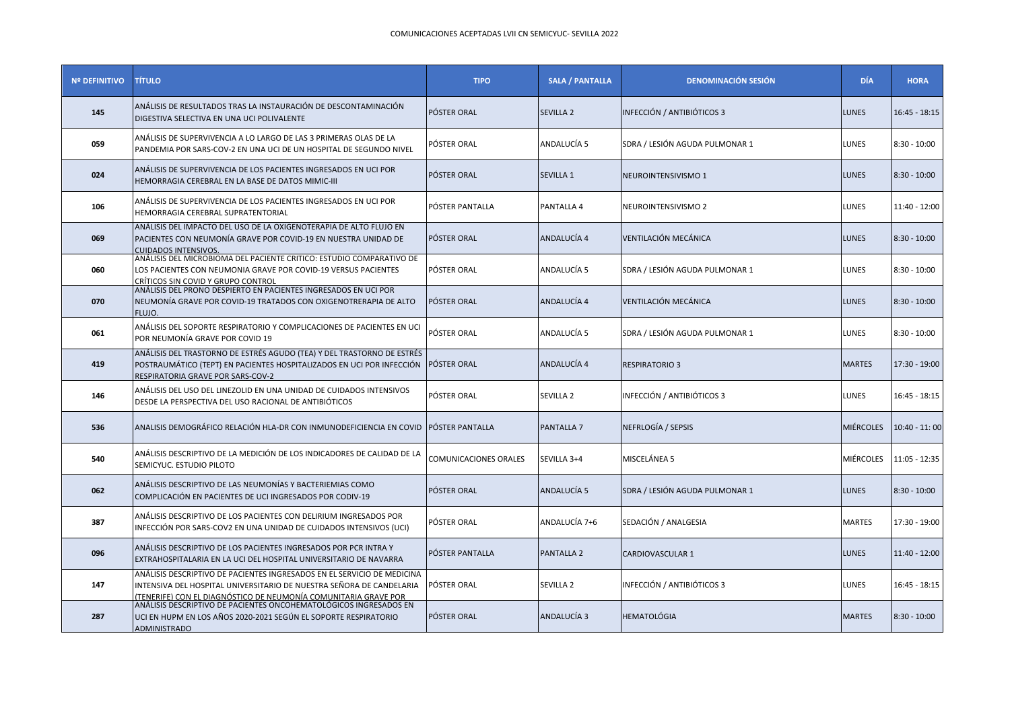| <b>Nº DEFINITIVO</b> | <b>TÍTULO</b>                                                                                                                                                                                                     | <b>TIPO</b>           | <b>SALA / PANTALLA</b> | <b>DENOMINACIÓN SESIÓN</b>     | <b>DÍA</b>       | <b>HORA</b>     |
|----------------------|-------------------------------------------------------------------------------------------------------------------------------------------------------------------------------------------------------------------|-----------------------|------------------------|--------------------------------|------------------|-----------------|
| 145                  | ANÁLISIS DE RESULTADOS TRAS LA INSTAURACIÓN DE DESCONTAMINACIÓN<br>DIGESTIVA SELECTIVA EN UNA UCI POLIVALENTE                                                                                                     | PÓSTER ORAL           | <b>SEVILLA 2</b>       | INFECCIÓN / ANTIBIÓTICOS 3     | <b>LUNES</b>     | 16:45 - 18:15   |
| 059                  | ANÁLISIS DE SUPERVIVENCIA A LO LARGO DE LAS 3 PRIMERAS OLAS DE LA<br>PANDEMIA POR SARS-COV-2 EN UNA UCI DE UN HOSPITAL DE SEGUNDO NIVEL                                                                           | PÓSTER ORAL           | ANDALUCÍA 5            | SDRA / LESIÓN AGUDA PULMONAR 1 | <b>LUNES</b>     | $8:30 - 10:00$  |
| 024                  | ANÁLISIS DE SUPERVIVENCIA DE LOS PACIENTES INGRESADOS EN UCI POR<br>HEMORRAGIA CEREBRAL EN LA BASE DE DATOS MIMIC-III                                                                                             | PÓSTER ORAL           | <b>SEVILLA 1</b>       | NEUROINTENSIVISMO 1            | <b>LUNES</b>     | $8:30 - 10:00$  |
| 106                  | ANÁLISIS DE SUPERVIVENCIA DE LOS PACIENTES INGRESADOS EN UCI POR<br>HEMORRAGIA CEREBRAL SUPRATENTORIAL                                                                                                            | PÓSTER PANTALLA       | PANTALLA 4             | NEUROINTENSIVISMO 2            | <b>LUNES</b>     | 11:40 - 12:00   |
| 069                  | ANÁLISIS DEL IMPACTO DEL USO DE LA OXIGENOTERAPIA DE ALTO FLUJO EN<br>PACIENTES CON NEUMONÍA GRAVE POR COVID-19 EN NUESTRA UNIDAD DE<br><b>CUIDADOS INTENSIVOS.</b>                                               | PÓSTER ORAL           | ANDALUCÍA 4            | <b>VENTILACIÓN MECÁNICA</b>    | <b>LUNES</b>     | $8:30 - 10:00$  |
| 060                  | ANÁLISIS DEL MICROBIOMA DEL PACIENTE CRITICO: ESTUDIO COMPARATIVO DE<br>LOS PACIENTES CON NEUMONIA GRAVE POR COVID-19 VERSUS PACIENTES<br>CRÍTICOS SIN COVID Y GRUPO CONTROL                                      | PÓSTER ORAL           | ANDALUCÍA 5            | SDRA / LESIÓN AGUDA PULMONAR 1 | <b>LUNES</b>     | $8:30 - 10:00$  |
| 070                  | ANÁLISIS DEL PRONO DESPIERTO EN PACIENTES INGRESADOS EN UCI POR<br>NEUMONÍA GRAVE POR COVID-19 TRATADOS CON OXIGENOTRERAPIA DE ALTO<br>FLUJO.                                                                     | PÓSTER ORAL           | ANDALUCÍA 4            | VENTILACIÓN MECÁNICA           | <b>LUNES</b>     | $8:30 - 10:00$  |
| 061                  | ANÁLISIS DEL SOPORTE RESPIRATORIO Y COMPLICACIONES DE PACIENTES EN UCI<br>POR NEUMONÍA GRAVE POR COVID 19                                                                                                         | PÓSTER ORAL           | ANDALUCÍA 5            | SDRA / LESIÓN AGUDA PULMONAR 1 | <b>LUNES</b>     | $8:30 - 10:00$  |
| 419                  | ANÁLISIS DEL TRASTORNO DE ESTRÉS AGUDO (TEA) Y DEL TRASTORNO DE ESTRÉS<br>POSTRAUMÁTICO (TEPT) EN PACIENTES HOSPITALIZADOS EN UCI POR INFECCIÓN<br>RESPIRATORIA GRAVE POR SARS-COV-2                              | PÓSTER ORAL           | ANDALUCÍA 4            | <b>RESPIRATORIO 3</b>          | <b>MARTES</b>    | 17:30 - 19:00   |
| 146                  | ANÁLISIS DEL USO DEL LINEZOLID EN UNA UNIDAD DE CUIDADOS INTENSIVOS<br>DESDE LA PERSPECTIVA DEL USO RACIONAL DE ANTIBIÓTICOS                                                                                      | PÓSTER ORAL           | <b>SEVILLA 2</b>       | INFECCIÓN / ANTIBIÓTICOS 3     | <b>LUNES</b>     | 16:45 - 18:15   |
| 536                  | ANALISIS DEMOGRÁFICO RELACIÓN HLA-DR CON INMUNODEFICIENCIA EN COVID                                                                                                                                               | PÓSTER PANTALLA       | <b>PANTALLA 7</b>      | NEFRLOGÍA / SEPSIS             | <b>MIÉRCOLES</b> | 10:40 - 11:00   |
| 540                  | ANÁLISIS DESCRIPTIVO DE LA MEDICIÓN DE LOS INDICADORES DE CALIDAD DE LA<br>SEMICYUC. ESTUDIO PILOTO                                                                                                               | COMUNICACIONES ORALES | SEVILLA 3+4            | MISCELÁNEA 5                   | <b>MIÉRCOLES</b> | 11:05 - 12:35   |
| 062                  | ANÁLISIS DESCRIPTIVO DE LAS NEUMONÍAS Y BACTERIEMIAS COMO<br>COMPLICACIÓN EN PACIENTES DE UCI INGRESADOS POR CODIV-19                                                                                             | PÓSTER ORAL           | <b>ANDALUCÍA 5</b>     | SDRA / LESIÓN AGUDA PULMONAR 1 | <b>LUNES</b>     | $8:30 - 10:00$  |
| 387                  | ANÁLISIS DESCRIPTIVO DE LOS PACIENTES CON DELIRIUM INGRESADOS POR<br>INFECCIÓN POR SARS-COV2 EN UNA UNIDAD DE CUIDADOS INTENSIVOS (UCI)                                                                           | PÓSTER ORAL           | ANDALUCÍA 7+6          | SEDACIÓN / ANALGESIA           | <b>MARTES</b>    | 17:30 - 19:00   |
| 096                  | ANÁLISIS DESCRIPTIVO DE LOS PACIENTES INGRESADOS POR PCR INTRA Y<br>EXTRAHOSPITALARIA EN LA UCI DEL HOSPITAL UNIVERSITARIO DE NAVARRA                                                                             | PÓSTER PANTALLA       | <b>PANTALLA 2</b>      | <b>CARDIOVASCULAR 1</b>        | <b>LUNES</b>     | 11:40 - 12:00   |
| 147                  | ANÁLISIS DESCRIPTIVO DE PACIENTES INGRESADOS EN EL SERVICIO DE MEDICINA<br>INTENSIVA DEL HOSPITAL UNIVERSITARIO DE NUESTRA SEÑORA DE CANDELARIA<br>TENERIFE) CON EL DIAGNÓSTICO DE NEUMONÍA COMUNITARIA GRAVE POR | PÓSTER ORAL           | SEVILLA <sub>2</sub>   | INFECCIÓN / ANTIBIÓTICOS 3     | <b>LUNES</b>     | $16:45 - 18:15$ |
| 287                  | ANÁLISIS DESCRIPTIVO DE PACIENTES ONCOHEMATOLÓGICOS INGRESADOS EN<br>UCI EN HUPM EN LOS AÑOS 2020-2021 SEGÚN EL SOPORTE RESPIRATORIO<br><b>ADMINISTRADO</b>                                                       | PÓSTER ORAL           | ANDALUCÍA 3            | HEMATOLÓGIA                    | <b>MARTES</b>    | $8:30 - 10:00$  |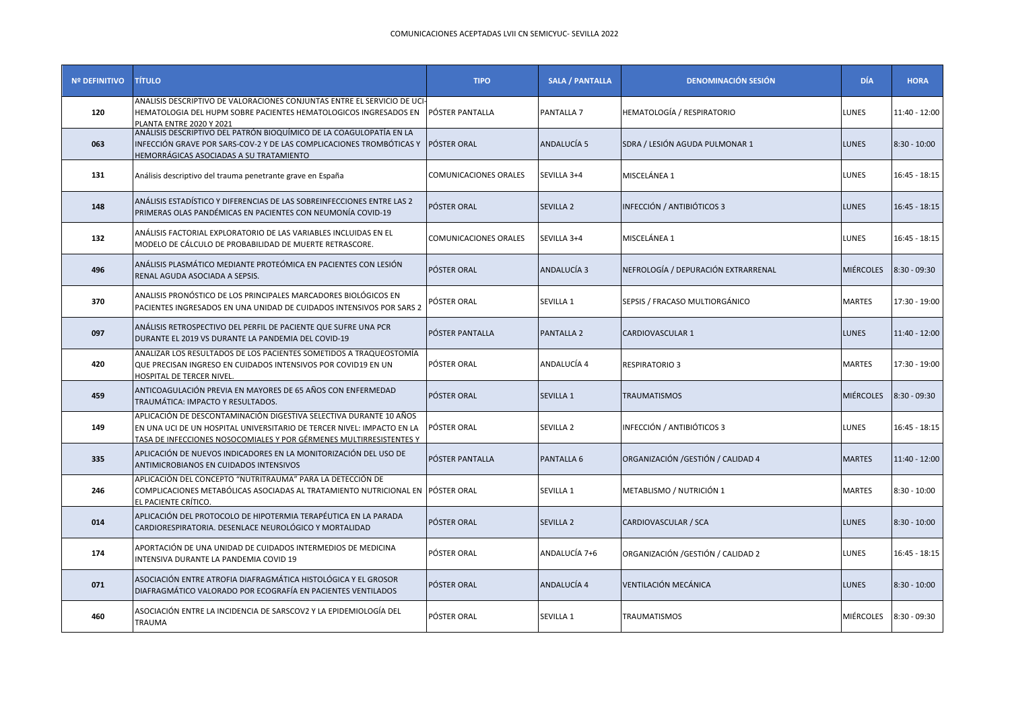| <b>Nº DEFINITIVO</b> | <b>TÍTULO</b>                                                                                                                                                                                                       | <b>TIPO</b>           | <b>SALA / PANTALLA</b> | <b>DENOMINACIÓN SESIÓN</b>          | <b>DÍA</b>       | <b>HORA</b>     |
|----------------------|---------------------------------------------------------------------------------------------------------------------------------------------------------------------------------------------------------------------|-----------------------|------------------------|-------------------------------------|------------------|-----------------|
| 120                  | ANALISIS DESCRIPTIVO DE VALORACIONES CONJUNTAS ENTRE EL SERVICIO DE UCI-<br>HEMATOLOGIA DEL HUPM SOBRE PACIENTES HEMATOLOGICOS INGRESADOS EN<br><b>PLANTA ENTRE 2020 Y 2021</b>                                     | PÓSTER PANTALLA       | PANTALLA 7             | HEMATOLOGÍA / RESPIRATORIO          | <b>LUNES</b>     | 11:40 - 12:00   |
| 063                  | ANÁLISIS DESCRIPTIVO DEL PATRÓN BIOQUÍMICO DE LA COAGULOPATÍA EN LA<br>INFECCIÓN GRAVE POR SARS-COV-2 Y DE LAS COMPLICACIONES TROMBÓTICAS Y<br>HEMORRÁGICAS ASOCIADAS A SU TRATAMIENTO                              | PÓSTER ORAL           | <b>ANDALUCÍA 5</b>     | SDRA / LESIÓN AGUDA PULMONAR 1      | <b>LUNES</b>     | $8:30 - 10:00$  |
| 131                  | Análisis descriptivo del trauma penetrante grave en España                                                                                                                                                          | COMUNICACIONES ORALES | SEVILLA 3+4            | MISCELÁNEA 1                        | <b>LUNES</b>     | 16:45 - 18:15   |
| 148                  | ANÁLISIS ESTADÍSTICO Y DIFERENCIAS DE LAS SOBREINFECCIONES ENTRE LAS 2<br>PRIMERAS OLAS PANDÉMICAS EN PACIENTES CON NEUMONÍA COVID-19                                                                               | PÓSTER ORAL           | <b>SEVILLA 2</b>       | INFECCIÓN / ANTIBIÓTICOS 3          | <b>LUNES</b>     | $16:45 - 18:15$ |
| 132                  | ANÁLISIS FACTORIAL EXPLORATORIO DE LAS VARIABLES INCLUIDAS EN EL<br>MODELO DE CÁLCULO DE PROBABILIDAD DE MUERTE RETRASCORE.                                                                                         | COMUNICACIONES ORALES | SEVILLA 3+4            | MISCELÁNEA 1                        | <b>LUNES</b>     | $16:45 - 18:15$ |
| 496                  | ANÁLISIS PLASMÁTICO MEDIANTE PROTEÓMICA EN PACIENTES CON LESIÓN<br>RENAL AGUDA ASOCIADA A SEPSIS.                                                                                                                   | PÓSTER ORAL           | ANDALUCÍA 3            | NEFROLOGÍA / DEPURACIÓN EXTRARRENAL | <b>MIÉRCOLES</b> | $8:30 - 09:30$  |
| 370                  | ANALISIS PRONÓSTICO DE LOS PRINCIPALES MARCADORES BIOLÓGICOS EN<br>PACIENTES INGRESADOS EN UNA UNIDAD DE CUIDADOS INTENSIVOS POR SARS 2                                                                             | PÓSTER ORAL           | SEVILLA 1              | SEPSIS / FRACASO MULTIORGÁNICO      | <b>MARTES</b>    | 17:30 - 19:00   |
| 097                  | ANÁLISIS RETROSPECTIVO DEL PERFIL DE PACIENTE QUE SUFRE UNA PCR<br>DURANTE EL 2019 VS DURANTE LA PANDEMIA DEL COVID-19                                                                                              | PÓSTER PANTALLA       | <b>PANTALLA 2</b>      | <b>CARDIOVASCULAR 1</b>             | <b>LUNES</b>     | 11:40 - 12:00   |
| 420                  | ANALIZAR LOS RESULTADOS DE LOS PACIENTES SOMETIDOS A TRAQUEOSTOMÍA<br>QUE PRECISAN INGRESO EN CUIDADOS INTENSIVOS POR COVID19 EN UN<br>HOSPITAL DE TERCER NIVEL                                                     | PÓSTER ORAL           | ANDALUCÍA 4            | <b>RESPIRATORIO 3</b>               | <b>MARTES</b>    | 17:30 - 19:00   |
| 459                  | ANTICOAGULACIÓN PREVIA EN MAYORES DE 65 AÑOS CON ENFERMEDAD<br>TRAUMÁTICA: IMPACTO Y RESULTADOS.                                                                                                                    | PÓSTER ORAL           | SEVILLA 1              | <b>TRAUMATISMOS</b>                 | <b>MIÉRCOLES</b> | 8:30 - 09:30    |
| 149                  | APLICACIÓN DE DESCONTAMINACIÓN DIGESTIVA SELECTIVA DURANTE 10 AÑOS<br>EN UNA UCI DE UN HOSPITAL UNIVERSITARIO DE TERCER NIVEL: IMPACTO EN LA<br>TASA DE INFECCIONES NOSOCOMIALES Y POR GÉRMENES MULTIRRESISTENTES Y | PÓSTER ORAL           | SEVILLA <sub>2</sub>   | INFECCIÓN / ANTIBIÓTICOS 3          | LUNES            | $16:45 - 18:15$ |
| 335                  | APLICACIÓN DE NUEVOS INDICADORES EN LA MONITORIZACIÓN DEL USO DE<br>ANTIMICROBIANOS EN CUIDADOS INTENSIVOS                                                                                                          | PÓSTER PANTALLA       | PANTALLA 6             | ORGANIZACIÓN / GESTIÓN / CALIDAD 4  | <b>MARTES</b>    | 11:40 - 12:00   |
| 246                  | APLICACIÓN DEL CONCEPTO "NUTRITRAUMA" PARA LA DETECCIÓN DE<br>COMPLICACIONES METABÓLICAS ASOCIADAS AL TRATAMIENTO NUTRICIONAL EN POÓSTER ORAL<br>EL PACIENTE CRÍTICO.                                               |                       | SEVILLA 1              | METABLISMO / NUTRICIÓN 1            | <b>MARTES</b>    | $8:30 - 10:00$  |
| 014                  | APLICACIÓN DEL PROTOCOLO DE HIPOTERMIA TERAPÉUTICA EN LA PARADA<br>CARDIORESPIRATORIA. DESENLACE NEUROLÓGICO Y MORTALIDAD                                                                                           | PÓSTER ORAL           | <b>SEVILLA 2</b>       | CARDIOVASCULAR / SCA                | <b>LUNES</b>     | $8:30 - 10:00$  |
| 174                  | APORTACIÓN DE UNA UNIDAD DE CUIDADOS INTERMEDIOS DE MEDICINA<br>INTENSIVA DURANTE LA PANDEMIA COVID 19                                                                                                              | PÓSTER ORAL           | ANDALUCÍA 7+6          | ORGANIZACIÓN / GESTIÓN / CALIDAD 2  | <b>LUNES</b>     | $16:45 - 18:15$ |
| 071                  | ASOCIACIÓN ENTRE ATROFIA DIAFRAGMÁTICA HISTOLÓGICA Y EL GROSOR<br>DIAFRAGMÁTICO VALORADO POR ECOGRAFÍA EN PACIENTES VENTILADOS                                                                                      | PÓSTER ORAL           | ANDALUCÍA 4            | VENTILACIÓN MECÁNICA                | <b>LUNES</b>     | $8:30 - 10:00$  |
| 460                  | ASOCIACIÓN ENTRE LA INCIDENCIA DE SARSCOV2 Y LA EPIDEMIOLOGÍA DEL<br>TRAUMA                                                                                                                                         | PÓSTER ORAL           | SEVILLA 1              | <b>TRAUMATISMOS</b>                 | <b>MIÉRCOLES</b> | $8:30 - 09:30$  |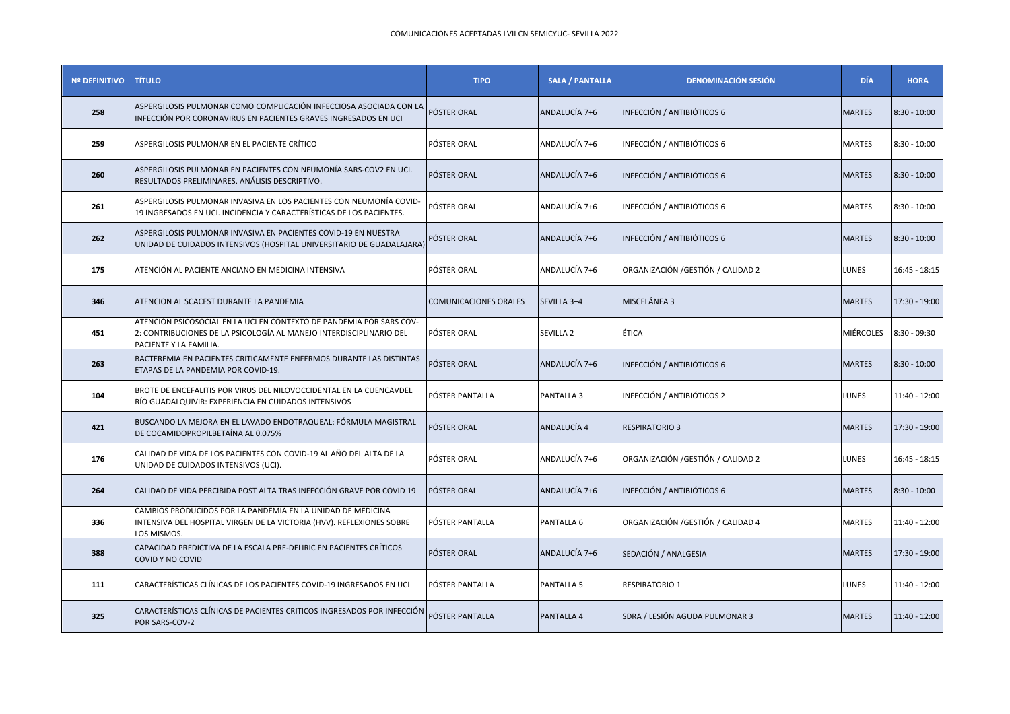| <b>Nº DEFINITIVO</b> | <b>TÍTULO</b>                                                                                                                                                         | <b>TIPO</b>           | <b>SALA / PANTALLA</b> | <b>DENOMINACIÓN SESIÓN</b>         | <b>DÍA</b>       | <b>HORA</b>     |
|----------------------|-----------------------------------------------------------------------------------------------------------------------------------------------------------------------|-----------------------|------------------------|------------------------------------|------------------|-----------------|
| 258                  | ASPERGILOSIS PULMONAR COMO COMPLICACIÓN INFECCIOSA ASOCIADA CON LA<br>INFECCIÓN POR CORONAVIRUS EN PACIENTES GRAVES INGRESADOS EN UCI                                 | PÓSTER ORAL           | ANDALUCÍA 7+6          | INFECCIÓN / ANTIBIÓTICOS 6         | <b>MARTES</b>    | $8:30 - 10:00$  |
| 259                  | ASPERGILOSIS PULMONAR EN EL PACIENTE CRÍTICO                                                                                                                          | PÓSTER ORAL           | ANDALUCÍA 7+6          | INFECCIÓN / ANTIBIÓTICOS 6         | <b>MARTES</b>    | $8:30 - 10:00$  |
| 260                  | ASPERGILOSIS PULMONAR EN PACIENTES CON NEUMONÍA SARS-COV2 EN UCI.<br>RESULTADOS PRELIMINARES. ANÁLISIS DESCRIPTIVO.                                                   | PÓSTER ORAL           | ANDALUCÍA 7+6          | INFECCIÓN / ANTIBIÓTICOS 6         | <b>MARTES</b>    | $8:30 - 10:00$  |
| 261                  | ASPERGILOSIS PULMONAR INVASIVA EN LOS PACIENTES CON NEUMONÍA COVID-<br>19 INGRESADOS EN UCI. INCIDENCIA Y CARACTERÍSTICAS DE LOS PACIENTES.                           | PÓSTER ORAL           | ANDALUCÍA 7+6          | INFECCIÓN / ANTIBIÓTICOS 6         | <b>MARTES</b>    | $8:30 - 10:00$  |
| 262                  | ASPERGILOSIS PULMONAR INVASIVA EN PACIENTES COVID-19 EN NUESTRA<br>UNIDAD DE CUIDADOS INTENSIVOS (HOSPITAL UNIVERSITARIO DE GUADALAJARA)                              | PÓSTER ORAL           | ANDALUCÍA 7+6          | <b>INFECCIÓN / ANTIBIÓTICOS 6</b>  | <b>MARTES</b>    | $8:30 - 10:00$  |
| 175                  | ATENCIÓN AL PACIENTE ANCIANO EN MEDICINA INTENSIVA                                                                                                                    | PÓSTER ORAL           | ANDALUCÍA 7+6          | ORGANIZACIÓN / GESTIÓN / CALIDAD 2 | <b>LUNES</b>     | $16:45 - 18:15$ |
| 346                  | ATENCION AL SCACEST DURANTE LA PANDEMIA                                                                                                                               | COMUNICACIONES ORALES | SEVILLA 3+4            | MISCELÁNEA 3                       | <b>MARTES</b>    | 17:30 - 19:00   |
| 451                  | ATENCIÓN PSICOSOCIAL EN LA UCI EN CONTEXTO DE PANDEMIA POR SARS COV-<br>2: CONTRIBUCIONES DE LA PSICOLOGÍA AL MANEJO INTERDISCIPLINARIO DEL<br>PACIENTE Y LA FAMILIA. | PÓSTER ORAL           | SEVILLA <sub>2</sub>   | ÉTICA                              | <b>MIÉRCOLES</b> | 8:30 - 09:30    |
| 263                  | BACTEREMIA EN PACIENTES CRITICAMENTE ENFERMOS DURANTE LAS DISTINTAS<br>ETAPAS DE LA PANDEMIA POR COVID-19.                                                            | PÓSTER ORAL           | ANDALUCÍA 7+6          | <b>INFECCIÓN / ANTIBIÓTICOS 6</b>  | <b>MARTES</b>    | $8:30 - 10:00$  |
| 104                  | BROTE DE ENCEFALITIS POR VIRUS DEL NILOVOCCIDENTAL EN LA CUENCAVDEL<br>RÍO GUADALQUIVIR: EXPERIENCIA EN CUIDADOS INTENSIVOS                                           | PÓSTER PANTALLA       | PANTALLA 3             | INFECCIÓN / ANTIBIÓTICOS 2         | <b>LUNES</b>     | 11:40 - 12:00   |
| 421                  | BUSCANDO LA MEJORA EN EL LAVADO ENDOTRAQUEAL: FÓRMULA MAGISTRAL<br>DE COCAMIDOPROPILBETAÍNA AL 0.075%                                                                 | PÓSTER ORAL           | ANDALUCÍA 4            | <b>RESPIRATORIO 3</b>              | <b>MARTES</b>    | 17:30 - 19:00   |
| 176                  | CALIDAD DE VIDA DE LOS PACIENTES CON COVID-19 AL AÑO DEL ALTA DE LA<br>UNIDAD DE CUIDADOS INTENSIVOS (UCI).                                                           | PÓSTER ORAL           | ANDALUCÍA 7+6          | ORGANIZACIÓN / GESTIÓN / CALIDAD 2 | <b>LUNES</b>     | $16:45 - 18:15$ |
| 264                  | CALIDAD DE VIDA PERCIBIDA POST ALTA TRAS INFECCIÓN GRAVE POR COVID 19                                                                                                 | PÓSTER ORAL           | ANDALUCÍA 7+6          | INFECCIÓN / ANTIBIÓTICOS 6         | <b>MARTES</b>    | $8:30 - 10:00$  |
| 336                  | CAMBIOS PRODUCIDOS POR LA PANDEMIA EN LA UNIDAD DE MEDICINA<br>INTENSIVA DEL HOSPITAL VIRGEN DE LA VICTORIA (HVV). REFLEXIONES SOBRE<br>LOS MISMOS.                   | PÓSTER PANTALLA       | PANTALLA 6             | ORGANIZACIÓN / GESTIÓN / CALIDAD 4 | <b>MARTES</b>    | 11:40 - 12:00   |
| 388                  | CAPACIDAD PREDICTIVA DE LA ESCALA PRE-DELIRIC EN PACIENTES CRÍTICOS<br>COVID Y NO COVID                                                                               | PÓSTER ORAL           | ANDALUCÍA 7+6          | SEDACIÓN / ANALGESIA               | <b>MARTES</b>    | 17:30 - 19:00   |
| 111                  | CARACTERÍSTICAS CLÍNICAS DE LOS PACIENTES COVID-19 INGRESADOS EN UCI                                                                                                  | PÓSTER PANTALLA       | <b>PANTALLA 5</b>      | <b>RESPIRATORIO 1</b>              | <b>LUNES</b>     | 11:40 - 12:00   |
| 325                  | CARACTERÍSTICAS CLÍNICAS DE PACIENTES CRITICOS INGRESADOS POR INFECCIÓN<br>POR SARS-COV-2                                                                             | PÓSTER PANTALLA       | PANTALLA 4             | SDRA / LESIÓN AGUDA PULMONAR 3     | <b>MARTES</b>    | 11:40 - 12:00   |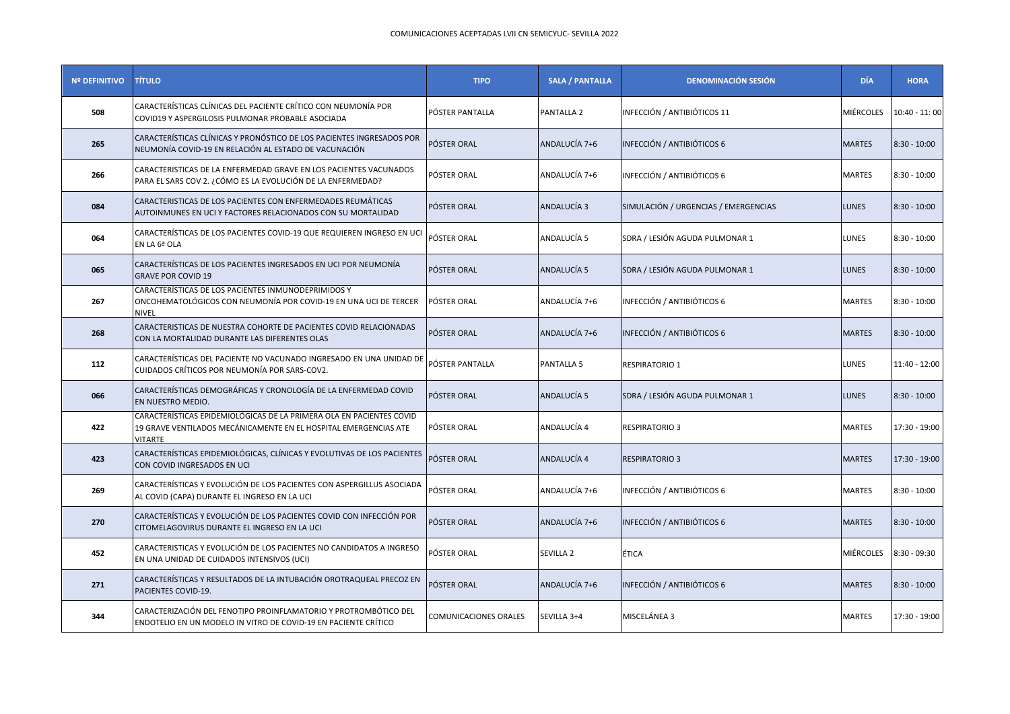| <b>Nº DEFINITIVO</b> | <b>TÍTULO</b>                                                                                                                                              | <b>TIPO</b>           | <b>SALA / PANTALLA</b> | <b>DENOMINACIÓN SESIÓN</b>           | <b>DÍA</b>       | <b>HORA</b>    |
|----------------------|------------------------------------------------------------------------------------------------------------------------------------------------------------|-----------------------|------------------------|--------------------------------------|------------------|----------------|
| 508                  | CARACTERÍSTICAS CLÍNICAS DEL PACIENTE CRÍTICO CON NEUMONÍA POR<br>COVID19 Y ASPERGILOSIS PULMONAR PROBABLE ASOCIADA                                        | PÓSTER PANTALLA       | <b>PANTALLA 2</b>      | INFECCIÓN / ANTIBIÓTICOS 11          | <b>MIÉRCOLES</b> | 10:40 - 11:00  |
| 265                  | CARACTERÍSTICAS CLÍNICAS Y PRONÓSTICO DE LOS PACIENTES INGRESADOS POR<br>NEUMONÍA COVID-19 EN RELACIÓN AL ESTADO DE VACUNACIÓN                             | PÓSTER ORAL           | ANDALUCÍA 7+6          | INFECCIÓN / ANTIBIÓTICOS 6           | <b>MARTES</b>    | $8:30 - 10:00$ |
| 266                  | CARACTERISTICAS DE LA ENFERMEDAD GRAVE EN LOS PACIENTES VACUNADOS<br>PARA EL SARS COV 2. ¿CÓMO ES LA EVOLUCIÓN DE LA ENFERMEDAD?                           | PÓSTER ORAL           | ANDALUCÍA 7+6          | INFECCIÓN / ANTIBIÓTICOS 6           | <b>MARTES</b>    | $8:30 - 10:00$ |
| 084                  | CARACTERISTICAS DE LOS PACIENTES CON ENFERMEDADES REUMÁTICAS<br>AUTOINMUNES EN UCI Y FACTORES RELACIONADOS CON SU MORTALIDAD                               | PÓSTER ORAL           | ANDALUCÍA 3            | SIMULACIÓN / URGENCIAS / EMERGENCIAS | <b>LUNES</b>     | $8:30 - 10:00$ |
| 064                  | CARACTERÍSTICAS DE LOS PACIENTES COVID-19 QUE REQUIEREN INGRESO EN UCI<br>EN LA 6ª OLA                                                                     | PÓSTER ORAL           | ANDALUCÍA 5            | SDRA / LESIÓN AGUDA PULMONAR 1       | <b>LUNES</b>     | $8:30 - 10:00$ |
| 065                  | CARACTERÍSTICAS DE LOS PACIENTES INGRESADOS EN UCI POR NEUMONÍA<br><b>GRAVE POR COVID 19</b>                                                               | PÓSTER ORAL           | ANDALUCÍA 5            | SDRA / LESIÓN AGUDA PULMONAR 1       | <b>LUNES</b>     | $8:30 - 10:00$ |
| 267                  | CARACTERÍSTICAS DE LOS PACIENTES INMUNODEPRIMIDOS Y<br>ONCOHEMATOLÓGICOS CON NEUMONÍA POR COVID-19 EN UNA UCI DE TERCER<br><b>NIVEL</b>                    | PÓSTER ORAL           | ANDALUCÍA 7+6          | INFECCIÓN / ANTIBIÓTICOS 6           | <b>MARTES</b>    | $8:30 - 10:00$ |
| 268                  | CARACTERISTICAS DE NUESTRA COHORTE DE PACIENTES COVID RELACIONADAS<br>CON LA MORTALIDAD DURANTE LAS DIFERENTES OLAS                                        | PÓSTER ORAL           | ANDALUCÍA 7+6          | INFECCIÓN / ANTIBIÓTICOS 6           | <b>MARTES</b>    | $8:30 - 10:00$ |
| 112                  | CARACTERÍSTICAS DEL PACIENTE NO VACUNADO INGRESADO EN UNA UNIDAD DE<br>CUIDADOS CRÍTICOS POR NEUMONÍA POR SARS-COV2.                                       | PÓSTER PANTALLA       | <b>PANTALLA 5</b>      | <b>RESPIRATORIO 1</b>                | <b>LUNES</b>     | 11:40 - 12:00  |
| 066                  | CARACTERÍSTICAS DEMOGRÁFICAS Y CRONOLOGÍA DE LA ENFERMEDAD COVID<br>EN NUESTRO MEDIO.                                                                      | PÓSTER ORAL           | <b>ANDALUCÍA 5</b>     | SDRA / LESIÓN AGUDA PULMONAR 1       | <b>LUNES</b>     | $8:30 - 10:00$ |
| 422                  | CARACTERÍSTICAS EPIDEMIOLÓGICAS DE LA PRIMERA OLA EN PACIENTES COVID<br>19 GRAVE VENTILADOS MECÁNICAMENTE EN EL HOSPITAL EMERGENCIAS ATE<br><b>VITARTE</b> | PÓSTER ORAL           | ANDALUCÍA 4            | <b>RESPIRATORIO 3</b>                | <b>MARTES</b>    | 17:30 - 19:00  |
| 423                  | CARACTERÍSTICAS EPIDEMIOLÓGICAS, CLÍNICAS Y EVOLUTIVAS DE LOS PACIENTES<br>CON COVID INGRESADOS EN UCI                                                     | PÓSTER ORAL           | <b>ANDALUCÍA 4</b>     | <b>RESPIRATORIO 3</b>                | <b>MARTES</b>    | 17:30 - 19:00  |
| 269                  | CARACTERÍSTICAS Y EVOLUCIÓN DE LOS PACIENTES CON ASPERGILLUS ASOCIADA<br>AL COVID (CAPA) DURANTE EL INGRESO EN LA UCI                                      | PÓSTER ORAL           | ANDALUCÍA 7+6          | INFECCIÓN / ANTIBIÓTICOS 6           | <b>MARTES</b>    | $8:30 - 10:00$ |
| 270                  | CARACTERÍSTICAS Y EVOLUCIÓN DE LOS PACIENTES COVID CON INFECCIÓN POR<br>CITOMELAGOVIRUS DURANTE EL INGRESO EN LA UCI                                       | PÓSTER ORAL           | ANDALUCÍA 7+6          | INFECCIÓN / ANTIBIÓTICOS 6           | <b>MARTES</b>    | $8:30 - 10:00$ |
| 452                  | CARACTERISTICAS Y EVOLUCIÓN DE LOS PACIENTES NO CANDIDATOS A INGRESO<br>EN UNA UNIDAD DE CUIDADOS INTENSIVOS (UCI)                                         | PÓSTER ORAL           | SEVILLA <sub>2</sub>   | ÉTICA                                | <b>MIÉRCOLES</b> | 8:30 - 09:30   |
| 271                  | CARACTERÍSTICAS Y RESULTADOS DE LA INTUBACIÓN OROTRAQUEAL PRECOZ EN<br>PACIENTES COVID-19.                                                                 | PÓSTER ORAL           | ANDALUCÍA 7+6          | INFECCIÓN / ANTIBIÓTICOS 6           | <b>MARTES</b>    | $8:30 - 10:00$ |
| 344                  | CARACTERIZACIÓN DEL FENOTIPO PROINFLAMATORIO Y PROTROMBÓTICO DEL<br>ENDOTELIO EN UN MODELO IN VITRO DE COVID-19 EN PACIENTE CRÍTICO                        | COMUNICACIONES ORALES | SEVILLA 3+4            | MISCELÁNEA 3                         | <b>MARTES</b>    | 17:30 - 19:00  |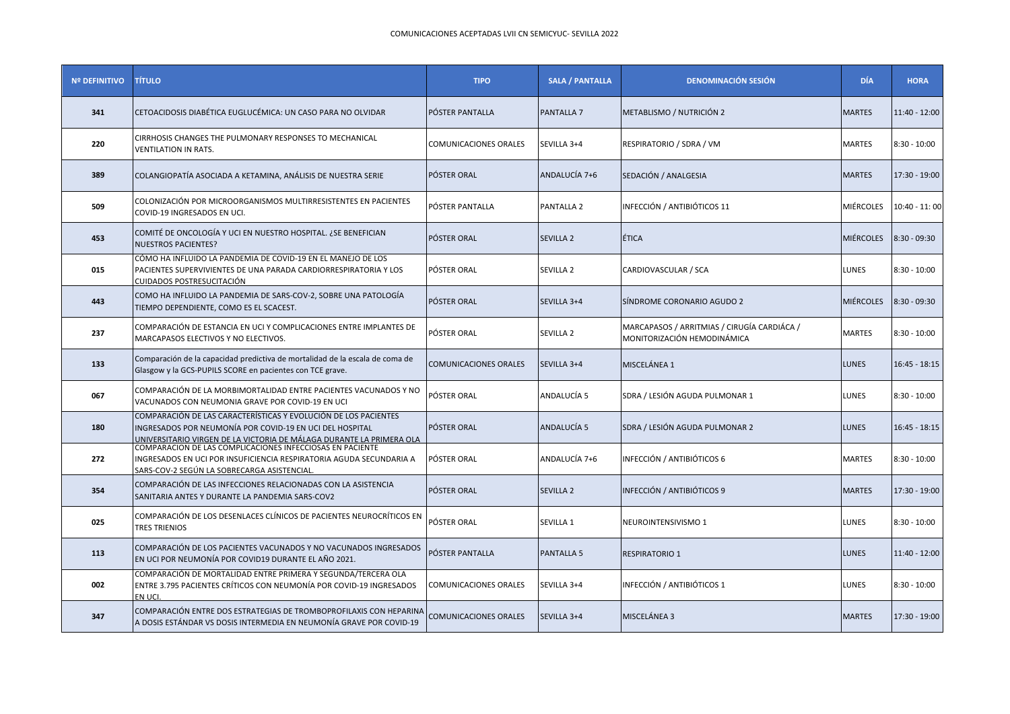| <b>Nº DEFINITIVO</b> | <b>TÍTULO</b>                                                                                                                                                                                              | <b>TIPO</b>                  | <b>SALA / PANTALLA</b> | <b>DENOMINACIÓN SESIÓN</b>                                                 | <b>DÍA</b>       | <b>HORA</b>    |
|----------------------|------------------------------------------------------------------------------------------------------------------------------------------------------------------------------------------------------------|------------------------------|------------------------|----------------------------------------------------------------------------|------------------|----------------|
| 341                  | CETOACIDOSIS DIABÉTICA EUGLUCÉMICA: UN CASO PARA NO OLVIDAR                                                                                                                                                | <b>PÓSTER PANTALLA</b>       | <b>PANTALLA 7</b>      | METABLISMO / NUTRICIÓN 2                                                   | <b>MARTES</b>    | 11:40 - 12:00  |
| 220                  | CIRRHOSIS CHANGES THE PULMONARY RESPONSES TO MECHANICAL<br><b>VENTILATION IN RATS.</b>                                                                                                                     | COMUNICACIONES ORALES        | SEVILLA 3+4            | RESPIRATORIO / SDRA / VM                                                   | <b>MARTES</b>    | $8:30 - 10:00$ |
| 389                  | COLANGIOPATÍA ASOCIADA A KETAMINA, ANÁLISIS DE NUESTRA SERIE                                                                                                                                               | PÓSTER ORAL                  | ANDALUCÍA 7+6          | SEDACIÓN / ANALGESIA                                                       | <b>MARTES</b>    | 17:30 - 19:00  |
| 509                  | COLONIZACIÓN POR MICROORGANISMOS MULTIRRESISTENTES EN PACIENTES<br>COVID-19 INGRESADOS EN UCI.                                                                                                             | PÓSTER PANTALLA              | <b>PANTALLA 2</b>      | INFECCIÓN / ANTIBIÓTICOS 11                                                | <b>MIÉRCOLES</b> | 10:40 - 11:00  |
| 453                  | COMITÉ DE ONCOLOGÍA Y UCI EN NUESTRO HOSPITAL. ¿SE BENEFICIAN<br><b>NUESTROS PACIENTES?</b>                                                                                                                | <b>POSTER ORAL</b>           | <b>SEVILLA 2</b>       | ÉTICA                                                                      | <b>MIÉRCOLES</b> | $8:30 - 09:30$ |
| 015                  | CÓMO HA INFLUIDO LA PANDEMIA DE COVID-19 EN EL MANEJO DE LOS<br>PACIENTES SUPERVIVIENTES DE UNA PARADA CARDIORRESPIRATORIA Y LOS<br>CUIDADOS POSTRESUCITACIÓN                                              | PÓSTER ORAL                  | SEVILLA 2              | CARDIOVASCULAR / SCA                                                       | <b>LUNES</b>     | $8:30 - 10:00$ |
| 443                  | COMO HA INFLUIDO LA PANDEMIA DE SARS-COV-2, SOBRE UNA PATOLOGÍA<br>TIEMPO DEPENDIENTE, COMO ES EL SCACEST.                                                                                                 | PÓSTER ORAL                  | SEVILLA 3+4            | SÍNDROME CORONARIO AGUDO 2                                                 | <b>MIÉRCOLES</b> | $8:30 - 09:30$ |
| 237                  | COMPARACIÓN DE ESTANCIA EN UCI Y COMPLICACIONES ENTRE IMPLANTES DE<br>MARCAPASOS ELECTIVOS Y NO ELECTIVOS.                                                                                                 | PÓSTER ORAL                  | SEVILLA 2              | MARCAPASOS / ARRITMIAS / CIRUGÍA CARDIÁCA /<br>MONITORIZACIÓN HEMODINÁMICA | <b>MARTES</b>    | $8:30 - 10:00$ |
| 133                  | Comparación de la capacidad predictiva de mortalidad de la escala de coma de<br>Glasgow y la GCS-PUPILS SCORE en pacientes con TCE grave.                                                                  | <b>COMUNICACIONES ORALES</b> | SEVILLA 3+4            | MISCELÁNEA 1                                                               | <b>LUNES</b>     | 16:45 - 18:15  |
| 067                  | COMPARACIÓN DE LA MORBIMORTALIDAD ENTRE PACIENTES VACUNADOS Y NO<br>VACUNADOS CON NEUMONIA GRAVE POR COVID-19 EN UCI                                                                                       | PÓSTER ORAL                  | ANDALUCÍA 5            | SDRA / LESIÓN AGUDA PULMONAR 1                                             | LUNES            | $8:30 - 10:00$ |
| 180                  | COMPARACIÓN DE LAS CARACTERÍSTICAS Y EVOLUCIÓN DE LOS PACIENTES<br>INGRESADOS POR NEUMONÍA POR COVID-19 EN UCI DEL HOSPITAL<br><u>UNIVERSITARIO VIRGEN DE LA VICTORIA DE MÁLAGA DURANTE LA PRIMERA OLA</u> | PÓSTER ORAL                  | ANDALUCÍA 5            | SDRA / LESIÓN AGUDA PULMONAR 2                                             | <b>LUNES</b>     | 16:45 - 18:15  |
| 272                  | COMPARACION DE LAS COMPLICACIONES INFECCIOSAS EN PACIENTE<br>INGRESADOS EN UCI POR INSUFICIENCIA RESPIRATORIA AGUDA SECUNDARIA A<br>SARS-COV-2 SEGÚN LA SOBRECARGA ASISTENCIAL                             | PÓSTER ORAL                  | ANDALUCÍA 7+6          | INFECCIÓN / ANTIBIÓTICOS 6                                                 | <b>MARTES</b>    | $8:30 - 10:00$ |
| 354                  | COMPARACIÓN DE LAS INFECCIONES RELACIONADAS CON LA ASISTENCIA<br>SANITARIA ANTES Y DURANTE LA PANDEMIA SARS-COV2                                                                                           | PÓSTER ORAL                  | <b>SEVILLA 2</b>       | INFECCIÓN / ANTIBIÓTICOS 9                                                 | <b>MARTES</b>    | 17:30 - 19:00  |
| 025                  | COMPARACIÓN DE LOS DESENLACES CLÍNICOS DE PACIENTES NEUROCRÍTICOS EN<br><b>TRES TRIENIOS</b>                                                                                                               | PÓSTER ORAL                  | SEVILLA 1              | NEUROINTENSIVISMO 1                                                        | LUNES            | $8:30 - 10:00$ |
| 113                  | COMPARACIÓN DE LOS PACIENTES VACUNADOS Y NO VACUNADOS INGRESADOS<br>EN UCI POR NEUMONÍA POR COVID19 DURANTE EL AÑO 2021.                                                                                   | PÓSTER PANTALLA              | <b>PANTALLA 5</b>      | <b>RESPIRATORIO 1</b>                                                      | <b>LUNES</b>     | 11:40 - 12:00  |
| 002                  | COMPARACIÓN DE MORTALIDAD ENTRE PRIMERA Y SEGUNDA/TERCERA OLA<br>ENTRE 3.795 PACIENTES CRÍTICOS CON NEUMONÍA POR COVID-19 INGRESADOS<br>EN UCI.                                                            | COMUNICACIONES ORALES        | SEVILLA 3+4            | INFECCIÓN / ANTIBIÓTICOS 1                                                 | LUNES            | $8:30 - 10:00$ |
| 347                  | COMPARACIÓN ENTRE DOS ESTRATEGIAS DE TROMBOPROFILAXIS CON HEPARINA<br>A DOSIS ESTÁNDAR VS DOSIS INTERMEDIA EN NEUMONÍA GRAVE POR COVID-19                                                                  | COMUNICACIONES ORALES        | SEVILLA 3+4            | MISCELÁNEA 3                                                               | <b>MARTES</b>    | 17:30 - 19:00  |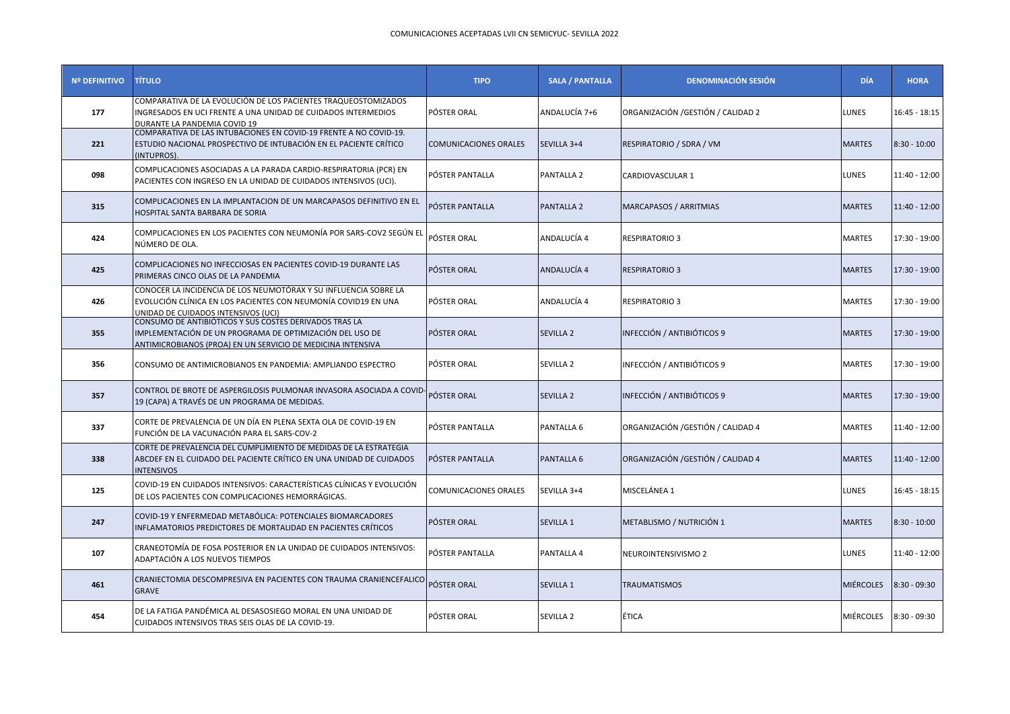| <b>Nº DEFINITIVO</b> | <b>TÍTULO</b>                                                                                                                                                                     | <b>TIPO</b>                  | <b>SALA / PANTALLA</b> | <b>DENOMINACIÓN SESIÓN</b>         | <b>DÍA</b>       | <b>HORA</b>     |
|----------------------|-----------------------------------------------------------------------------------------------------------------------------------------------------------------------------------|------------------------------|------------------------|------------------------------------|------------------|-----------------|
| 177                  | COMPARATIVA DE LA EVOLUCIÓN DE LOS PACIENTES TRAQUEOSTOMIZADOS<br>INGRESADOS EN UCI FRENTE A UNA UNIDAD DE CUIDADOS INTERMEDIOS<br>DURANTE LA PANDEMIA COVID 19                   | PÓSTER ORAL                  | ANDALUCÍA 7+6          | ORGANIZACIÓN / GESTIÓN / CALIDAD 2 | <b>LUNES</b>     | $16:45 - 18:15$ |
| 221                  | COMPARATIVA DE LAS INTUBACIONES EN COVID-19 FRENTE A NO COVID-19.<br>ESTUDIO NACIONAL PROSPECTIVO DE INTUBACIÓN EN EL PACIENTE CRÍTICO<br>(INTUPROS).                             | <b>COMUNICACIONES ORALES</b> | SEVILLA 3+4            | RESPIRATORIO / SDRA / VM           | <b>MARTES</b>    | $8:30 - 10:00$  |
| 098                  | COMPLICACIONES ASOCIADAS A LA PARADA CARDIO-RESPIRATORIA (PCR) EN<br>PACIENTES CON INGRESO EN LA UNIDAD DE CUIDADOS INTENSIVOS (UCI).                                             | PÓSTER PANTALLA              | <b>PANTALLA 2</b>      | <b>CARDIOVASCULAR 1</b>            | <b>LUNES</b>     | 11:40 - 12:00   |
| 315                  | COMPLICACIONES EN LA IMPLANTACION DE UN MARCAPASOS DEFINITIVO EN EL<br>HOSPITAL SANTA BARBARA DE SORIA                                                                            | PÓSTER PANTALLA              | <b>PANTALLA 2</b>      | MARCAPASOS / ARRITMIAS             | <b>MARTES</b>    | 11:40 - 12:00   |
| 424                  | COMPLICACIONES EN LOS PACIENTES CON NEUMONÍA POR SARS-COV2 SEGÚN EL<br>NÚMERO DE OLA.                                                                                             | PÓSTER ORAL                  | ANDALUCÍA 4            | <b>RESPIRATORIO 3</b>              | <b>MARTES</b>    | 17:30 - 19:00   |
| 425                  | COMPLICACIONES NO INFECCIOSAS EN PACIENTES COVID-19 DURANTE LAS<br>PRIMERAS CINCO OLAS DE LA PANDEMIA                                                                             | PÓSTER ORAL                  | ANDALUCÍA 4            | <b>RESPIRATORIO 3</b>              | <b>MARTES</b>    | 17:30 - 19:00   |
| 426                  | CONOCER LA INCIDENCIA DE LOS NEUMOTÓRAX Y SU INFLUENCIA SOBRE LA<br>EVOLUCIÓN CLÍNICA EN LOS PACIENTES CON NEUMONÍA COVID19 EN UNA<br>UNIDAD DE CUIDADOS INTENSIVOS (UCI)         | PÓSTER ORAL                  | ANDALUCÍA 4            | <b>RESPIRATORIO 3</b>              | <b>MARTES</b>    | 17:30 - 19:00   |
| 355                  | CONSUMO DE ANTIBIÓTICOS Y SUS COSTES DERIVADOS TRAS LA<br>IMPLEMENTACIÓN DE UN PROGRAMA DE OPTIMIZACIÓN DEL USO DE<br>ANTIMICROBIANOS (PROA) EN UN SERVICIO DE MEDICINA INTENSIVA | PÓSTER ORAL                  | <b>SEVILLA 2</b>       | <b>INFECCIÓN / ANTIBIÓTICOS 9</b>  | <b>MARTES</b>    | 17:30 - 19:00   |
| 356                  | CONSUMO DE ANTIMICROBIANOS EN PANDEMIA: AMPLIANDO ESPECTRO                                                                                                                        | PÓSTER ORAL                  | <b>SEVILLA 2</b>       | INFECCIÓN / ANTIBIÓTICOS 9         | <b>MARTES</b>    | 17:30 - 19:00   |
| 357                  | CONTROL DE BROTE DE ASPERGILOSIS PULMONAR INVASORA ASOCIADA A COVID-<br>19 (CAPA) A TRAVÉS DE UN PROGRAMA DE MEDIDAS.                                                             | PÓSTER ORAL                  | <b>SEVILLA 2</b>       | INFECCIÓN / ANTIBIÓTICOS 9         | <b>MARTES</b>    | 17:30 - 19:00   |
| 337                  | CORTE DE PREVALENCIA DE UN DÍA EN PLENA SEXTA OLA DE COVID-19 EN<br>FUNCIÓN DE LA VACUNACIÓN PARA EL SARS-COV-2                                                                   | PÓSTER PANTALLA              | PANTALLA 6             | ORGANIZACIÓN / GESTIÓN / CALIDAD 4 | <b>MARTES</b>    | 11:40 - 12:00   |
| 338                  | CORTE DE PREVALENCIA DEL CUMPLIMIENTO DE MEDIDAS DE LA ESTRATEGIA<br>ABCDEF EN EL CUIDADO DEL PACIENTE CRÍTICO EN UNA UNIDAD DE CUIDADOS<br><b>INTENSIVOS</b>                     | PÓSTER PANTALLA              | PANTALLA 6             | ORGANIZACIÓN / GESTIÓN / CALIDAD 4 | <b>MARTES</b>    | 11:40 - 12:00   |
| 125                  | COVID-19 EN CUIDADOS INTENSIVOS: CARACTERÍSTICAS CLÍNICAS Y EVOLUCIÓN<br>DE LOS PACIENTES CON COMPLICACIONES HEMORRÁGICAS.                                                        | COMUNICACIONES ORALES        | SEVILLA 3+4            | MISCELÁNEA 1                       | LUNES            | $16:45 - 18:15$ |
| 247                  | COVID-19 Y ENFERMEDAD METABÓLICA: POTENCIALES BIOMARCADORES<br>INFLAMATORIOS PREDICTORES DE MORTALIDAD EN PACIENTES CRÍTICOS                                                      | PÓSTER ORAL                  | <b>SEVILLA 1</b>       | METABLISMO / NUTRICIÓN 1           | <b>MARTES</b>    | $8:30 - 10:00$  |
| 107                  | CRANEOTOMÍA DE FOSA POSTERIOR EN LA UNIDAD DE CUIDADOS INTENSIVOS:<br>ADAPTACIÓN A LOS NUEVOS TIEMPOS                                                                             | PÓSTER PANTALLA              | PANTALLA 4             | NEUROINTENSIVISMO 2                | <b>LUNES</b>     | 11:40 - 12:00   |
| 461                  | CRANIECTOMIA DESCOMPRESIVA EN PACIENTES CON TRAUMA CRANIENCEFALICO<br><b>GRAVE</b>                                                                                                | PÓSTER ORAL                  | <b>SEVILLA 1</b>       | <b>TRAUMATISMOS</b>                | <b>MIÉRCOLES</b> | 8:30 - 09:30    |
| 454                  | DE LA FATIGA PANDÉMICA AL DESASOSIEGO MORAL EN UNA UNIDAD DE<br>CUIDADOS INTENSIVOS TRAS SEIS OLAS DE LA COVID-19.                                                                | PÓSTER ORAL                  | <b>SEVILLA 2</b>       | ÉTICA                              | <b>MIÉRCOLES</b> | $8:30 - 09:30$  |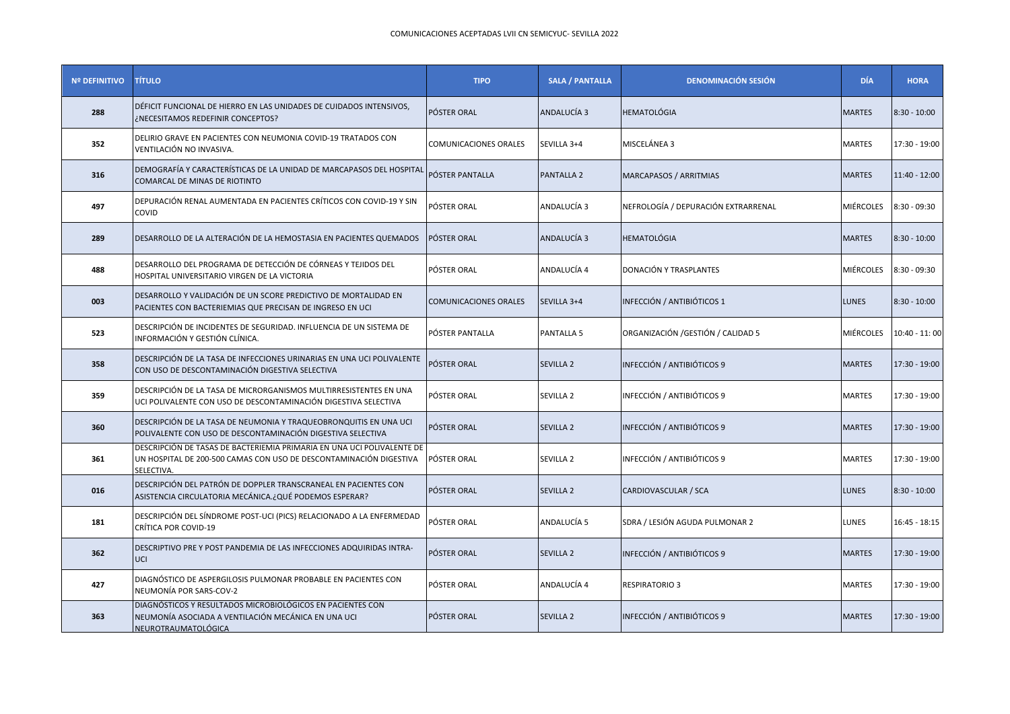| <b>Nº DEFINITIVO</b> | <b>TÍTULO</b>                                                                                                                                              | <b>TIPO</b>           | <b>SALA / PANTALLA</b> | <b>DENOMINACIÓN SESIÓN</b>          | <b>DÍA</b>       | <b>HORA</b>     |
|----------------------|------------------------------------------------------------------------------------------------------------------------------------------------------------|-----------------------|------------------------|-------------------------------------|------------------|-----------------|
| 288                  | DÉFICIT FUNCIONAL DE HIERRO EN LAS UNIDADES DE CUIDADOS INTENSIVOS,<br>¿NECESITAMOS REDEFINIR CONCEPTOS?                                                   | PÓSTER ORAL           | <b>ANDALUCÍA 3</b>     | HEMATOLÓGIA                         | <b>MARTES</b>    | $8:30 - 10:00$  |
| 352                  | DELIRIO GRAVE EN PACIENTES CON NEUMONIA COVID-19 TRATADOS CON<br>VENTILACIÓN NO INVASIVA.                                                                  | COMUNICACIONES ORALES | SEVILLA 3+4            | MISCELÁNEA 3                        | <b>MARTES</b>    | 17:30 - 19:00   |
| 316                  | DEMOGRAFÍA Y CARACTERÍSTICAS DE LA UNIDAD DE MARCAPASOS DEL HOSPITAL<br>COMARCAL DE MINAS DE RIOTINTO                                                      | PÓSTER PANTALLA       | <b>PANTALLA 2</b>      | MARCAPASOS / ARRITMIAS              | <b>MARTES</b>    | 11:40 - 12:00   |
| 497                  | DEPURACIÓN RENAL AUMENTADA EN PACIENTES CRÍTICOS CON COVID-19 Y SIN<br>COVID                                                                               | PÓSTER ORAL           | ANDALUCÍA 3            | NEFROLOGÍA / DEPURACIÓN EXTRARRENAL | <b>MIÉRCOLES</b> | $8:30 - 09:30$  |
| 289                  | DESARROLLO DE LA ALTERACIÓN DE LA HEMOSTASIA EN PACIENTES QUEMADOS                                                                                         | PÓSTER ORAL           | ANDALUCÍA 3            | <b>HEMATOLÓGIA</b>                  | <b>MARTES</b>    | $8:30 - 10:00$  |
| 488                  | DESARROLLO DEL PROGRAMA DE DETECCIÓN DE CÓRNEAS Y TEJIDOS DEL<br>HOSPITAL UNIVERSITARIO VIRGEN DE LA VICTORIA                                              | PÓSTER ORAL           | ANDALUCÍA 4            | DONACIÓN Y TRASPLANTES              | MIÉRCOLES        | $8:30 - 09:30$  |
| 003                  | DESARROLLO Y VALIDACIÓN DE UN SCORE PREDICTIVO DE MORTALIDAD EN<br>PACIENTES CON BACTERIEMIAS QUE PRECISAN DE INGRESO EN UCI                               | COMUNICACIONES ORALES | SEVILLA 3+4            | INFECCIÓN / ANTIBIÓTICOS 1          | <b>LUNES</b>     | $8:30 - 10:00$  |
| 523                  | DESCRIPCIÓN DE INCIDENTES DE SEGURIDAD. INFLUENCIA DE UN SISTEMA DE<br>INFORMACIÓN Y GESTIÓN CLÍNICA.                                                      | PÓSTER PANTALLA       | <b>PANTALLA 5</b>      | ORGANIZACIÓN / GESTIÓN / CALIDAD 5  | <b>MIÉRCOLES</b> | $10:40 - 11:00$ |
| 358                  | DESCRIPCIÓN DE LA TASA DE INFECCIONES URINARIAS EN UNA UCI POLIVALENTE<br>CON USO DE DESCONTAMINACIÓN DIGESTIVA SELECTIVA                                  | PÓSTER ORAL           | <b>SEVILLA 2</b>       | INFECCIÓN / ANTIBIÓTICOS 9          | <b>MARTES</b>    | 17:30 - 19:00   |
| 359                  | DESCRIPCIÓN DE LA TASA DE MICRORGANISMOS MULTIRRESISTENTES EN UNA<br>UCI POLIVALENTE CON USO DE DESCONTAMINACIÓN DIGESTIVA SELECTIVA                       | PÓSTER ORAL           | <b>SEVILLA 2</b>       | INFECCIÓN / ANTIBIÓTICOS 9          | <b>MARTES</b>    | 17:30 - 19:00   |
| 360                  | DESCRIPCIÓN DE LA TASA DE NEUMONIA Y TRAQUEOBRONQUITIS EN UNA UCI<br>POLIVALENTE CON USO DE DESCONTAMINACIÓN DIGESTIVA SELECTIVA                           | PÓSTER ORAL           | <b>SEVILLA 2</b>       | INFECCIÓN / ANTIBIÓTICOS 9          | <b>MARTES</b>    | 17:30 - 19:00   |
| 361                  | DESCRIPCIÓN DE TASAS DE BACTERIEMIA PRIMARIA EN UNA UCI POLIVALENTE DE<br>UN HOSPITAL DE 200-500 CAMAS CON USO DE DESCONTAMINACIÓN DIGESTIVA<br>SELECTIVA. | PÓSTER ORAL           | <b>SEVILLA 2</b>       | INFECCIÓN / ANTIBIÓTICOS 9          | <b>MARTES</b>    | 17:30 - 19:00   |
| 016                  | DESCRIPCIÓN DEL PATRÓN DE DOPPLER TRANSCRANEAL EN PACIENTES CON<br>ASISTENCIA CIRCULATORIA MECÁNICA.¿ QUÉ PODEMOS ESPERAR?                                 | PÓSTER ORAL           | <b>SEVILLA 2</b>       | CARDIOVASCULAR / SCA                | <b>LUNES</b>     | $8:30 - 10:00$  |
| 181                  | DESCRIPCIÓN DEL SÍNDROME POST-UCI (PICS) RELACIONADO A LA ENFERMEDAD<br><b>CRÍTICA POR COVID-19</b>                                                        | PÓSTER ORAL           | ANDALUCÍA 5            | SDRA / LESIÓN AGUDA PULMONAR 2      | <b>LUNES</b>     | 16:45 - 18:15   |
| 362                  | DESCRIPTIVO PRE Y POST PANDEMIA DE LAS INFECCIONES ADQUIRIDAS INTRA-<br><b>UCI</b>                                                                         | PÓSTER ORAL           | <b>SEVILLA 2</b>       | INFECCIÓN / ANTIBIÓTICOS 9          | <b>MARTES</b>    | 17:30 - 19:00   |
| 427                  | DIAGNÓSTICO DE ASPERGILOSIS PULMONAR PROBABLE EN PACIENTES CON<br>NEUMONÍA POR SARS-COV-2                                                                  | PÓSTER ORAL           | ANDALUCÍA 4            | <b>RESPIRATORIO 3</b>               | <b>MARTES</b>    | 17:30 - 19:00   |
| 363                  | DIAGNÓSTICOS Y RESULTADOS MICROBIOLÓGICOS EN PACIENTES CON<br>NEUMONÍA ASOCIADA A VENTILACIÓN MECÁNICA EN UNA UCI<br>NEUROTRAUMATOLÓGICA                   | PÓSTER ORAL           | <b>SEVILLA 2</b>       | INFECCIÓN / ANTIBIÓTICOS 9          | <b>MARTES</b>    | 17:30 - 19:00   |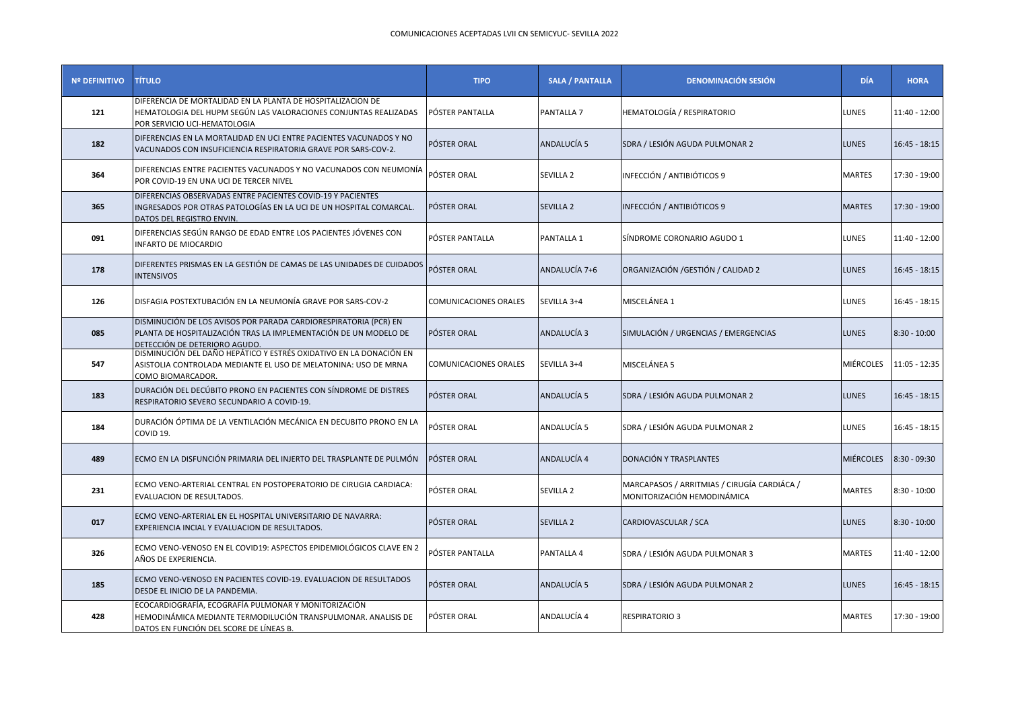| <b>Nº DEFINITIVO</b> | <b>TÍTULO</b>                                                                                                                                                         | <b>TIPO</b>                  | <b>SALA / PANTALLA</b> | <b>DENOMINACIÓN SESIÓN</b>                                                 | <b>DÍA</b>       | <b>HORA</b>     |
|----------------------|-----------------------------------------------------------------------------------------------------------------------------------------------------------------------|------------------------------|------------------------|----------------------------------------------------------------------------|------------------|-----------------|
| 121                  | DIFERENCIA DE MORTALIDAD EN LA PLANTA DE HOSPITALIZACION DE<br>HEMATOLOGIA DEL HUPM SEGÚN LAS VALORACIONES CONJUNTAS REALIZADAS<br>POR SERVICIO UCI-HEMATOLOGIA       | PÓSTER PANTALLA              | PANTALLA <sub>7</sub>  | HEMATOLOGÍA / RESPIRATORIO                                                 | LUNES            | 11:40 - 12:00   |
| 182                  | DIFERENCIAS EN LA MORTALIDAD EN UCI ENTRE PACIENTES VACUNADOS Y NO<br>VACUNADOS CON INSUFICIENCIA RESPIRATORIA GRAVE POR SARS-COV-2.                                  | PÓSTER ORAL                  | ANDALUCÍA 5            | SDRA / LESIÓN AGUDA PULMONAR 2                                             | <b>LUNES</b>     | $16:45 - 18:15$ |
| 364                  | DIFERENCIAS ENTRE PACIENTES VACUNADOS Y NO VACUNADOS CON NEUMONÍA<br>POR COVID-19 EN UNA UCI DE TERCER NIVEL                                                          | PÓSTER ORAL                  | SEVILLA <sub>2</sub>   | INFECCIÓN / ANTIBIÓTICOS 9                                                 | <b>MARTES</b>    | 17:30 - 19:00   |
| 365                  | DIFERENCIAS OBSERVADAS ENTRE PACIENTES COVID-19 Y PACIENTES<br>INGRESADOS POR OTRAS PATOLOGÍAS EN LA UCI DE UN HOSPITAL COMARCAL.<br>DATOS DEL REGISTRO ENVIN.        | PÓSTER ORAL                  | <b>SEVILLA 2</b>       | <b>INFECCIÓN / ANTIBIÓTICOS 9</b>                                          | <b>MARTES</b>    | 17:30 - 19:00   |
| 091                  | DIFERENCIAS SEGÚN RANGO DE EDAD ENTRE LOS PACIENTES JÓVENES CON<br><b>INFARTO DE MIOCARDIO</b>                                                                        | PÓSTER PANTALLA              | PANTALLA 1             | SÍNDROME CORONARIO AGUDO 1                                                 | <b>LUNES</b>     | 11:40 - 12:00   |
| 178                  | DIFERENTES PRISMAS EN LA GESTIÓN DE CAMAS DE LAS UNIDADES DE CUIDADOS<br><b>INTENSIVOS</b>                                                                            | PÓSTER ORAL                  | ANDALUCÍA 7+6          | ORGANIZACIÓN / GESTIÓN / CALIDAD 2                                         | <b>LUNES</b>     | $16:45 - 18:15$ |
| 126                  | DISFAGIA POSTEXTUBACIÓN EN LA NEUMONÍA GRAVE POR SARS-COV-2                                                                                                           | COMUNICACIONES ORALES        | SEVILLA 3+4            | MISCELÁNEA 1                                                               | LUNES            | $16:45 - 18:15$ |
| 085                  | DISMINUCIÓN DE LOS AVISOS POR PARADA CARDIORESPIRATORIA (PCR) EN<br>PLANTA DE HOSPITALIZACIÓN TRAS LA IMPLEMENTACIÓN DE UN MODELO DE<br>DETECCIÓN DE DETERIORO AGUDO. | PÓSTER ORAL                  | ANDALUCÍA 3            | SIMULACIÓN / URGENCIAS / EMERGENCIAS                                       | <b>LUNES</b>     | $8:30 - 10:00$  |
| 547                  | DISMINUCIÓN DEL DAÑO HEPÁTICO Y ESTRÉS OXIDATIVO EN LA DONACIÓN EN<br>ASISTOLIA CONTROLADA MEDIANTE EL USO DE MELATONINA: USO DE MRNA<br>COMO BIOMARCADOR.            | <b>COMUNICACIONES ORALES</b> | SEVILLA 3+4            | MISCELÁNEA 5                                                               | <b>MIÉRCOLES</b> | 11:05 - 12:35   |
| 183                  | DURACIÓN DEL DECÚBITO PRONO EN PACIENTES CON SÍNDROME DE DISTRES<br>RESPIRATORIO SEVERO SECUNDARIO A COVID-19.                                                        | PÓSTER ORAL                  | ANDALUCÍA 5            | SDRA / LESIÓN AGUDA PULMONAR 2                                             | <b>LUNES</b>     | 16:45 - 18:15   |
| 184                  | DURACIÓN ÓPTIMA DE LA VENTILACIÓN MECÁNICA EN DECUBITO PRONO EN LA<br>COVID 19.                                                                                       | PÓSTER ORAL                  | ANDALUCÍA 5            | SDRA / LESIÓN AGUDA PULMONAR 2                                             | <b>LUNES</b>     | $16:45 - 18:15$ |
| 489                  | ECMO EN LA DISFUNCIÓN PRIMARIA DEL INJERTO DEL TRASPLANTE DE PULMÓN                                                                                                   | PÓSTER ORAL                  | ANDALUCÍA 4            | DONACIÓN Y TRASPLANTES                                                     | <b>MIÉRCOLES</b> | $8:30 - 09:30$  |
| 231                  | ECMO VENO-ARTERIAL CENTRAL EN POSTOPERATORIO DE CIRUGIA CARDIACA:<br>EVALUACION DE RESULTADOS.                                                                        | PÓSTER ORAL                  | SEVILLA <sub>2</sub>   | MARCAPASOS / ARRITMIAS / CIRUGÍA CARDIÁCA /<br>MONITORIZACIÓN HEMODINÁMICA | <b>MARTES</b>    | $8:30 - 10:00$  |
| 017                  | ECMO VENO-ARTERIAL EN EL HOSPITAL UNIVERSITARIO DE NAVARRA:<br>EXPERIENCIA INCIAL Y EVALUACION DE RESULTADOS.                                                         | PÓSTER ORAL                  | <b>SEVILLA 2</b>       | CARDIOVASCULAR / SCA                                                       | <b>LUNES</b>     | $8:30 - 10:00$  |
| 326                  | ECMO VENO-VENOSO EN EL COVID19: ASPECTOS EPIDEMIOLÓGICOS CLAVE EN 2<br>AÑOS DE EXPERIENCIA.                                                                           | PÓSTER PANTALLA              | PANTALLA 4             | SDRA / LESIÓN AGUDA PULMONAR 3                                             | <b>MARTES</b>    | 11:40 - 12:00   |
| 185                  | ECMO VENO-VENOSO EN PACIENTES COVID-19. EVALUACION DE RESULTADOS<br>DESDE EL INICIO DE LA PANDEMIA.                                                                   | PÓSTER ORAL                  | ANDALUCÍA 5            | SDRA / LESIÓN AGUDA PULMONAR 2                                             | <b>LUNES</b>     | $16:45 - 18:15$ |
| 428                  | ECOCARDIOGRAFÍA, ECOGRAFÍA PULMONAR Y MONITORIZACIÓN<br>HEMODINÁMICA MEDIANTE TERMODILUCIÓN TRANSPULMONAR. ANALISIS DE<br>DATOS EN FUNCIÓN DEL SCORE DE LÍNEAS B.     | PÓSTER ORAL                  | ANDALUCÍA 4            | <b>RESPIRATORIO 3</b>                                                      | <b>MARTES</b>    | 17:30 - 19:00   |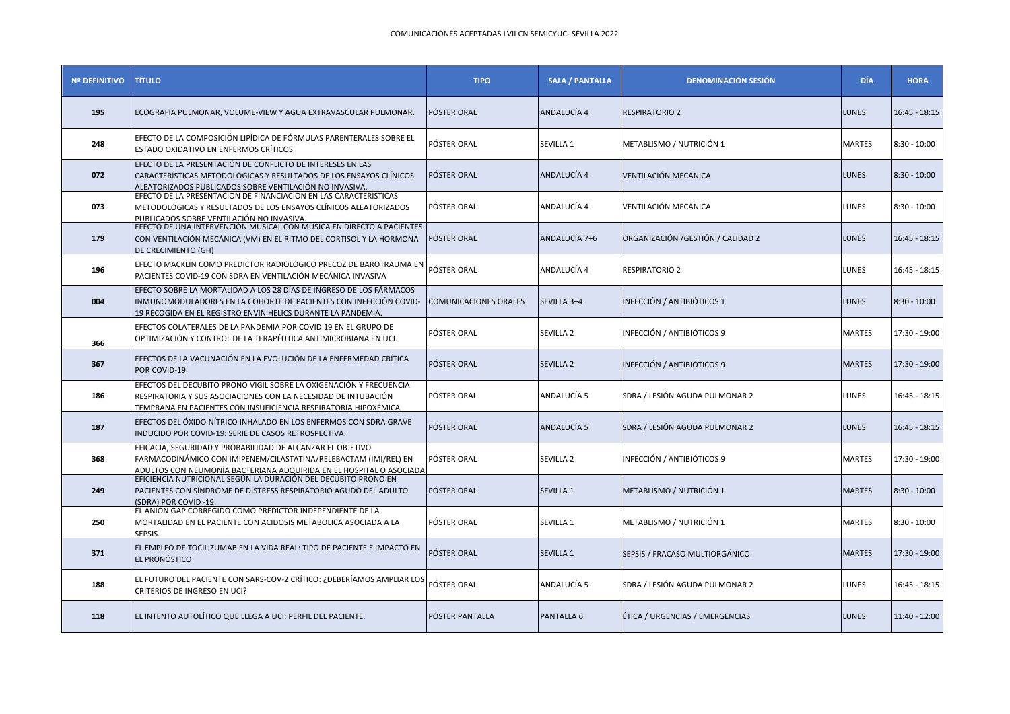| <b>Nº DEFINITIVO</b> | TÍTULO                                                                                                                                                                                                  | <b>TIPO</b>           | <b>SALA / PANTALLA</b> | <b>DENOMINACIÓN SESIÓN</b>        | <b>DÍA</b>    | <b>HORA</b>     |
|----------------------|---------------------------------------------------------------------------------------------------------------------------------------------------------------------------------------------------------|-----------------------|------------------------|-----------------------------------|---------------|-----------------|
| 195                  | ECOGRAFÍA PULMONAR, VOLUME-VIEW Y AGUA EXTRAVASCULAR PULMONAR.                                                                                                                                          | PÓSTER ORAL           | ANDALUCÍA 4            | <b>RESPIRATORIO 2</b>             | <b>LUNES</b>  | 16:45 - 18:15   |
| 248                  | EFECTO DE LA COMPOSICIÓN LIPÍDICA DE FÓRMULAS PARENTERALES SOBRE EL<br>ESTADO OXIDATIVO EN ENFERMOS CRÍTICOS                                                                                            | PÓSTER ORAL           | SEVILLA 1              | METABLISMO / NUTRICIÓN 1          | <b>MARTES</b> | $8:30 - 10:00$  |
| 072                  | EFECTO DE LA PRESENTACIÓN DE CONFLICTO DE INTERESES EN LAS<br>CARACTERÍSTICAS METODOLÓGICAS Y RESULTADOS DE LOS ENSAYOS CLÍNICOS<br><u>ALEATORIZADOS PUBLICADOS SOBRE VENTILACIÓN NO INVASIVA</u>       | PÓSTER ORAL           | ANDALUCÍA 4            | VENTILACIÓN MECÁNICA              | <b>LUNES</b>  | $8:30 - 10:00$  |
| 073                  | EFECTO DE LA PRESENTACIÓN DE FINANCIACIÓN EN LAS CARACTERÍSTICAS<br>METODOLÓGICAS Y RESULTADOS DE LOS ENSAYOS CLÍNICOS ALEATORIZADOS<br>PUBLICADOS SOBRE VENTILACIÓN NO INVASIVA.                       | PÓSTER ORAL           | ANDALUCÍA 4            | VENTILACIÓN MECÁNICA              | LUNES         | $8:30 - 10:00$  |
| 179                  | EFECTO DE UNA INTERVENCIÓN MUSICAL CON MÚSICA EN DIRECTO A PACIENTES<br>CON VENTILACIÓN MECÁNICA (VM) EN EL RITMO DEL CORTISOL Y LA HORMONA<br>DE CRECIMIENTO (GH)                                      | PÓSTER ORAL           | ANDALUCÍA 7+6          | ORGANIZACIÓN /GESTIÓN / CALIDAD 2 | <b>LUNES</b>  | 16:45 - 18:15   |
| 196                  | EFECTO MACKLIN COMO PREDICTOR RADIOLÓGICO PRECOZ DE BAROTRAUMA EN<br>PACIENTES COVID-19 CON SDRA EN VENTILACIÓN MECÁNICA INVASIVA                                                                       | PÓSTER ORAL           | ANDALUCÍA 4            | <b>RESPIRATORIO 2</b>             | <b>LUNES</b>  | 16:45 - 18:15   |
| 004                  | EFECTO SOBRE LA MORTALIDAD A LOS 28 DÍAS DE INGRESO DE LOS FÁRMACOS<br>INMUNOMODULADORES EN LA COHORTE DE PACIENTES CON INFECCIÓN COVID-<br>19 RECOGIDA EN EL REGISTRO ENVIN HELICS DURANTE LA PANDEMIA | COMUNICACIONES ORALES | SEVILLA 3+4            | INFECCIÓN / ANTIBIÓTICOS 1        | <b>LUNES</b>  | $8:30 - 10:00$  |
| 366                  | EFECTOS COLATERALES DE LA PANDEMIA POR COVID 19 EN EL GRUPO DE<br>OPTIMIZACIÓN Y CONTROL DE LA TERAPÉUTICA ANTIMICROBIANA EN UCI.                                                                       | PÓSTER ORAL           | <b>SEVILLA 2</b>       | INFECCIÓN / ANTIBIÓTICOS 9        | <b>MARTES</b> | 17:30 - 19:00   |
| 367                  | EFECTOS DE LA VACUNACIÓN EN LA EVOLUCIÓN DE LA ENFERMEDAD CRÍTICA<br>POR COVID-19                                                                                                                       | PÓSTER ORAL           | <b>SEVILLA 2</b>       | INFECCIÓN / ANTIBIÓTICOS 9        | <b>MARTES</b> | 17:30 - 19:00   |
| 186                  | EFECTOS DEL DECUBITO PRONO VIGIL SOBRE LA OXIGENACIÓN Y FRECUENCIA<br>RESPIRATORIA Y SUS ASOCIACIONES CON LA NECESIDAD DE INTUBACIÓN<br>TEMPRANA EN PACIENTES CON INSUFICIENCIA RESPIRATORIA HIPOXÉMICA | PÓSTER ORAL           | ANDALUCÍA 5            | SDRA / LESIÓN AGUDA PULMONAR 2    | <b>LUNES</b>  | 16:45 - 18:15   |
| 187                  | EFECTOS DEL ÓXIDO NÍTRICO INHALADO EN LOS ENFERMOS CON SDRA GRAVE<br>INDUCIDO POR COVID-19: SERIE DE CASOS RETROSPECTIVA.                                                                               | PÓSTER ORAL           | <b>ANDALUCÍA 5</b>     | SDRA / LESIÓN AGUDA PULMONAR 2    | <b>LUNES</b>  | 16:45 - 18:15   |
| 368                  | EFICACIA, SEGURIDAD Y PROBABILIDAD DE ALCANZAR EL OBJETIVO<br>FARMACODINÁMICO CON IMIPENEM/CILASTATINA/RELEBACTAM (IMI/REL) EN<br>ADULTOS CON NEUMONÍA BACTERIANA ADQUIRIDA EN EL HOSPITAL O ASOCIADA   | PÓSTER ORAL           | <b>SEVILLA 2</b>       | INFECCIÓN / ANTIBIÓTICOS 9        | <b>MARTES</b> | 17:30 - 19:00   |
| 249                  | EFICIENCIA NUTRICIONAL SEGÚN LA DURACIÓN DEL DECÚBITO PRONO EN<br>PACIENTES CON SÍNDROME DE DISTRESS RESPIRATORIO AGUDO DEL ADULTO<br>(SDRA) POR COVID-19                                               | PÓSTER ORAL           | <b>SEVILLA 1</b>       | METABLISMO / NUTRICIÓN 1          | <b>MARTES</b> | $8:30 - 10:00$  |
| 250                  | EL ANION GAP CORREGIDO COMO PREDICTOR INDEPENDIENTE DE LA<br>MORTALIDAD EN EL PACIENTE CON ACIDOSIS METABOLICA ASOCIADA A LA<br>SEPSIS.                                                                 | PÓSTER ORAL           | <b>SEVILLA 1</b>       | METABLISMO / NUTRICIÓN 1          | <b>MARTES</b> | $8:30 - 10:00$  |
| 371                  | EL EMPLEO DE TOCILIZUMAB EN LA VIDA REAL: TIPO DE PACIENTE E IMPACTO EN<br>EL PRONÓSTICO                                                                                                                | PÓSTER ORAL           | <b>SEVILLA 1</b>       | SEPSIS / FRACASO MULTIORGÁNICO    | <b>MARTES</b> | 17:30 - 19:00   |
| 188                  | EL FUTURO DEL PACIENTE CON SARS-COV-2 CRÍTICO: ¿DEBERÍAMOS AMPLIAR LOS<br>CRITERIOS DE INGRESO EN UCI?                                                                                                  | PÓSTER ORAL           | ANDALUCÍA 5            | SDRA / LESIÓN AGUDA PULMONAR 2    | LUNES         | 16:45 - 18:15   |
| 118                  | EL INTENTO AUTOLÍTICO QUE LLEGA A UCI: PERFIL DEL PACIENTE.                                                                                                                                             | PÓSTER PANTALLA       | <b>PANTALLA 6</b>      | ÉTICA / URGENCIAS / EMERGENCIAS   | <b>LUNES</b>  | $11:40 - 12:00$ |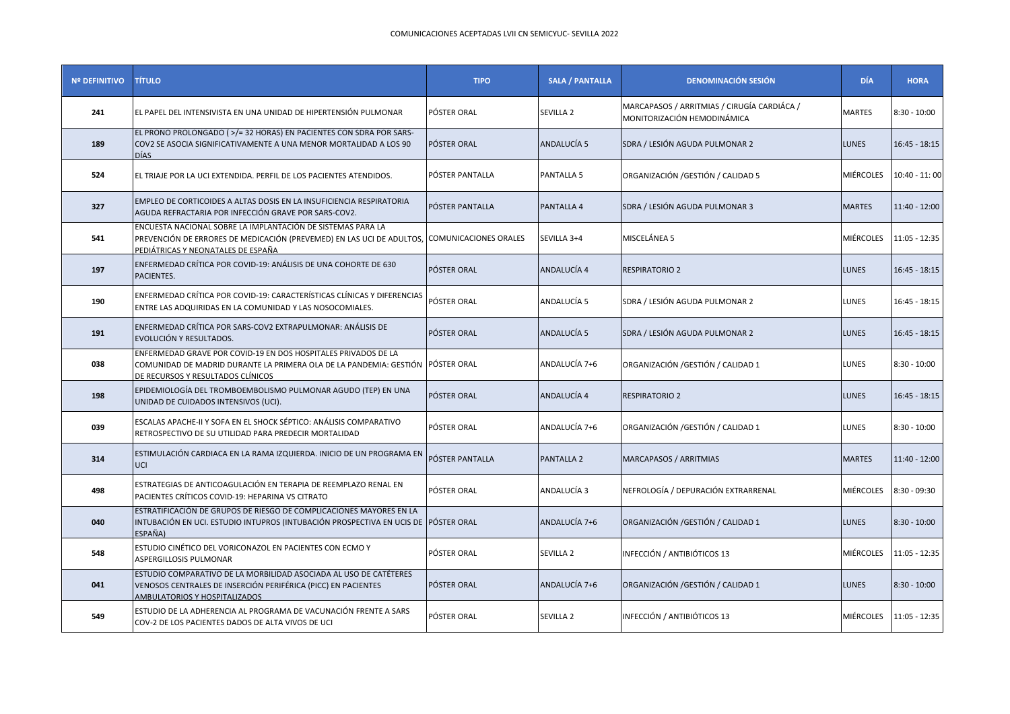| <b>Nº DEFINITIVO</b> | <b>TÍTULO</b>                                                                                                                                                                                    | <b>TIPO</b>     | <b>SALA / PANTALLA</b> | <b>DENOMINACIÓN SESIÓN</b>                                                 | <b>DÍA</b>       | <b>HORA</b>     |
|----------------------|--------------------------------------------------------------------------------------------------------------------------------------------------------------------------------------------------|-----------------|------------------------|----------------------------------------------------------------------------|------------------|-----------------|
| 241                  | EL PAPEL DEL INTENSIVISTA EN UNA UNIDAD DE HIPERTENSIÓN PULMONAR                                                                                                                                 | PÓSTER ORAL     | SEVILLA 2              | MARCAPASOS / ARRITMIAS / CIRUGÍA CARDIÁCA /<br>MONITORIZACIÓN HEMODINÁMICA | <b>MARTES</b>    | $8:30 - 10:00$  |
| 189                  | EL PRONO PROLONGADO ( >/= 32 HORAS) EN PACIENTES CON SDRA POR SARS-<br>COV2 SE ASOCIA SIGNIFICATIVAMENTE A UNA MENOR MORTALIDAD A LOS 90<br>DÍAS.                                                | PÓSTER ORAL     | ANDALUCÍA 5            | SDRA / LESIÓN AGUDA PULMONAR 2                                             | <b>LUNES</b>     | $16:45 - 18:15$ |
| 524                  | LEL TRIAJE POR LA UCI EXTENDIDA. PERFIL DE LOS PACIENTES ATENDIDOS.                                                                                                                              | PÓSTER PANTALLA | <b>PANTALLA 5</b>      | ORGANIZACIÓN / GESTIÓN / CALIDAD 5                                         | <b>MIÉRCOLES</b> | 10:40 - 11:00   |
| 327                  | EMPLEO DE CORTICOIDES A ALTAS DOSIS EN LA INSUFICIENCIA RESPIRATORIA<br>AGUDA REFRACTARIA POR INFECCIÓN GRAVE POR SARS-COV2.                                                                     | PÓSTER PANTALLA | <b>PANTALLA 4</b>      | SDRA / LESIÓN AGUDA PULMONAR 3                                             | <b>MARTES</b>    | 11:40 - 12:00   |
| 541                  | ENCUESTA NACIONAL SOBRE LA IMPLANTACIÓN DE SISTEMAS PARA LA<br>PREVENCIÓN DE ERRORES DE MEDICACIÓN (PREVEMED) EN LAS UCI DE ADULTOS, COMUNICACIONES ORALES<br>PEDIÁTRICAS Y NEONATALES DE ESPAÑA |                 | SEVILLA 3+4            | MISCELÁNEA 5                                                               | <b>MIÉRCOLES</b> | $11:05 - 12:35$ |
| 197                  | ENFERMEDAD CRÍTICA POR COVID-19: ANÁLISIS DE UNA COHORTE DE 630<br>PACIENTES.                                                                                                                    | PÓSTER ORAL     | ANDALUCÍA 4            | <b>RESPIRATORIO 2</b>                                                      | <b>LUNES</b>     | $16:45 - 18:15$ |
| 190                  | ENFERMEDAD CRÍTICA POR COVID-19: CARACTERÍSTICAS CLÍNICAS Y DIFERENCIAS<br>ENTRE LAS ADQUIRIDAS EN LA COMUNIDAD Y LAS NOSOCOMIALES.                                                              | PÓSTER ORAL     | ANDALUCÍA 5            | SDRA / LESIÓN AGUDA PULMONAR 2                                             | <b>LUNES</b>     | $16:45 - 18:15$ |
| 191                  | ENFERMEDAD CRÍTICA POR SARS-COV2 EXTRAPULMONAR: ANÁLISIS DE<br>EVOLUCIÓN Y RESULTADOS.                                                                                                           | PÓSTER ORAL     | ANDALUCÍA 5            | SDRA / LESIÓN AGUDA PULMONAR 2                                             | <b>LUNES</b>     | $16:45 - 18:15$ |
| 038                  | ENFERMEDAD GRAVE POR COVID-19 EN DOS HOSPITALES PRIVADOS DE LA<br>COMUNIDAD DE MADRID DURANTE LA PRIMERA OLA DE LA PANDEMIA: GESTIÓN POÓSTER ORAL<br>DE RECURSOS Y RESULTADOS CLÍNICOS           |                 | ANDALUCÍA 7+6          | ORGANIZACIÓN / GESTIÓN / CALIDAD 1                                         | <b>LUNES</b>     | $8:30 - 10:00$  |
| 198                  | EPIDEMIOLOGÍA DEL TROMBOEMBOLISMO PULMONAR AGUDO (TEP) EN UNA<br>UNIDAD DE CUIDADOS INTENSIVOS (UCI).                                                                                            | PÓSTER ORAL     | ANDALUCÍA 4            | <b>RESPIRATORIO 2</b>                                                      | <b>LUNES</b>     | $16:45 - 18:15$ |
| 039                  | ESCALAS APACHE-II Y SOFA EN EL SHOCK SÉPTICO: ANÁLISIS COMPARATIVO<br>RETROSPECTIVO DE SU UTILIDAD PARA PREDECIR MORTALIDAD                                                                      | PÓSTER ORAL     | ANDALUCÍA 7+6          | ORGANIZACIÓN / GESTIÓN / CALIDAD 1                                         | <b>LUNES</b>     | $8:30 - 10:00$  |
| 314                  | ESTIMULACIÓN CARDIACA EN LA RAMA IZQUIERDA. INICIO DE UN PROGRAMA EN<br>UCI                                                                                                                      | PÓSTER PANTALLA | <b>PANTALLA 2</b>      | <b>MARCAPASOS / ARRITMIAS</b>                                              | <b>MARTES</b>    | 11:40 - 12:00   |
| 498                  | ESTRATEGIAS DE ANTICOAGULACIÓN EN TERAPIA DE REEMPLAZO RENAL EN<br>PACIENTES CRÍTICOS COVID-19: HEPARINA VS CITRATO                                                                              | PÓSTER ORAL     | ANDALUCÍA 3            | NEFROLOGÍA / DEPURACIÓN EXTRARRENAL                                        | <b>MIÉRCOLES</b> | 8:30 - 09:30    |
| 040                  | ESTRATIFICACIÓN DE GRUPOS DE RIESGO DE COMPLICACIONES MAYORES EN LA<br>INTUBACIÓN EN UCI. ESTUDIO INTUPROS (INTUBACIÓN PROSPECTIVA EN UCIS DE<br>ESPAÑA)                                         | PÓSTER ORAL     | ANDALUCÍA 7+6          | ORGANIZACIÓN / GESTIÓN / CALIDAD 1                                         | <b>LUNES</b>     | $8:30 - 10:00$  |
| 548                  | ESTUDIO CINÉTICO DEL VORICONAZOL EN PACIENTES CON ECMO Y<br>ASPERGILLOSIS PULMONAR                                                                                                               | PÓSTER ORAL     | SEVILLA <sub>2</sub>   | INFECCIÓN / ANTIBIÓTICOS 13                                                | <b>MIÉRCOLES</b> | 11:05 - 12:35   |
| 041                  | ESTUDIO COMPARATIVO DE LA MORBILIDAD ASOCIADA AL USO DE CATÉTERES<br>VENOSOS CENTRALES DE INSERCIÓN PERIFÉRICA (PICC) EN PACIENTES<br>AMBULATORIOS Y HOSPITALIZADOS                              | PÓSTER ORAL     | ANDALUCÍA 7+6          | ORGANIZACIÓN / GESTIÓN / CALIDAD 1                                         | <b>LUNES</b>     | $8:30 - 10:00$  |
| 549                  | ESTUDIO DE LA ADHERENCIA AL PROGRAMA DE VACUNACIÓN FRENTE A SARS<br>COV-2 DE LOS PACIENTES DADOS DE ALTA VIVOS DE UCI                                                                            | PÓSTER ORAL     | SEVILLA 2              | INFECCIÓN / ANTIBIÓTICOS 13                                                | <b>MIÉRCOLES</b> | 11:05 - 12:35   |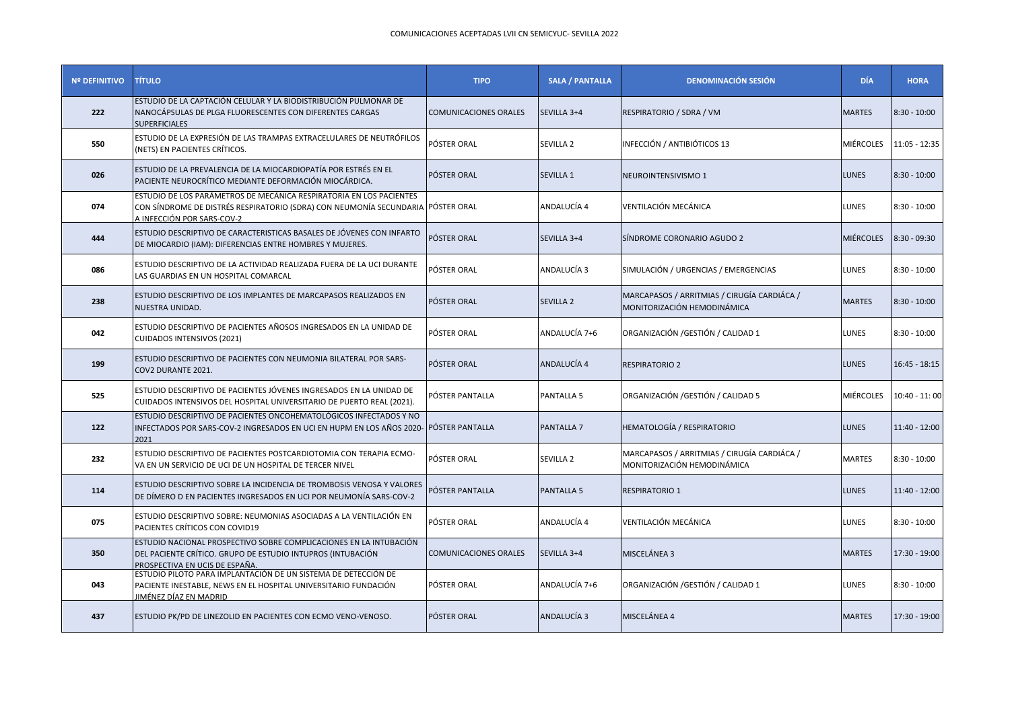| <b>Nº DEFINITIVO</b> | <b>TÍTULO</b>                                                                                                                                                                        | <b>TIPO</b>                  | <b>SALA / PANTALLA</b> | <b>DENOMINACIÓN SESIÓN</b>                                                 | <b>DÍA</b>       | <b>HORA</b>     |
|----------------------|--------------------------------------------------------------------------------------------------------------------------------------------------------------------------------------|------------------------------|------------------------|----------------------------------------------------------------------------|------------------|-----------------|
| 222                  | ESTUDIO DE LA CAPTACIÓN CELULAR Y LA BIODISTRIBUCIÓN PULMONAR DE<br>NANOCÁPSULAS DE PLGA FLUORESCENTES CON DIFERENTES CARGAS<br><b>SUPERFICIALES</b>                                 | <b>COMUNICACIONES ORALES</b> | SEVILLA 3+4            | RESPIRATORIO / SDRA / VM                                                   | <b>MARTES</b>    | $8:30 - 10:00$  |
| 550                  | ESTUDIO DE LA EXPRESIÓN DE LAS TRAMPAS EXTRACELULARES DE NEUTRÓFILOS<br>(NETS) EN PACIENTES CRÍTICOS.                                                                                | PÓSTER ORAL                  | SEVILLA <sub>2</sub>   | <b>INFECCIÓN / ANTIBIÓTICOS 13</b>                                         | <b>MIÉRCOLES</b> | $11:05 - 12:35$ |
| 026                  | ESTUDIO DE LA PREVALENCIA DE LA MIOCARDIOPATÍA POR ESTRÉS EN EL<br>PACIENTE NEUROCRÍTICO MEDIANTE DEFORMACIÓN MIOCÁRDICA.                                                            | PÓSTER ORAL                  | <b>SEVILLA 1</b>       | NEUROINTENSIVISMO 1                                                        | <b>LUNES</b>     | $8:30 - 10:00$  |
| 074                  | ESTUDIO DE LOS PARÁMETROS DE MECÁNICA RESPIRATORIA EN LOS PACIENTES<br>CON SÍNDROME DE DISTRÉS RESPIRATORIO (SDRA) CON NEUMONÍA SECUNDARIA PÓSTER ORAL<br>A INFECCIÓN POR SARS-COV-2 |                              | ANDALUCÍA 4            | VENTILACIÓN MECÁNICA                                                       | LUNES            | $8:30 - 10:00$  |
| 444                  | ESTUDIO DESCRIPTIVO DE CARACTERISTICAS BASALES DE JÓVENES CON INFARTO<br>DE MIOCARDIO (IAM): DIFERENCIAS ENTRE HOMBRES Y MUJERES.                                                    | PÓSTER ORAL                  | SEVILLA 3+4            | SÍNDROME CORONARIO AGUDO 2                                                 | <b>MIÉRCOLES</b> | $8:30 - 09:30$  |
| 086                  | ESTUDIO DESCRIPTIVO DE LA ACTIVIDAD REALIZADA FUERA DE LA UCI DURANTE<br>LAS GUARDIAS EN UN HOSPITAL COMARCAL                                                                        | PÓSTER ORAL                  | ANDALUCÍA 3            | SIMULACIÓN / URGENCIAS / EMERGENCIAS                                       | <b>LUNES</b>     | $8:30 - 10:00$  |
| 238                  | ESTUDIO DESCRIPTIVO DE LOS IMPLANTES DE MARCAPASOS REALIZADOS EN<br>NUESTRA UNIDAD.                                                                                                  | PÓSTER ORAL                  | <b>SEVILLA 2</b>       | MARCAPASOS / ARRITMIAS / CIRUGÍA CARDIÁCA /<br>MONITORIZACIÓN HEMODINÁMICA | <b>MARTES</b>    | $8:30 - 10:00$  |
| 042                  | ESTUDIO DESCRIPTIVO DE PACIENTES AÑOSOS INGRESADOS EN LA UNIDAD DE<br>CUIDADOS INTENSIVOS (2021)                                                                                     | PÓSTER ORAL                  | ANDALUCÍA 7+6          | ORGANIZACIÓN / GESTIÓN / CALIDAD 1                                         | <b>LUNES</b>     | 8:30 - 10:00    |
| 199                  | ESTUDIO DESCRIPTIVO DE PACIENTES CON NEUMONIA BILATERAL POR SARS-<br>COV2 DURANTE 2021.                                                                                              | PÓSTER ORAL                  | ANDALUCÍA 4            | <b>RESPIRATORIO 2</b>                                                      | <b>LUNES</b>     | $16:45 - 18:15$ |
| 525                  | ESTUDIO DESCRIPTIVO DE PACIENTES JÓVENES INGRESADOS EN LA UNIDAD DE<br>CUIDADOS INTENSIVOS DEL HOSPITAL UNIVERSITARIO DE PUERTO REAL (2021).                                         | PÓSTER PANTALLA              | <b>PANTALLA 5</b>      | ORGANIZACIÓN / GESTIÓN / CALIDAD 5                                         | <b>MIÉRCOLES</b> | $10:40 - 11:00$ |
| 122                  | ESTUDIO DESCRIPTIVO DE PACIENTES ONCOHEMATOLÓGICOS INFECTADOS Y NO<br>INFECTADOS POR SARS-COV-2 INGRESADOS EN UCI EN HUPM EN LOS AÑOS 2020-<br>2021                                  | PÓSTER PANTALLA              | <b>PANTALLA 7</b>      | <b>HEMATOLOGÍA / RESPIRATORIO</b>                                          | <b>LUNES</b>     | 11:40 - 12:00   |
| 232                  | ESTUDIO DESCRIPTIVO DE PACIENTES POSTCARDIOTOMIA CON TERAPIA ECMO-<br>VA EN UN SERVICIO DE UCI DE UN HOSPITAL DE TERCER NIVEL                                                        | PÓSTER ORAL                  | SEVILLA <sub>2</sub>   | MARCAPASOS / ARRITMIAS / CIRUGÍA CARDIÁCA /<br>MONITORIZACIÓN HEMODINÁMICA | <b>MARTES</b>    | $8:30 - 10:00$  |
| 114                  | ESTUDIO DESCRIPTIVO SOBRE LA INCIDENCIA DE TROMBOSIS VENOSA Y VALORES<br>DE DÍMERO D EN PACIENTES INGRESADOS EN UCI POR NEUMONÍA SARS-COV-2                                          | PÓSTER PANTALLA              | <b>PANTALLA 5</b>      | <b>RESPIRATORIO 1</b>                                                      | <b>LUNES</b>     | 11:40 - 12:00   |
| 075                  | ESTUDIO DESCRIPTIVO SOBRE: NEUMONIAS ASOCIADAS A LA VENTILACIÓN EN<br>PACIENTES CRÍTICOS CON COVID19                                                                                 | PÓSTER ORAL                  | ANDALUCÍA 4            | VENTILACIÓN MECÁNICA                                                       | <b>LUNES</b>     | $8:30 - 10:00$  |
| 350                  | ESTUDIO NACIONAL PROSPECTIVO SOBRE COMPLICACIONES EN LA INTUBACIÓN<br>DEL PACIENTE CRÍTICO. GRUPO DE ESTUDIO INTUPROS (INTUBACIÓN<br>PROSPEC <u>TIVA EN UCIS DE ESPAÑA</u>           | COMUNICACIONES ORALES        | SEVILLA 3+4            | MISCELÁNEA 3                                                               | <b>MARTES</b>    | 17:30 - 19:00   |
| 043                  | ESTUDIO PILOTO PARA IMPLANTACIÓN DE UN SISTEMA DE DETECCIÓN DE<br>PACIENTE INESTABLE, NEWS EN EL HOSPITAL UNIVERSITARIO FUNDACIÓN<br>JIMÉNEZ DÍAZ EN MADRID                          | PÓSTER ORAL                  | ANDALUCÍA 7+6          | ORGANIZACIÓN / GESTIÓN / CALIDAD 1                                         | <b>LUNES</b>     | $8:30 - 10:00$  |
| 437                  | ESTUDIO PK/PD DE LINEZOLID EN PACIENTES CON ECMO VENO-VENOSO.                                                                                                                        | PÓSTER ORAL                  | ANDALUCÍA 3            | MISCELÁNEA 4                                                               | <b>MARTES</b>    | 17:30 - 19:00   |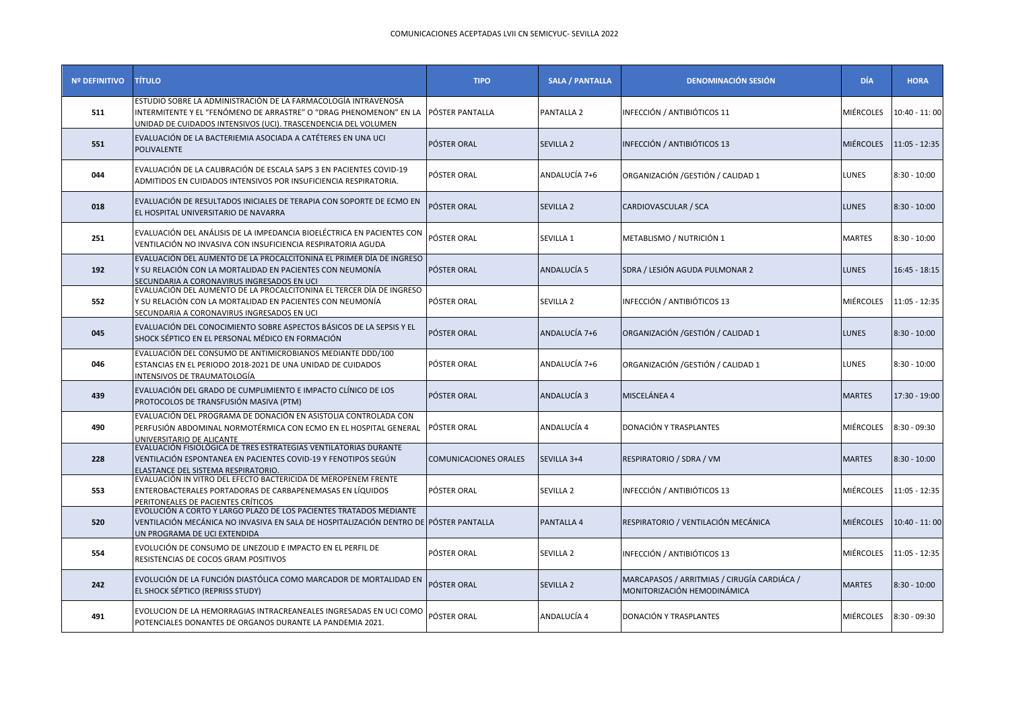| <b>Nº DEFINITIVO</b> | <b>TÍTULO</b>                                                                                                                                                                                          | <b>TIPO</b>                  | <b>SALA / PANTALLA</b> | <b>DENOMINACIÓN SESIÓN</b>                                                 | <b>DÍA</b>       | <b>HORA</b>     |
|----------------------|--------------------------------------------------------------------------------------------------------------------------------------------------------------------------------------------------------|------------------------------|------------------------|----------------------------------------------------------------------------|------------------|-----------------|
| 511                  | ESTUDIO SOBRE LA ADMINISTRACIÓN DE LA FARMACOLOGÍA INTRAVENOSA<br>INTERMITENTE Y EL "FENÓMENO DE ARRASTRE" O "DRAG PHENOMENON" EN LA<br>UNIDAD DE CUIDADOS INTENSIVOS (UCI). TRASCENDENCIA DEL VOLUMEN | PÓSTER PANTALLA              | <b>PANTALLA 2</b>      | INFECCIÓN / ANTIBIÓTICOS 11                                                | MIÉRCOLES        | 10:40 - 11:00   |
| 551                  | EVALUACIÓN DE LA BACTERIEMIA ASOCIADA A CATÉTERES EN UNA UCI<br><b>POLIVALENTE</b>                                                                                                                     | PÓSTER ORAL                  | <b>SEVILLA 2</b>       | INFECCIÓN / ANTIBIÓTICOS 13                                                | <b>MIÉRCOLES</b> | $11:05 - 12:35$ |
| 044                  | EVALUACIÓN DE LA CALIBRACIÓN DE ESCALA SAPS 3 EN PACIENTES COVID-19<br>ADMITIDOS EN CUIDADOS INTENSIVOS POR INSUFICIENCIA RESPIRATORIA.                                                                | PÓSTER ORAL                  | ANDALUCÍA 7+6          | ORGANIZACIÓN / GESTIÓN / CALIDAD 1                                         | <b>LUNES</b>     | $8:30 - 10:00$  |
| 018                  | EVALUACIÓN DE RESULTADOS INICIALES DE TERAPIA CON SOPORTE DE ECMO EN<br>EL HOSPITAL UNIVERSITARIO DE NAVARRA                                                                                           | PÓSTER ORAL                  | <b>SEVILLA 2</b>       | CARDIOVASCULAR / SCA                                                       | <b>LUNES</b>     | $8:30 - 10:00$  |
| 251                  | EVALUACIÓN DEL ANÁLISIS DE LA IMPEDANCIA BIOELÉCTRICA EN PACIENTES CON<br>VENTILACIÓN NO INVASIVA CON INSUFICIENCIA RESPIRATORIA AGUDA                                                                 | PÓSTER ORAL                  | SEVILLA 1              | METABLISMO / NUTRICIÓN 1                                                   | <b>MARTES</b>    | $8:30 - 10:00$  |
| 192                  | EVALUACIÓN DEL AUMENTO DE LA PROCALCITONINA EL PRIMER DÍA DE INGRESO<br>Y SU RELACIÓN CON LA MORTALIDAD EN PACIENTES CON NEUMONÍA<br>SECUNDARIA A CORONAVIRUS INGRESADOS EN UCI                        | PÓSTER ORAL                  | <b>ANDALUCÍA 5</b>     | SDRA / LESIÓN AGUDA PULMONAR 2                                             | <b>LUNES</b>     | $16:45 - 18:15$ |
| 552                  | EVALUACIÓN DEL AUMENTO DE LA PROCALCITONINA EL TERCER DÍA DE INGRESO<br>Y SU RELACIÓN CON LA MORTALIDAD EN PACIENTES CON NEUMONÍA<br>SECUNDARIA A CORONAVIRUS INGRESADOS EN UCI                        | PÓSTER ORAL                  | <b>SEVILLA 2</b>       | INFECCIÓN / ANTIBIÓTICOS 13                                                | <b>MIÉRCOLES</b> | 11:05 - 12:35   |
| 045                  | EVALUACIÓN DEL CONOCIMIENTO SOBRE ASPECTOS BÁSICOS DE LA SEPSIS Y EL<br>SHOCK SÉPTICO EN EL PERSONAL MÉDICO EN FORMACIÓN                                                                               | PÓSTER ORAL                  | ANDALUCÍA 7+6          | ORGANIZACIÓN / GESTIÓN / CALIDAD 1                                         | <b>LUNES</b>     | $8:30 - 10:00$  |
| 046                  | EVALUACIÓN DEL CONSUMO DE ANTIMICROBIANOS MEDIANTE DDD/100<br>ESTANCIAS EN EL PERIODO 2018-2021 DE UNA UNIDAD DE CUIDADOS<br>INTENSIVOS DE TRAUMATOLOGÍA                                               | PÓSTER ORAL                  | ANDALUCÍA 7+6          | ORGANIZACIÓN / GESTIÓN / CALIDAD 1                                         | <b>LUNES</b>     | $8:30 - 10:00$  |
| 439                  | EVALUACIÓN DEL GRADO DE CUMPLIMIENTO E IMPACTO CLÍNICO DE LOS<br>PROTOCOLOS DE TRANSFUSIÓN MASIVA (PTM)                                                                                                | PÓSTER ORAL                  | ANDALUCÍA 3            | MISCELÁNEA 4                                                               | <b>MARTES</b>    | 17:30 - 19:00   |
| 490                  | EVALUACIÓN DEL PROGRAMA DE DONACIÓN EN ASISTOLIA CONTROLADA CON<br>PERFUSIÓN ABDOMINAL NORMOTÉRMICA CON ECMO EN EL HOSPITAL GENERAL<br>UNIVERSITARIO DE ALICANTE                                       | PÓSTER ORAL                  | ANDALUCÍA 4            | DONACIÓN Y TRASPLANTES                                                     | <b>MIÉRCOLES</b> | $8:30 - 09:30$  |
| 228                  | EVALUACIÓN FISIOLÓGICA DE TRES ESTRATEGIAS VENTILATORIAS DURANTE<br>VENTILACIÓN ESPONTANEA EN PACIENTES COVID-19 Y FENOTIPOS SEGÚN<br>ELASTANCE DEL SISTEMA RESPIRATORIO                               | <b>COMUNICACIONES ORALES</b> | SEVILLA 3+4            | RESPIRATORIO / SDRA / VM                                                   | <b>MARTES</b>    | $8:30 - 10:00$  |
| 553                  | EVALUACIÓN IN VITRO DEL EFECTO BACTERICIDA DE MEROPENEM FRENTE<br>ENTEROBACTERALES PORTADORAS DE CARBAPENEMASAS EN LÍQUIDOS<br>PERITONEALES DE PACIENTES CRÍTICOS                                      | PÓSTER ORAL                  | <b>SEVILLA 2</b>       | INFECCIÓN / ANTIBIÓTICOS 13                                                | <b>MIÉRCOLES</b> | 11:05 - 12:35   |
| 520                  | EVOLUCIÓN A CORTO Y LARGO PLAZO DE LOS PACIENTES TRATADOS MEDIANTE<br>VENTILACIÓN MECÁNICA NO INVASIVA EN SALA DE HOSPITALIZACIÓN DENTRO DE PÓSTER PANTALLA<br>UN PROGRAMA DE UCI EXTENDIDA            |                              | <b>PANTALLA 4</b>      | RESPIRATORIO / VENTILACIÓN MECÁNICA                                        | <b>MIÉRCOLES</b> | 10:40 - 11:00   |
| 554                  | EVOLUCIÓN DE CONSUMO DE LINEZOLID E IMPACTO EN EL PERFIL DE<br>RESISTENCIAS DE COCOS GRAM POSITIVOS                                                                                                    | PÓSTER ORAL                  | <b>SEVILLA 2</b>       | INFECCIÓN / ANTIBIÓTICOS 13                                                | <b>MIÉRCOLES</b> | 11:05 - 12:35   |
| 242                  | EVOLUCIÓN DE LA FUNCIÓN DIASTÓLICA COMO MARCADOR DE MORTALIDAD EN<br>EL SHOCK SÉPTICO (REPRISS STUDY)                                                                                                  | PÓSTER ORAL                  | <b>SEVILLA 2</b>       | MARCAPASOS / ARRITMIAS / CIRUGÍA CARDIÁCA /<br>MONITORIZACIÓN HEMODINÁMICA | <b>MARTES</b>    | $8:30 - 10:00$  |
| 491                  | EVOLUCION DE LA HEMORRAGIAS INTRACREANEALES INGRESADAS EN UCI COMO<br>POTENCIALES DONANTES DE ORGANOS DURANTE LA PANDEMIA 2021.                                                                        | PÓSTER ORAL                  | ANDALUCÍA 4            | DONACIÓN Y TRASPLANTES                                                     | <b>MIÉRCOLES</b> | $8:30 - 09:30$  |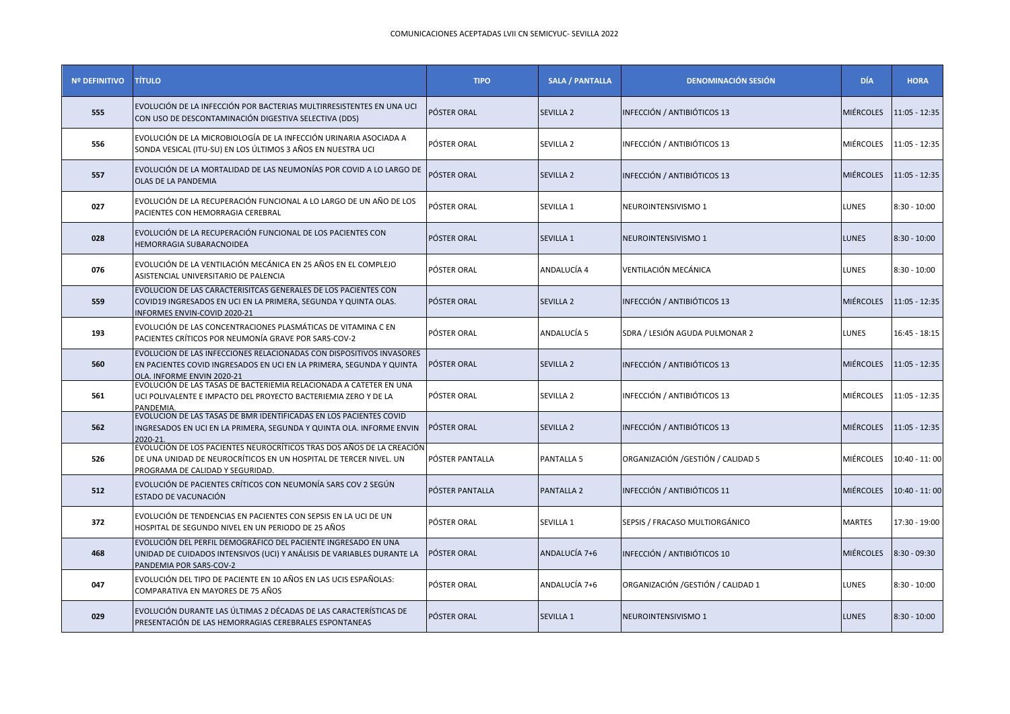| <b>Nº DEFINITIVO</b> | <b>TÍTULO</b>                                                                                                                                                                  | <b>TIPO</b>     | <b>SALA / PANTALLA</b> | <b>DENOMINACIÓN SESIÓN</b>         | DÍA              | <b>HORA</b>     |
|----------------------|--------------------------------------------------------------------------------------------------------------------------------------------------------------------------------|-----------------|------------------------|------------------------------------|------------------|-----------------|
| 555                  | EVOLUCIÓN DE LA INFECCIÓN POR BACTERIAS MULTIRRESISTENTES EN UNA UCI<br>CON USO DE DESCONTAMINACIÓN DIGESTIVA SELECTIVA (DDS)                                                  | PÓSTER ORAL     | <b>SEVILLA 2</b>       | INFECCIÓN / ANTIBIÓTICOS 13        | <b>MIÉRCOLES</b> | 11:05 - 12:35   |
| 556                  | EVOLUCIÓN DE LA MICROBIOLOGÍA DE LA INFECCIÓN URINARIA ASOCIADA A<br>SONDA VESICAL (ITU-SU) EN LOS ÚLTIMOS 3 AÑOS EN NUESTRA UCI                                               | PÓSTER ORAL     | <b>SEVILLA 2</b>       | INFECCIÓN / ANTIBIÓTICOS 13        | <b>MIÉRCOLES</b> | 11:05 - 12:35   |
| 557                  | EVOLUCIÓN DE LA MORTALIDAD DE LAS NEUMONÍAS POR COVID A LO LARGO DE<br>OLAS DE LA PANDEMIA                                                                                     | PÓSTER ORAL     | <b>SEVILLA 2</b>       | INFECCIÓN / ANTIBIÓTICOS 13        | <b>MIÉRCOLES</b> | 11:05 - 12:35   |
| 027                  | EVOLUCIÓN DE LA RECUPERACIÓN FUNCIONAL A LO LARGO DE UN AÑO DE LOS<br>PACIENTES CON HEMORRAGIA CEREBRAL                                                                        | PÓSTER ORAL     | SEVILLA 1              | NEUROINTENSIVISMO 1                | <b>LUNES</b>     | $8:30 - 10:00$  |
| 028                  | EVOLUCIÓN DE LA RECUPERACIÓN FUNCIONAL DE LOS PACIENTES CON<br><b>HEMORRAGIA SUBARACNOIDEA</b>                                                                                 | PÓSTER ORAL     | <b>SEVILLA 1</b>       | NEUROINTENSIVISMO 1                | <b>LUNES</b>     | $8:30 - 10:00$  |
| 076                  | EVOLUCIÓN DE LA VENTILACIÓN MECÁNICA EN 25 AÑOS EN EL COMPLEJO<br>ASISTENCIAL UNIVERSITARIO DE PALENCIA                                                                        | PÓSTER ORAL     | ANDALUCÍA 4            | VENTILACIÓN MECÁNICA               | LUNES            | $8:30 - 10:00$  |
| 559                  | EVOLUCION DE LAS CARACTERISITCAS GENERALES DE LOS PACIENTES CON<br>COVID19 INGRESADOS EN UCI EN LA PRIMERA, SEGUNDA Y QUINTA OLAS.<br>NFORMES ENVIN-COVID 2020-21              | PÓSTER ORAL     | <b>SEVILLA 2</b>       | INFECCIÓN / ANTIBIÓTICOS 13        | <b>MIÉRCOLES</b> | $11:05 - 12:35$ |
| 193                  | EVOLUCIÓN DE LAS CONCENTRACIONES PLASMÁTICAS DE VITAMINA C EN<br>PACIENTES CRÍTICOS POR NEUMONÍA GRAVE POR SARS-COV-2                                                          | PÓSTER ORAL     | ANDALUCÍA 5            | SDRA / LESIÓN AGUDA PULMONAR 2     | <b>LUNES</b>     | 16:45 - 18:15   |
| 560                  | EVOLUCION DE LAS INFECCIONES RELACIONADAS CON DISPOSITIVOS INVASORES<br>EN PACIENTES COVID INGRESADOS EN UCI EN LA PRIMERA, SEGUNDA Y QUINTA<br>OLA. INFORME ENVIN 2020-21     | PÓSTER ORAL     | <b>SEVILLA 2</b>       | INFECCIÓN / ANTIBIÓTICOS 13        | <b>MIÉRCOLES</b> | 11:05 - 12:35   |
| 561                  | EVOLUCIÓN DE LAS TASAS DE BACTERIEMIA RELACIONADA A CATETER EN UNA<br>UCI POLIVALENTE E IMPACTO DEL PROYECTO BACTERIEMIA ZERO Y DE LA<br>PANDFMIA                              | PÓSTER ORAL     | SEVILLA <sub>2</sub>   | INFECCIÓN / ANTIBIÓTICOS 13        | <b>MIÉRCOLES</b> | 11:05 - 12:35   |
| 562                  | EVOLUCION DE LAS TASAS DE BMR IDENTIFICADAS EN LOS PACIENTES COVID<br>INGRESADOS EN UCI EN LA PRIMERA, SEGUNDA Y QUINTA OLA. INFORME ENVIN<br>2020-21                          | PÓSTER ORAL     | <b>SEVILLA 2</b>       | INFECCIÓN / ANTIBIÓTICOS 13        | <b>MIÉRCOLES</b> | $11:05 - 12:35$ |
| 526                  | EVOLUCIÓN DE LOS PACIENTES NEUROCRÍTICOS TRAS DOS AÑOS DE LA CREACIÓN<br>DE UNA UNIDAD DE NEUROCRÍTICOS EN UN HOSPITAL DE TERCER NIVEL. UN<br>PROGRAMA DE CALIDAD Y SEGURIDAD. | PÓSTER PANTALLA | <b>PANTALLA 5</b>      | ORGANIZACIÓN / GESTIÓN / CALIDAD 5 | <b>MIÉRCOLES</b> | 10:40 - 11:00   |
| 512                  | EVOLUCIÓN DE PACIENTES CRÍTICOS CON NEUMONÍA SARS COV 2 SEGÚN<br>ESTADO DE VACUNACIÓN                                                                                          | PÓSTER PANTALLA | <b>PANTALLA 2</b>      | INFECCIÓN / ANTIBIÓTICOS 11        | <b>MIÉRCOLES</b> | 10:40 - 11:00   |
| 372                  | EVOLUCIÓN DE TENDENCIAS EN PACIENTES CON SEPSIS EN LA UCI DE UN<br>HOSPITAL DE SEGUNDO NIVEL EN UN PERIODO DE 25 AÑOS                                                          | PÓSTER ORAL     | SEVILLA 1              | SEPSIS / FRACASO MULTIORGÁNICO     | <b>MARTES</b>    | 17:30 - 19:00   |
| 468                  | EVOLUCIÓN DEL PERFIL DEMOGRÁFICO DEL PACIENTE INGRESADO EN UNA<br>UNIDAD DE CUIDADOS INTENSIVOS (UCI) Y ANÁLISIS DE VARIABLES DURANTE LA<br>PANDEMIA POR SARS-COV-2            | PÓSTER ORAL     | ANDALUCÍA 7+6          | INFECCIÓN / ANTIBIÓTICOS 10        | <b>MIÉRCOLES</b> | $8:30 - 09:30$  |
| 047                  | EVOLUCIÓN DEL TIPO DE PACIENTE EN 10 AÑOS EN LAS UCIS ESPAÑOLAS:<br>COMPARATIVA EN MAYORES DE 75 AÑOS                                                                          | PÓSTER ORAL     | ANDALUCÍA 7+6          | ORGANIZACIÓN /GESTIÓN / CALIDAD 1  | <b>LUNES</b>     | $8:30 - 10:00$  |
| 029                  | EVOLUCIÓN DURANTE LAS ÚLTIMAS 2 DÉCADAS DE LAS CARACTERÍSTICAS DE<br>PRESENTACIÓN DE LAS HEMORRAGIAS CEREBRALES ESPONTANEAS                                                    | PÓSTER ORAL     | <b>SEVILLA 1</b>       | NEUROINTENSIVISMO 1                | <b>LUNES</b>     | $8:30 - 10:00$  |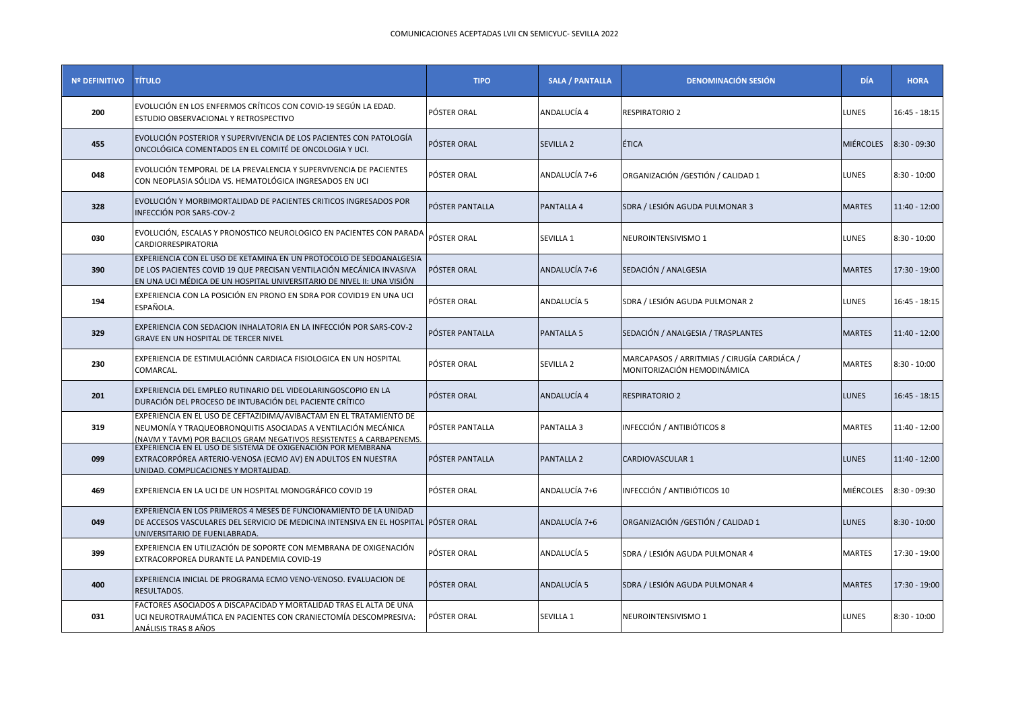| <b>Nº DEFINITIVO</b> | <b>TÍTULO</b>                                                                                                                                                                                                                               | <b>TIPO</b>     | <b>SALA / PANTALLA</b> | <b>DENOMINACIÓN SESIÓN</b>                                                 | <b>DÍA</b>       | <b>HORA</b>     |
|----------------------|---------------------------------------------------------------------------------------------------------------------------------------------------------------------------------------------------------------------------------------------|-----------------|------------------------|----------------------------------------------------------------------------|------------------|-----------------|
| 200                  | EVOLUCIÓN EN LOS ENFERMOS CRÍTICOS CON COVID-19 SEGÚN LA EDAD.<br>ESTUDIO OBSERVACIONAL Y RETROSPECTIVO                                                                                                                                     | PÓSTER ORAL     | ANDALUCÍA 4            | <b>RESPIRATORIO 2</b>                                                      | <b>LUNES</b>     | 16:45 - 18:15   |
| 455                  | EVOLUCIÓN POSTERIOR Y SUPERVIVENCIA DE LOS PACIENTES CON PATOLOGÍA<br>ONCOLÓGICA COMENTADOS EN EL COMITÉ DE ONCOLOGIA Y UCI.                                                                                                                | PÓSTER ORAL     | <b>SEVILLA 2</b>       | <b>ÉTICA</b>                                                               | <b>MIÉRCOLES</b> | $8:30 - 09:30$  |
| 048                  | EVOLUCIÓN TEMPORAL DE LA PREVALENCIA Y SUPERVIVENCIA DE PACIENTES<br>CON NEOPLASIA SÓLIDA VS. HEMATOLÓGICA INGRESADOS EN UCI                                                                                                                | PÓSTER ORAL     | ANDALUCÍA 7+6          | ORGANIZACIÓN / GESTIÓN / CALIDAD 1                                         | <b>LUNES</b>     | $8:30 - 10:00$  |
| 328                  | EVOLUCIÓN Y MORBIMORTALIDAD DE PACIENTES CRITICOS INGRESADOS POR<br><b>INFECCIÓN POR SARS-COV-2</b>                                                                                                                                         | PÓSTER PANTALLA | <b>PANTALLA 4</b>      | SDRA / LESIÓN AGUDA PULMONAR 3                                             | <b>MARTES</b>    | $11:40 - 12:00$ |
| 030                  | EVOLUCIÓN, ESCALAS Y PRONOSTICO NEUROLOGICO EN PACIENTES CON PARADA<br><b>CARDIORRESPIRATORIA</b>                                                                                                                                           | PÓSTER ORAL     | SEVILLA 1              | NEUROINTENSIVISMO 1                                                        | <b>LUNES</b>     | $8:30 - 10:00$  |
| 390                  | EXPERIENCIA CON EL USO DE KETAMINA EN UN PROTOCOLO DE SEDOANALGESIA<br>DE LOS PACIENTES COVID 19 QUE PRECISAN VENTILACIÓN MECÁNICA INVASIVA<br>EN UNA UCI MÉDICA DE UN HOSPITAL UNIVERSITARIO DE NIVEL II: UNA VISIÓN                       | PÓSTER ORAL     | ANDALUCÍA 7+6          | SEDACIÓN / ANALGESIA                                                       | <b>MARTES</b>    | 17:30 - 19:00   |
| 194                  | EXPERIENCIA CON LA POSICIÓN EN PRONO EN SDRA POR COVID19 EN UNA UCI<br>ESPAÑOLA.                                                                                                                                                            | PÓSTER ORAL     | ANDALUCÍA 5            | SDRA / LESIÓN AGUDA PULMONAR 2                                             | <b>LUNES</b>     | 16:45 - 18:15   |
| 329                  | EXPERIENCIA CON SEDACION INHALATORIA EN LA INFECCIÓN POR SARS-COV-2<br>GRAVE EN UN HOSPITAL DE TERCER NIVEL                                                                                                                                 | PÓSTER PANTALLA | <b>PANTALLA 5</b>      | SEDACIÓN / ANALGESIA / TRASPLANTES                                         | <b>MARTES</b>    | 11:40 - 12:00   |
| 230                  | EXPERIENCIA DE ESTIMULACIÓNN CARDIACA FISIOLOGICA EN UN HOSPITAL<br>COMARCAL.                                                                                                                                                               | PÓSTER ORAL     | SEVILLA 2              | MARCAPASOS / ARRITMIAS / CIRUGÍA CARDIÁCA /<br>MONITORIZACIÓN HEMODINÁMICA | <b>MARTES</b>    | $8:30 - 10:00$  |
| 201                  | EXPERIENCIA DEL EMPLEO RUTINARIO DEL VIDEOLARINGOSCOPIO EN LA<br>DURACIÓN DEL PROCESO DE INTUBACIÓN DEL PACIENTE CRÍTICO                                                                                                                    | PÓSTER ORAL     | ANDALUCÍA 4            | <b>RESPIRATORIO 2</b>                                                      | <b>LUNES</b>     | $16:45 - 18:15$ |
| 319                  | EXPERIENCIA EN EL USO DE CEFTAZIDIMA/AVIBACTAM EN EL TRATAMIENTO DE<br>NEUMONÍA Y TRAQUEOBRONQUITIS ASOCIADAS A VENTILACIÓN MECÁNICA                                                                                                        | PÓSTER PANTALLA | <b>PANTALLA 3</b>      | INFECCIÓN / ANTIBIÓTICOS 8                                                 | <b>MARTES</b>    | 11:40 - 12:00   |
| 099                  | (NAVM Y TAVM) POR BACILOS GRAM NEGATIVOS RESISTENTES A CARBAPENEMS.<br>EXPERIENCIA EN EL USO DE SISTEMA DE OXIGENACIÓN POR MEMBRANA<br>EXTRACORPÓREA ARTERIO-VENOSA (ECMO AV) EN ADULTOS EN NUESTRA<br>UNIDAD. COMPLICACIONES Y MORTALIDAD. | PÓSTER PANTALLA | <b>PANTALLA 2</b>      | <b>CARDIOVASCULAR 1</b>                                                    | <b>LUNES</b>     | 11:40 - 12:00   |
| 469                  | EXPERIENCIA EN LA UCI DE UN HOSPITAL MONOGRÁFICO COVID 19                                                                                                                                                                                   | PÓSTER ORAL     | ANDALUCÍA 7+6          | INFECCIÓN / ANTIBIÓTICOS 10                                                | <b>MIÉRCOLES</b> | $8:30 - 09:30$  |
| 049                  | EXPERIENCIA EN LOS PRIMEROS 4 MESES DE FUNCIONAMIENTO DE LA UNIDAD<br>IDE ACCESOS VASCULARES DEL SERVICIO DE MEDICINA INTENSIVA EN EL HOSPITAL<br>UNIVERSITARIO DE FUENLABRADA.                                                             | PÓSTER ORAL     | ANDALUCÍA 7+6          | ORGANIZACIÓN / GESTIÓN / CALIDAD 1                                         | <b>LUNES</b>     | $8:30 - 10:00$  |
| 399                  | EXPERIENCIA EN UTILIZACIÓN DE SOPORTE CON MEMBRANA DE OXIGENACIÓN<br>EXTRACORPOREA DURANTE LA PANDEMIA COVID-19                                                                                                                             | PÓSTER ORAL     | ANDALUCÍA 5            | SDRA / LESIÓN AGUDA PULMONAR 4                                             | <b>MARTES</b>    | 17:30 - 19:00   |
| 400                  | EXPERIENCIA INICIAL DE PROGRAMA ECMO VENO-VENOSO. EVALUACION DE<br>RESULTADOS.                                                                                                                                                              | PÓSTER ORAL     | ANDALUCÍA 5            | SDRA / LESIÓN AGUDA PULMONAR 4                                             | <b>MARTES</b>    | 17:30 - 19:00   |
| 031                  | FACTORES ASOCIADOS A DISCAPACIDAD Y MORTALIDAD TRAS EL ALTA DE UNA<br>UCI NEUROTRAUMÁTICA EN PACIENTES CON CRANIECTOMÍA DESCOMPRESIVA:<br>ANÁLISIS TRAS 8 AÑOS                                                                              | PÓSTER ORAL     | SEVILLA 1              | NEUROINTENSIVISMO 1                                                        | <b>LUNES</b>     | $8:30 - 10:00$  |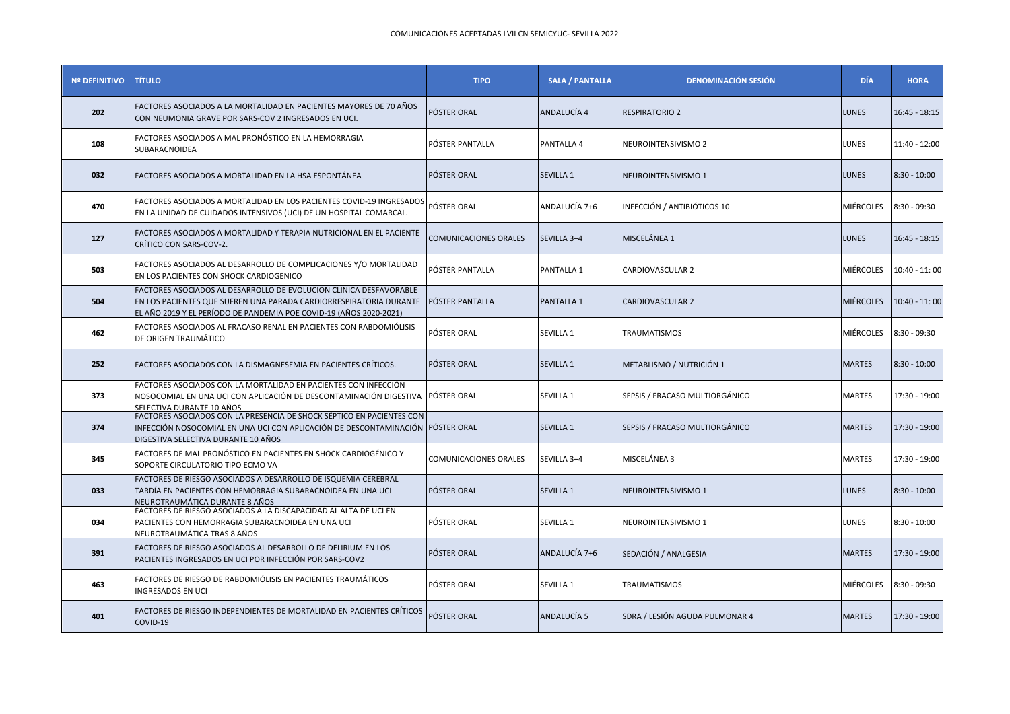| <b>Nº DEFINITIVO</b> | <b>TÍTULO</b>                                                                                                                                                                                                  | <b>TIPO</b>            | <b>SALA / PANTALLA</b> | <b>DENOMINACIÓN SESIÓN</b>     | <b>DÍA</b>       | <b>HORA</b>     |
|----------------------|----------------------------------------------------------------------------------------------------------------------------------------------------------------------------------------------------------------|------------------------|------------------------|--------------------------------|------------------|-----------------|
| 202                  | FACTORES ASOCIADOS A LA MORTALIDAD EN PACIENTES MAYORES DE 70 AÑOS<br>CON NEUMONIA GRAVE POR SARS-COV 2 INGRESADOS EN UCI.                                                                                     | PÓSTER ORAL            | ANDALUCÍA 4            | <b>RESPIRATORIO 2</b>          | <b>LUNES</b>     | $16:45 - 18:15$ |
| 108                  | FACTORES ASOCIADOS A MAL PRONÓSTICO EN LA HEMORRAGIA<br><b>SUBARACNOIDEA</b>                                                                                                                                   | PÓSTER PANTALLA        | <b>PANTALLA 4</b>      | NEUROINTENSIVISMO 2            | <b>LUNES</b>     | 11:40 - 12:00   |
| 032                  | FACTORES ASOCIADOS A MORTALIDAD EN LA HSA ESPONTÁNEA                                                                                                                                                           | PÓSTER ORAL            | <b>SEVILLA 1</b>       | <b>NEUROINTENSIVISMO 1</b>     | <b>LUNES</b>     | $8:30 - 10:00$  |
| 470                  | FACTORES ASOCIADOS A MORTALIDAD EN LOS PACIENTES COVID-19 INGRESADOS<br>EN LA UNIDAD DE CUIDADOS INTENSIVOS (UCI) DE UN HOSPITAL COMARCAL.                                                                     | PÓSTER ORAL            | ANDALUCÍA 7+6          | INFECCIÓN / ANTIBIÓTICOS 10    | <b>MIÉRCOLES</b> | 8:30 - 09:30    |
| 127                  | FACTORES ASOCIADOS A MORTALIDAD Y TERAPIA NUTRICIONAL EN EL PACIENTE<br>CRÍTICO CON SARS-COV-2.                                                                                                                | COMUNICACIONES ORALES  | SEVILLA 3+4            | MISCELÁNEA 1                   | <b>LUNES</b>     | $16:45 - 18:15$ |
| 503                  | FACTORES ASOCIADOS AL DESARROLLO DE COMPLICACIONES Y/O MORTALIDAD<br>EN LOS PACIENTES CON SHOCK CARDIOGENICO                                                                                                   | PÓSTER PANTALLA        | <b>PANTALLA 1</b>      | CARDIOVASCULAR 2               | MIÉRCOLES        | 10:40 - 11:00   |
| 504                  | FACTORES ASOCIADOS AL DESARROLLO DE EVOLUCION CLINICA DESFAVORABLE<br>EN LOS PACIENTES QUE SUFREN UNA PARADA CARDIORRESPIRATORIA DURANTE<br>EL AÑO 2019 Y EL PERÍODO DE PANDEMIA POE COVID-19 (AÑOS 2020-2021) | <b>PÓSTER PANTALLA</b> | <b>PANTALLA 1</b>      | <b>CARDIOVASCULAR 2</b>        | <b>MIÉRCOLES</b> | 10:40 - 11:00   |
| 462                  | FACTORES ASOCIADOS AL FRACASO RENAL EN PACIENTES CON RABDOMIÓLISIS<br>DE ORIGEN TRAUMÁTICO                                                                                                                     | PÓSTER ORAL            | SEVILLA 1              | TRAUMATISMOS                   | <b>MIÉRCOLES</b> | $8:30 - 09:30$  |
| 252                  | FACTORES ASOCIADOS CON LA DISMAGNESEMIA EN PACIENTES CRÍTICOS.                                                                                                                                                 | PÓSTER ORAL            | <b>SEVILLA 1</b>       | METABLISMO / NUTRICIÓN 1       | <b>MARTES</b>    | $8:30 - 10:00$  |
| 373                  | FACTORES ASOCIADOS CON LA MORTALIDAD EN PACIENTES CON INFECCIÓN<br>NOSOCOMIAL EN UNA UCI CON APLICACIÓN DE DESCONTAMINACIÓN DIGESTIVA<br>SELECTIVA DURANTE 10 AÑOS                                             | PÓSTER ORAL            | <b>SEVILLA 1</b>       | SEPSIS / FRACASO MULTIORGÁNICO | <b>MARTES</b>    | 17:30 - 19:00   |
| 374                  | FACTORES ASOCIADOS CON LA PRESENCIA DE SHOCK SÉPTICO EN PACIENTES CON<br>INFECCIÓN NOSOCOMIAL EN UNA UCI CON APLICACIÓN DE DESCONTAMINACIÓN<br>DIGESTIVA SELECTIVA DURANTE 10 AÑOS                             | PÓSTER ORAL            | <b>SEVILLA 1</b>       | SEPSIS / FRACASO MULTIORGÁNICO | <b>MARTES</b>    | 17:30 - 19:00   |
| 345                  | FACTORES DE MAL PRONÓSTICO EN PACIENTES EN SHOCK CARDIOGÉNICO Y<br>SOPORTE CIRCULATORIO TIPO ECMO VA                                                                                                           | COMUNICACIONES ORALES  | SEVILLA 3+4            | MISCELÁNEA 3                   | <b>MARTES</b>    | 17:30 - 19:00   |
| 033                  | FACTORES DE RIESGO ASOCIADOS A DESARROLLO DE ISQUEMIA CEREBRAL<br>TARDÍA EN PACIENTES CON HEMORRAGIA SUBARACNOIDEA EN UNA UCI<br>NEUROTRAUMÁTICA DURANTE 8 AÑOS                                                | PÓSTER ORAL            | <b>SEVILLA 1</b>       | NEUROINTENSIVISMO 1            | <b>LUNES</b>     | $8:30 - 10:00$  |
| 034                  | FACTORES DE RIESGO ASOCIADOS A LA DISCAPACIDAD AL ALTA DE UCI EN<br>PACIENTES CON HEMORRAGIA SUBARACNOIDEA EN UNA UCI<br>NEUROTRAUMÁTICA TRAS 8 AÑOS                                                           | PÓSTER ORAL            | SEVILLA 1              | NEUROINTENSIVISMO 1            | <b>LUNES</b>     | $8:30 - 10:00$  |
| 391                  | FACTORES DE RIESGO ASOCIADOS AL DESARROLLO DE DELIRIUM EN LOS<br>PACIENTES INGRESADOS EN UCI POR INFECCIÓN POR SARS-COV2                                                                                       | PÓSTER ORAL            | ANDALUCÍA 7+6          | SEDACIÓN / ANALGESIA           | <b>MARTES</b>    | 17:30 - 19:00   |
| 463                  | FACTORES DE RIESGO DE RABDOMIÓLISIS EN PACIENTES TRAUMÁTICOS<br><b>INGRESADOS EN UCI</b>                                                                                                                       | PÓSTER ORAL            | <b>SEVILLA 1</b>       | <b>TRAUMATISMOS</b>            | <b>MIÉRCOLES</b> | $8:30 - 09:30$  |
| 401                  | FACTORES DE RIESGO INDEPENDIENTES DE MORTALIDAD EN PACIENTES CRÍTICOS<br>COVID-19                                                                                                                              | PÓSTER ORAL            | <b>ANDALUCÍA 5</b>     | SDRA / LESIÓN AGUDA PULMONAR 4 | <b>MARTES</b>    | 17:30 - 19:00   |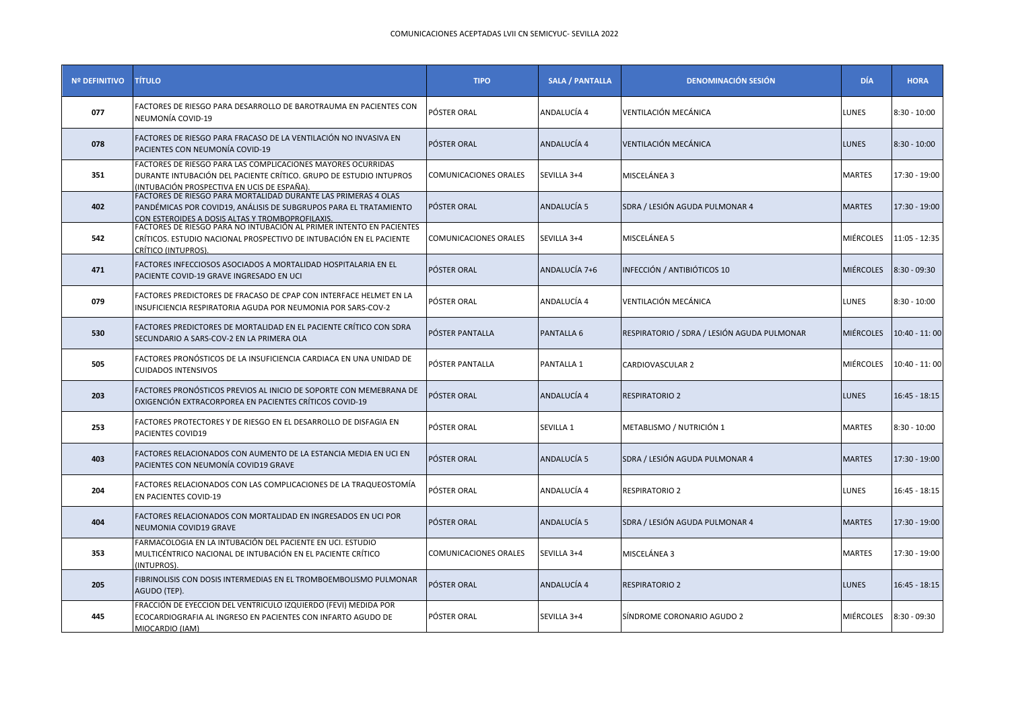| <b>Nº DEFINITIVO</b> | <b>TÍTULO</b>                                                                                                                                                                          | <b>TIPO</b>           | <b>SALA / PANTALLA</b> | <b>DENOMINACIÓN SESIÓN</b>                  | <b>DÍA</b>       | <b>HORA</b>     |
|----------------------|----------------------------------------------------------------------------------------------------------------------------------------------------------------------------------------|-----------------------|------------------------|---------------------------------------------|------------------|-----------------|
| 077                  | FACTORES DE RIESGO PARA DESARROLLO DE BAROTRAUMA EN PACIENTES CON<br>NEUMONÍA COVID-19                                                                                                 | PÓSTER ORAL           | ANDALUCÍA 4            | VENTILACIÓN MECÁNICA                        | <b>LUNES</b>     | $8:30 - 10:00$  |
| 078                  | FACTORES DE RIESGO PARA FRACASO DE LA VENTILACIÓN NO INVASIVA EN<br>PACIENTES CON NEUMONÍA COVID-19                                                                                    | PÓSTER ORAL           | ANDALUCÍA 4            | <b>VENTILACIÓN MECÁNICA</b>                 | <b>LUNES</b>     | $8:30 - 10:00$  |
| 351                  | FACTORES DE RIESGO PARA LAS COMPLICACIONES MAYORES OCURRIDAS<br>DURANTE INTUBACIÓN DEL PACIENTE CRÍTICO. GRUPO DE ESTUDIO INTUPROS<br>(INTUBACIÓN PROSPECTIVA EN UCIS DE ESPAÑA)       | COMUNICACIONES ORALES | SEVILLA 3+4            | MISCELÁNEA 3                                | <b>MARTES</b>    | 17:30 - 19:00   |
| 402                  | FACTORES DE RIESGO PARA MORTALIDAD DURANTE LAS PRIMERAS 4 OLAS<br>PANDÉMICAS POR COVID19, ANÁLISIS DE SUBGRUPOS PARA EL TRATAMIENTO<br>CON ESTEROIDES A DOSIS ALTAS Y TROMBOPROFILAXIS | PÓSTER ORAL           | <b>ANDALUCÍA 5</b>     | SDRA / LESIÓN AGUDA PULMONAR 4              | <b>MARTES</b>    | 17:30 - 19:00   |
| 542                  | FACTORES DE RIESGO PARA NO INTUBACIÓN AL PRIMER INTENTO EN PACIENTES<br>CRÍTICOS. ESTUDIO NACIONAL PROSPECTIVO DE INTUBACIÓN EN EL PACIENTE<br>CRÍTICO (INTUPROS).                     | COMUNICACIONES ORALES | SEVILLA 3+4            | MISCELÁNEA 5                                | <b>MIÉRCOLES</b> | $11:05 - 12:35$ |
| 471                  | FACTORES INFECCIOSOS ASOCIADOS A MORTALIDAD HOSPITALARIA EN EL<br>PACIENTE COVID-19 GRAVE INGRESADO EN UCI                                                                             | PÓSTER ORAL           | ANDALUCÍA 7+6          | INFECCIÓN / ANTIBIÓTICOS 10                 | <b>MIÉRCOLES</b> | $8:30 - 09:30$  |
| 079                  | FACTORES PREDICTORES DE FRACASO DE CPAP CON INTERFACE HELMET EN LA<br>INSUFICIENCIA RESPIRATORIA AGUDA POR NEUMONIA POR SARS-COV-2                                                     | PÓSTER ORAL           | ANDALUCÍA 4            | <b>VENTILACIÓN MECÁNICA</b>                 | <b>LUNES</b>     | $8:30 - 10:00$  |
| 530                  | FACTORES PREDICTORES DE MORTALIDAD EN EL PACIENTE CRÍTICO CON SDRA<br>SECUNDARIO A SARS-COV-2 EN LA PRIMERA OLA                                                                        | PÓSTER PANTALLA       | <b>PANTALLA 6</b>      | RESPIRATORIO / SDRA / LESIÓN AGUDA PULMONAR | <b>MIÉRCOLES</b> | 10:40 - 11:00   |
| 505                  | FACTORES PRONÓSTICOS DE LA INSUFICIENCIA CARDIACA EN UNA UNIDAD DE<br><b>CUIDADOS INTENSIVOS</b>                                                                                       | PÓSTER PANTALLA       | PANTALLA 1             | CARDIOVASCULAR 2                            | <b>MIÉRCOLES</b> | 10:40 - 11:00   |
| 203                  | FACTORES PRONÓSTICOS PREVIOS AL INICIO DE SOPORTE CON MEMEBRANA DE<br>OXIGENCIÓN EXTRACORPOREA EN PACIENTES CRÍTICOS COVID-19                                                          | PÓSTER ORAL           | ANDALUCÍA 4            | <b>RESPIRATORIO 2</b>                       | <b>LUNES</b>     | $16:45 - 18:15$ |
| 253                  | FACTORES PROTECTORES Y DE RIESGO EN EL DESARROLLO DE DISFAGIA EN<br>PACIENTES COVID19                                                                                                  | PÓSTER ORAL           | SEVILLA 1              | METABLISMO / NUTRICIÓN 1                    | <b>MARTES</b>    | $8:30 - 10:00$  |
| 403                  | FACTORES RELACIONADOS CON AUMENTO DE LA ESTANCIA MEDIA EN UCI EN<br>PACIENTES CON NEUMONÍA COVID19 GRAVE                                                                               | PÓSTER ORAL           | ANDALUCÍA 5            | SDRA / LESIÓN AGUDA PULMONAR 4              | <b>MARTES</b>    | 17:30 - 19:00   |
| 204                  | FACTORES RELACIONADOS CON LAS COMPLICACIONES DE LA TRAQUEOSTOMÍA<br><b>EN PACIENTES COVID-19</b>                                                                                       | PÓSTER ORAL           | ANDALUCÍA 4            | <b>RESPIRATORIO 2</b>                       | <b>LUNES</b>     | $16:45 - 18:15$ |
| 404                  | FACTORES RELACIONADOS CON MORTALIDAD EN INGRESADOS EN UCI POR<br>NEUMONIA COVID19 GRAVE                                                                                                | PÓSTER ORAL           | ANDALUCÍA 5            | SDRA / LESIÓN AGUDA PULMONAR 4              | <b>MARTES</b>    | 17:30 - 19:00   |
| 353                  | FARMACOLOGIA EN LA INTUBACIÓN DEL PACIENTE EN UCI. ESTUDIO<br>MULTICÉNTRICO NACIONAL DE INTUBACIÓN EN EL PACIENTE CRÍTICO<br>(INTUPROS)                                                | COMUNICACIONES ORALES | SEVILLA 3+4            | MISCELÁNEA 3                                | <b>MARTES</b>    | 17:30 - 19:00   |
| 205                  | FIBRINOLISIS CON DOSIS INTERMEDIAS EN EL TROMBOEMBOLISMO PULMONAR<br>AGUDO (TEP).                                                                                                      | PÓSTER ORAL           | ANDALUCÍA 4            | <b>RESPIRATORIO 2</b>                       | <b>LUNES</b>     | 16:45 - 18:15   |
| 445                  | FRACCIÓN DE EYECCION DEL VENTRICULO IZQUIERDO (FEVI) MEDIDA POR<br>ECOCARDIOGRAFIA AL INGRESO EN PACIENTES CON INFARTO AGUDO DE<br>MIOCARDIO (IAM)                                     | PÓSTER ORAL           | SEVILLA 3+4            | SÍNDROME CORONARIO AGUDO 2                  | <b>MIÉRCOLES</b> | $8:30 - 09:30$  |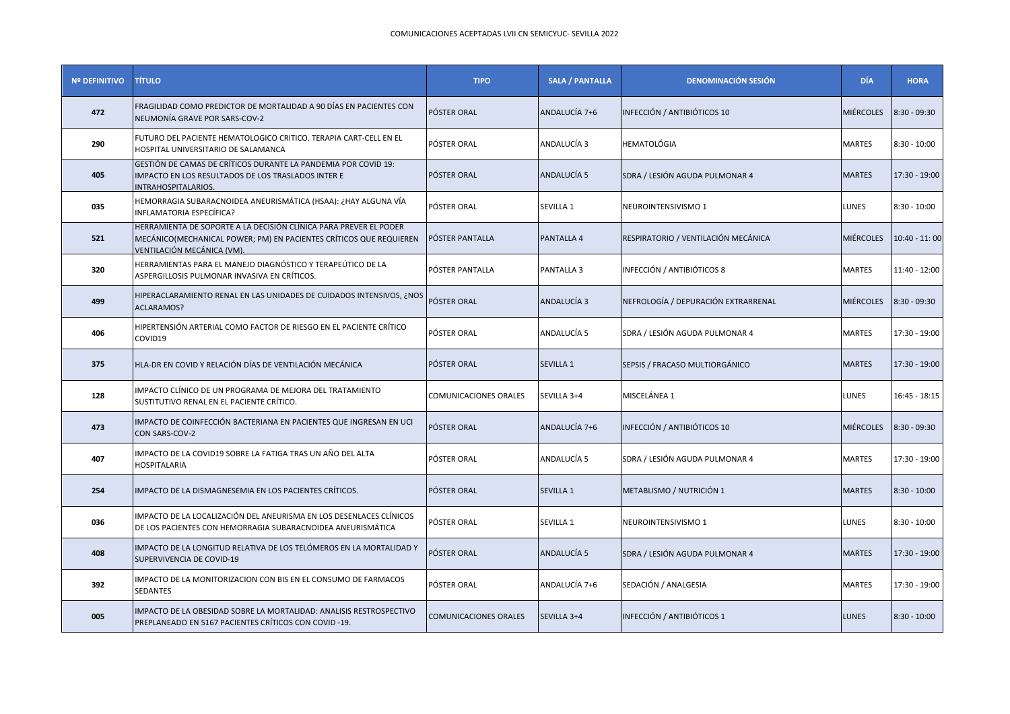| <b>Nº DEFINITIVO</b> | <b>TÍTULO</b>                                                                                                                                                          | <b>TIPO</b>                  | <b>SALA / PANTALLA</b> | <b>DENOMINACIÓN SESIÓN</b>          | <b>DÍA</b>       | <b>HORA</b>     |
|----------------------|------------------------------------------------------------------------------------------------------------------------------------------------------------------------|------------------------------|------------------------|-------------------------------------|------------------|-----------------|
| 472                  | FRAGILIDAD COMO PREDICTOR DE MORTALIDAD A 90 DÍAS EN PACIENTES CON<br>NEUMONÍA GRAVE POR SARS-COV-2                                                                    | PÓSTER ORAL                  | ANDALUCÍA 7+6          | INFECCIÓN / ANTIBIÓTICOS 10         | <b>MIÉRCOLES</b> | $8:30 - 09:30$  |
| 290                  | FUTURO DEL PACIENTE HEMATOLOGICO CRITICO. TERAPIA CART-CELL EN EL<br>HOSPITAL UNIVERSITARIO DE SALAMANCA                                                               | PÓSTER ORAL                  | ANDALUCÍA 3            | HEMATOLÓGIA                         | <b>MARTES</b>    | $8:30 - 10:00$  |
| 405                  | GESTIÓN DE CAMAS DE CRÍTICOS DURANTE LA PANDEMIA POR COVID 19:<br>IMPACTO EN LOS RESULTADOS DE LOS TRASLADOS INTER E<br>INTRAHOSPITALARIOS.                            | PÓSTER ORAL                  | ANDALUCÍA 5            | SDRA / LESIÓN AGUDA PULMONAR 4      | <b>MARTES</b>    | 17:30 - 19:00   |
| 035                  | HEMORRAGIA SUBARACNOIDEA ANEURISMÁTICA (HSAA): ¿HAY ALGUNA VÍA<br>INFLAMATORIA ESPECÍFICA?                                                                             | PÓSTER ORAL                  | SEVILLA 1              | NEUROINTENSIVISMO 1                 | <b>LUNES</b>     | $8:30 - 10:00$  |
| 521                  | HERRAMIENTA DE SOPORTE A LA DECISIÓN CLÍNICA PARA PREVER EL PODER<br>MECÁNICO (MECHANICAL POWER; PM) EN PACIENTES CRÍTICOS QUE REQUIEREN<br>VENTILACIÓN MECÁNICA (VM). | PÓSTER PANTALLA              | <b>PANTALLA 4</b>      | RESPIRATORIO / VENTILACIÓN MECÁNICA | <b>MIÉRCOLES</b> | $10:40 - 11:00$ |
| 320                  | HERRAMIENTAS PARA EL MANEJO DIAGNÓSTICO Y TERAPEÚTICO DE LA<br>ASPERGILLOSIS PULMONAR INVASIVA EN CRÍTICOS.                                                            | PÓSTER PANTALLA              | PANTALLA 3             | INFECCIÓN / ANTIBIÓTICOS 8          | <b>MARTES</b>    | 11:40 - 12:00   |
| 499                  | HIPERACLARAMIENTO RENAL EN LAS UNIDADES DE CUIDADOS INTENSIVOS, ¿NOS<br>ACLARAMOS?                                                                                     | PÓSTER ORAL                  | ANDALUCÍA 3            | NEFROLOGÍA / DEPURACIÓN EXTRARRENAL | <b>MIÉRCOLES</b> | $8:30 - 09:30$  |
| 406                  | HIPERTENSIÓN ARTERIAL COMO FACTOR DE RIESGO EN EL PACIENTE CRÍTICO<br>COVID19                                                                                          | PÓSTER ORAL                  | ANDALUCÍA 5            | SDRA / LESIÓN AGUDA PULMONAR 4      | <b>MARTES</b>    | 17:30 - 19:00   |
| 375                  | HLA-DR EN COVID Y RELACIÓN DÍAS DE VENTILACIÓN MECÁNICA                                                                                                                | PÓSTER ORAL                  | <b>SEVILLA 1</b>       | SEPSIS / FRACASO MULTIORGÁNICO      | <b>MARTES</b>    | 17:30 - 19:00   |
| 128                  | IMPACTO CLÍNICO DE UN PROGRAMA DE MEJORA DEL TRATAMIENTO<br>SUSTITUTIVO RENAL EN EL PACIENTE CRÍTICO.                                                                  | COMUNICACIONES ORALES        | SEVILLA 3+4            | MISCELÁNEA 1                        | <b>LUNES</b>     | $16:45 - 18:15$ |
| 473                  | IMPACTO DE COINFECCIÓN BACTERIANA EN PACIENTES QUE INGRESAN EN UCI<br><b>CON SARS-COV-2</b>                                                                            | PÓSTER ORAL                  | ANDALUCÍA 7+6          | INFECCIÓN / ANTIBIÓTICOS 10         | <b>MIÉRCOLES</b> | 8:30 - 09:30    |
| 407                  | IMPACTO DE LA COVID19 SOBRE LA FATIGA TRAS UN AÑO DEL ALTA<br><b>HOSPITALARIA</b>                                                                                      | PÓSTER ORAL                  | ANDALUCÍA 5            | SDRA / LESIÓN AGUDA PULMONAR 4      | <b>MARTES</b>    | 17:30 - 19:00   |
| 254                  | IMPACTO DE LA DISMAGNESEMIA EN LOS PACIENTES CRÍTICOS.                                                                                                                 | PÓSTER ORAL                  | SEVILLA 1              | METABLISMO / NUTRICIÓN 1            | <b>MARTES</b>    | $8:30 - 10:00$  |
| 036                  | IMPACTO DE LA LOCALIZACIÓN DEL ANEURISMA EN LOS DESENLACES CLÍNICOS<br>DE LOS PACIENTES CON HEMORRAGIA SUBARACNOIDEA ANEURISMÁTICA                                     | PÓSTER ORAL                  | SEVILLA 1              | NEUROINTENSIVISMO 1                 | <b>LUNES</b>     | $8:30 - 10:00$  |
| 408                  | IMPACTO DE LA LONGITUD RELATIVA DE LOS TELÓMEROS EN LA MORTALIDAD Y<br>SUPERVIVENCIA DE COVID-19                                                                       | PÓSTER ORAL                  | ANDALUCÍA 5            | SDRA / LESIÓN AGUDA PULMONAR 4      | <b>MARTES</b>    | 17:30 - 19:00   |
| 392                  | IMPACTO DE LA MONITORIZACION CON BIS EN EL CONSUMO DE FARMACOS<br><b>SEDANTES</b>                                                                                      | PÓSTER ORAL                  | ANDALUCÍA 7+6          | SEDACIÓN / ANALGESIA                | <b>MARTES</b>    | 17:30 - 19:00   |
| 005                  | IMPACTO DE LA OBESIDAD SOBRE LA MORTALIDAD: ANALISIS RESTROSPECTIVO<br>PREPLANEADO EN 5167 PACIENTES CRÍTICOS CON COVID-19.                                            | <b>COMUNICACIONES ORALES</b> | SEVILLA 3+4            | INFECCIÓN / ANTIBIÓTICOS 1          | <b>LUNES</b>     | $8:30 - 10:00$  |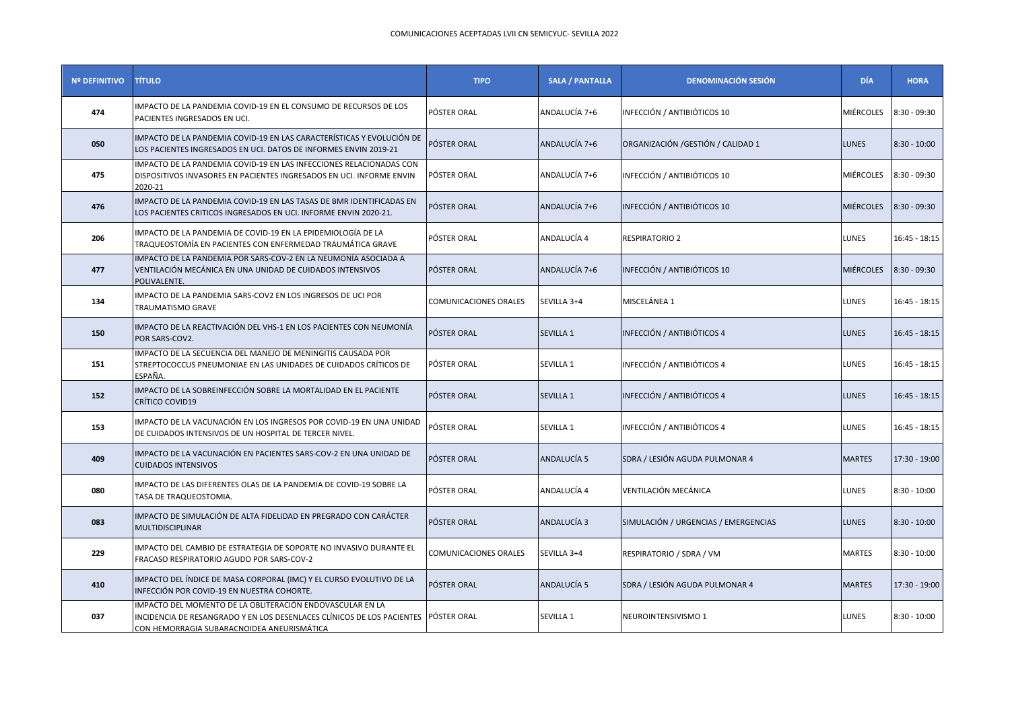| <b>Nº DEFINITIVO</b> | <b>TÍTULO</b>                                                                                                                                                                                         | <b>TIPO</b>           | <b>SALA / PANTALLA</b> | <b>DENOMINACIÓN SESIÓN</b>           | <b>DÍA</b>       | <b>HORA</b>     |
|----------------------|-------------------------------------------------------------------------------------------------------------------------------------------------------------------------------------------------------|-----------------------|------------------------|--------------------------------------|------------------|-----------------|
| 474                  | IMPACTO DE LA PANDEMIA COVID-19 EN EL CONSUMO DE RECURSOS DE LOS<br>PACIENTES INGRESADOS EN UCI.                                                                                                      | PÓSTER ORAL           | ANDALUCÍA 7+6          | INFECCIÓN / ANTIBIÓTICOS 10          | MIÉRCOLES        | $8:30 - 09:30$  |
| 050                  | IMPACTO DE LA PANDEMIA COVID-19 EN LAS CARACTERÍSTICAS Y EVOLUCIÓN DE<br>LOS PACIENTES INGRESADOS EN UCI. DATOS DE INFORMES ENVIN 2019-21                                                             | PÓSTER ORAL           | ANDALUCÍA 7+6          | ORGANIZACIÓN / GESTIÓN / CALIDAD 1   | <b>LUNES</b>     | $8:30 - 10:00$  |
| 475                  | IMPACTO DE LA PANDEMIA COVID-19 EN LAS INFECCIONES RELACIONADAS CON<br>DISPOSITIVOS INVASORES EN PACIENTES INGRESADOS EN UCI. INFORME ENVIN<br>2020-21                                                | PÓSTER ORAL           | ANDALUCÍA 7+6          | INFECCIÓN / ANTIBIÓTICOS 10          | <b>MIÉRCOLES</b> | 8:30 - 09:30    |
| 476                  | IMPACTO DE LA PANDEMIA COVID-19 EN LAS TASAS DE BMR IDENTIFICADAS EN<br>LOS PACIENTES CRITICOS INGRESADOS EN UCI. INFORME ENVIN 2020-21.                                                              | PÓSTER ORAL           | ANDALUCÍA 7+6          | INFECCIÓN / ANTIBIÓTICOS 10          | <b>MIÉRCOLES</b> | 8:30 - 09:30    |
| 206                  | IMPACTO DE LA PANDEMIA DE COVID-19 EN LA EPIDEMIOLOGÍA DE LA<br>TRAQUEOSTOMÍA EN PACIENTES CON ENFERMEDAD TRAUMÁTICA GRAVE                                                                            | PÓSTER ORAL           | ANDALUCÍA 4            | <b>RESPIRATORIO 2</b>                | LUNES            | 16:45 - 18:15   |
| 477                  | IMPACTO DE LA PANDEMIA POR SARS-COV-2 EN LA NEUMONÍA ASOCIADA A<br>VENTILACIÓN MECÁNICA EN UNA UNIDAD DE CUIDADOS INTENSIVOS<br>POLIVALENTE.                                                          | PÓSTER ORAL           | ANDALUCÍA 7+6          | INFECCIÓN / ANTIBIÓTICOS 10          | <b>MIÉRCOLES</b> | $8:30 - 09:30$  |
| 134                  | IMPACTO DE LA PANDEMIA SARS-COV2 EN LOS INGRESOS DE UCI POR<br>TRAUMATISMO GRAVE                                                                                                                      | COMUNICACIONES ORALES | SEVILLA 3+4            | MISCELÁNEA 1                         | LUNES            | $16:45 - 18:15$ |
| 150                  | IMPACTO DE LA REACTIVACIÓN DEL VHS-1 EN LOS PACIENTES CON NEUMONÍA<br>POR SARS-COV2.                                                                                                                  | PÓSTER ORAL           | SEVILLA 1              | <b>INFECCIÓN / ANTIBIÓTICOS 4</b>    | <b>LUNES</b>     | $16:45 - 18:15$ |
| 151                  | IMPACTO DE LA SECUENCIA DEL MANEJO DE MENINGITIS CAUSADA POR<br>STREPTOCOCCUS PNEUMONIAE EN LAS UNIDADES DE CUIDADOS CRÍTICOS DE<br>ESPAÑA.                                                           | PÓSTER ORAL           | SEVILLA 1              | INFECCIÓN / ANTIBIÓTICOS 4           | <b>LUNES</b>     | $16:45 - 18:15$ |
| 152                  | IMPACTO DE LA SOBREINFECCIÓN SOBRE LA MORTALIDAD EN EL PACIENTE<br>CRÍTICO COVID19                                                                                                                    | PÓSTER ORAL           | <b>SEVILLA 1</b>       | INFECCIÓN / ANTIBIÓTICOS 4           | <b>LUNES</b>     | $16:45 - 18:15$ |
| 153                  | IMPACTO DE LA VACUNACIÓN EN LOS INGRESOS POR COVID-19 EN UNA UNIDAD<br>DE CUIDADOS INTENSIVOS DE UN HOSPITAL DE TERCER NIVEL.                                                                         | PÓSTER ORAL           | SEVILLA 1              | INFECCIÓN / ANTIBIÓTICOS 4           | LUNES            | 16:45 - 18:15   |
| 409                  | IMPACTO DE LA VACUNACIÓN EN PACIENTES SARS-COV-2 EN UNA UNIDAD DE<br><b>CUIDADOS INTENSIVOS</b>                                                                                                       | PÓSTER ORAL           | ANDALUCÍA 5            | SDRA / LESIÓN AGUDA PULMONAR 4       | <b>MARTES</b>    | 17:30 - 19:00   |
| 080                  | IMPACTO DE LAS DIFERENTES OLAS DE LA PANDEMIA DE COVID-19 SOBRE LA<br>TASA DE TRAQUEOSTOMIA.                                                                                                          | PÓSTER ORAL           | ANDALUCÍA 4            | VENTILACIÓN MECÁNICA                 | LUNES            | 8:30 - 10:00    |
| 083                  | IMPACTO DE SIMULACIÓN DE ALTA FIDELIDAD EN PREGRADO CON CARÁCTER<br>MULTIDISCIPLINAR                                                                                                                  | PÓSTER ORAL           | ANDALUCÍA 3            | SIMULACIÓN / URGENCIAS / EMERGENCIAS | <b>LUNES</b>     | $8:30 - 10:00$  |
| 229                  | IMPACTO DEL CAMBIO DE ESTRATEGIA DE SOPORTE NO INVASIVO DURANTE EL<br>FRACASO RESPIRATORIO AGUDO POR SARS-COV-2                                                                                       | COMUNICACIONES ORALES | SEVILLA 3+4            | RESPIRATORIO / SDRA / VM             | <b>MARTES</b>    | $8:30 - 10:00$  |
| 410                  | IMPACTO DEL ÍNDICE DE MASA CORPORAL (IMC) Y EL CURSO EVOLUTIVO DE LA<br>INFECCIÓN POR COVID-19 EN NUESTRA COHORTE.                                                                                    | PÓSTER ORAL           | ANDALUCÍA 5            | SDRA / LESIÓN AGUDA PULMONAR 4       | <b>MARTES</b>    | 17:30 - 19:00   |
| 037                  | IMPACTO DEL MOMENTO DE LA OBLITERACIÓN ENDOVASCULAR EN LA<br>INCIDENCIA DE RESANGRADO Y EN LOS DESENLACES CLÍNICOS DE LOS PACIENTES POÓSTER ORAL<br><u>CON HEMORRAGIA SUBARACNOIDEA ANEURISMÁTICA</u> |                       | SEVILLA 1              | NEUROINTENSIVISMO 1                  | <b>LUNES</b>     | $8:30 - 10:00$  |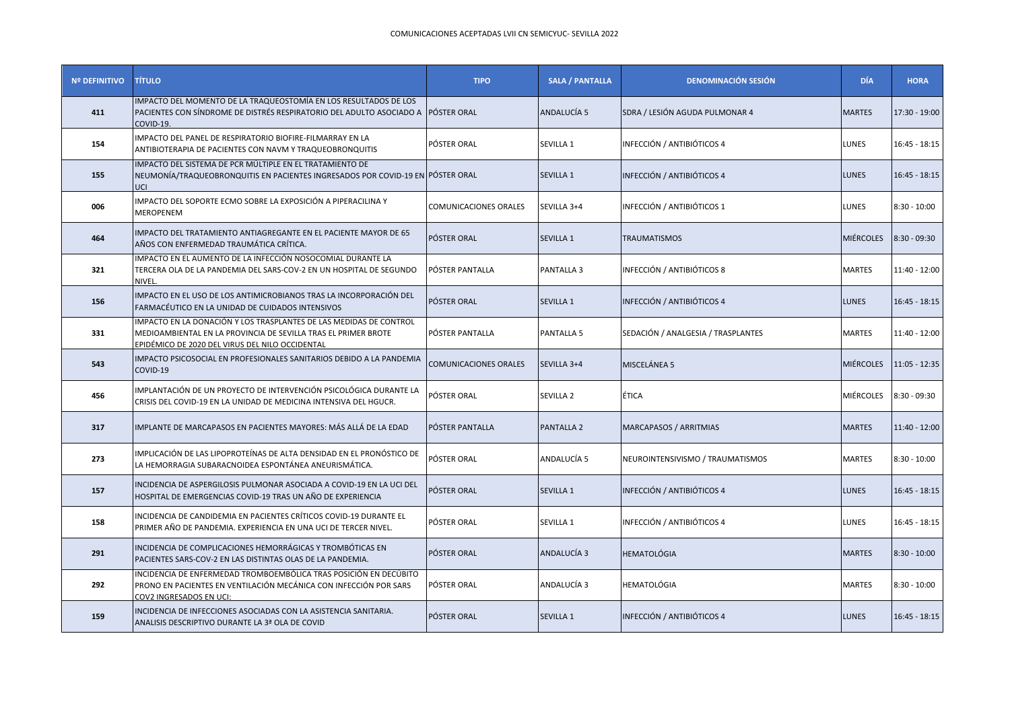| <b>Nº DEFINITIVO</b> | <b>TÍTULO</b>                                                                                                                                                                           | <b>TIPO</b>           | <b>SALA / PANTALLA</b> | <b>DENOMINACIÓN SESIÓN</b>         | <b>DÍA</b>       | <b>HORA</b>     |
|----------------------|-----------------------------------------------------------------------------------------------------------------------------------------------------------------------------------------|-----------------------|------------------------|------------------------------------|------------------|-----------------|
| 411                  | IMPACTO DEL MOMENTO DE LA TRAQUEOSTOMÍA EN LOS RESULTADOS DE LOS<br>PACIENTES CON SÍNDROME DE DISTRÉS RESPIRATORIO DEL ADULTO ASOCIADO A<br>COVID-19.                                   | PÓSTER ORAL           | ANDALUCÍA 5            | SDRA / LESIÓN AGUDA PULMONAR 4     | <b>MARTES</b>    | 17:30 - 19:00   |
| 154                  | IMPACTO DEL PANEL DE RESPIRATORIO BIOFIRE-FILMARRAY EN LA<br>ANTIBIOTERAPIA DE PACIENTES CON NAVM Y TRAQUEOBRONQUITIS                                                                   | PÓSTER ORAL           | SEVILLA 1              | INFECCIÓN / ANTIBIÓTICOS 4         | <b>LUNES</b>     | $16:45 - 18:15$ |
| 155                  | IMPACTO DEL SISTEMA DE PCR MÚLTIPLE EN EL TRATAMIENTO DE<br>NEUMONÍA/TRAQUEOBRONQUITIS EN PACIENTES INGRESADOS POR COVID-19 EN PÓSTER ORAL<br>UCI                                       |                       | SEVILLA 1              | INFECCIÓN / ANTIBIÓTICOS 4         | <b>LUNES</b>     | $16:45 - 18:15$ |
| 006                  | IMPACTO DEL SOPORTE ECMO SOBRE LA EXPOSICIÓN A PIPERACILINA Y<br>MEROPENEM                                                                                                              | COMUNICACIONES ORALES | SEVILLA 3+4            | INFECCIÓN / ANTIBIÓTICOS 1         | LUNES            | $8:30 - 10:00$  |
| 464                  | IMPACTO DEL TRATAMIENTO ANTIAGREGANTE EN EL PACIENTE MAYOR DE 65<br>AÑOS CON ENFERMEDAD TRAUMÁTICA CRÍTICA.                                                                             | PÓSTER ORAL           | SEVILLA 1              | <b>TRAUMATISMOS</b>                | <b>MIÉRCOLES</b> | $8:30 - 09:30$  |
| 321                  | IMPACTO EN EL AUMENTO DE LA INFECCIÓN NOSOCOMIAL DURANTE LA<br>TERCERA OLA DE LA PANDEMIA DEL SARS-COV-2 EN UN HOSPITAL DE SEGUNDO<br>NIVEL.                                            | PÓSTER PANTALLA       | PANTALLA 3             | INFECCIÓN / ANTIBIÓTICOS 8         | <b>MARTES</b>    | 11:40 - 12:00   |
| 156                  | IMPACTO EN EL USO DE LOS ANTIMICROBIANOS TRAS LA INCORPORACIÓN DEL<br>FARMACÉUTICO EN LA UNIDAD DE CUIDADOS INTENSIVOS                                                                  | PÓSTER ORAL           | SEVILLA 1              | INFECCIÓN / ANTIBIÓTICOS 4         | <b>LUNES</b>     | $16:45 - 18:15$ |
| 331                  | IMPACTO EN LA DONACIÓN Y LOS TRASPLANTES DE LAS MEDIDAS DE CONTROL<br>MEDIOAMBIENTAL EN LA PROVINCIA DE SEVILLA TRAS EL PRIMER BROTE<br>EPIDÉMICO DE 2020 DEL VIRUS DEL NILO OCCIDENTAL | PÓSTER PANTALLA       | PANTALLA <sub>5</sub>  | SEDACIÓN / ANALGESIA / TRASPLANTES | <b>MARTES</b>    | 11:40 - 12:00   |
| 543                  | IMPACTO PSICOSOCIAL EN PROFESIONALES SANITARIOS DEBIDO A LA PANDEMIA<br>COVID-19                                                                                                        | COMUNICACIONES ORALES | SEVILLA 3+4            | MISCELÁNEA 5                       | <b>MIÉRCOLES</b> | 11:05 - 12:35   |
| 456                  | IMPLANTACIÓN DE UN PROYECTO DE INTERVENCIÓN PSICOLÓGICA DURANTE LA<br>CRISIS DEL COVID-19 EN LA UNIDAD DE MEDICINA INTENSIVA DEL HGUCR.                                                 | PÓSTER ORAL           | SEVILLA <sub>2</sub>   | ÉTICA                              | <b>MIÉRCOLES</b> | $8:30 - 09:30$  |
| 317                  | IMPLANTE DE MARCAPASOS EN PACIENTES MAYORES: MÁS ALLÁ DE LA EDAD                                                                                                                        | PÓSTER PANTALLA       | <b>PANTALLA 2</b>      | <b>MARCAPASOS / ARRITMIAS</b>      | <b>MARTES</b>    | 11:40 - 12:00   |
| 273                  | IMPLICACIÓN DE LAS LIPOPROTEÍNAS DE ALTA DENSIDAD EN EL PRONÓSTICO DE<br>LA HEMORRAGIA SUBARACNOIDEA ESPONTÁNEA ANEURISMÁTICA.                                                          | PÓSTER ORAL           | ANDALUCÍA 5            | NEUROINTENSIVISMO / TRAUMATISMOS   | <b>MARTES</b>    | $8:30 - 10:00$  |
| 157                  | INCIDENCIA DE ASPERGILOSIS PULMONAR ASOCIADA A COVID-19 EN LA UCI DEL<br>HOSPITAL DE EMERGENCIAS COVID-19 TRAS UN AÑO DE EXPERIENCIA                                                    | PÓSTER ORAL           | SEVILLA 1              | INFECCIÓN / ANTIBIÓTICOS 4         | <b>LUNES</b>     | $16:45 - 18:15$ |
| 158                  | INCIDENCIA DE CANDIDEMIA EN PACIENTES CRÍTICOS COVID-19 DURANTE EL<br>PRIMER AÑO DE PANDEMIA. EXPERIENCIA EN UNA UCI DE TERCER NIVEL.                                                   | PÓSTER ORAL           | SEVILLA 1              | INFECCIÓN / ANTIBIÓTICOS 4         | <b>LUNES</b>     | $16:45 - 18:15$ |
| 291                  | INCIDENCIA DE COMPLICACIONES HEMORRÁGICAS Y TROMBÓTICAS EN<br>PACIENTES SARS-COV-2 EN LAS DISTINTAS OLAS DE LA PANDEMIA.                                                                | PÓSTER ORAL           | ANDALUCÍA 3            | <b>HEMATOLÓGIA</b>                 | <b>MARTES</b>    | $8:30 - 10:00$  |
| 292                  | INCIDENCIA DE ENFERMEDAD TROMBOEMBÓLICA TRAS POSICIÓN EN DECÚBITO<br>PRONO EN PACIENTES EN VENTILACIÓN MECÁNICA CON INFECCIÓN POR SARS<br>COV2 INGRESADOS EN UCI:                       | PÓSTER ORAL           | ANDALUCÍA 3            | HEMATOLÓGIA                        | <b>MARTES</b>    | $8:30 - 10:00$  |
| 159                  | INCIDENCIA DE INFECCIONES ASOCIADAS CON LA ASISTENCIA SANITARIA.<br>ANALISIS DESCRIPTIVO DURANTE LA 3ª OLA DE COVID                                                                     | PÓSTER ORAL           | <b>SEVILLA 1</b>       | <b>INFECCIÓN / ANTIBIÓTICOS 4</b>  | <b>LUNES</b>     | $16:45 - 18:15$ |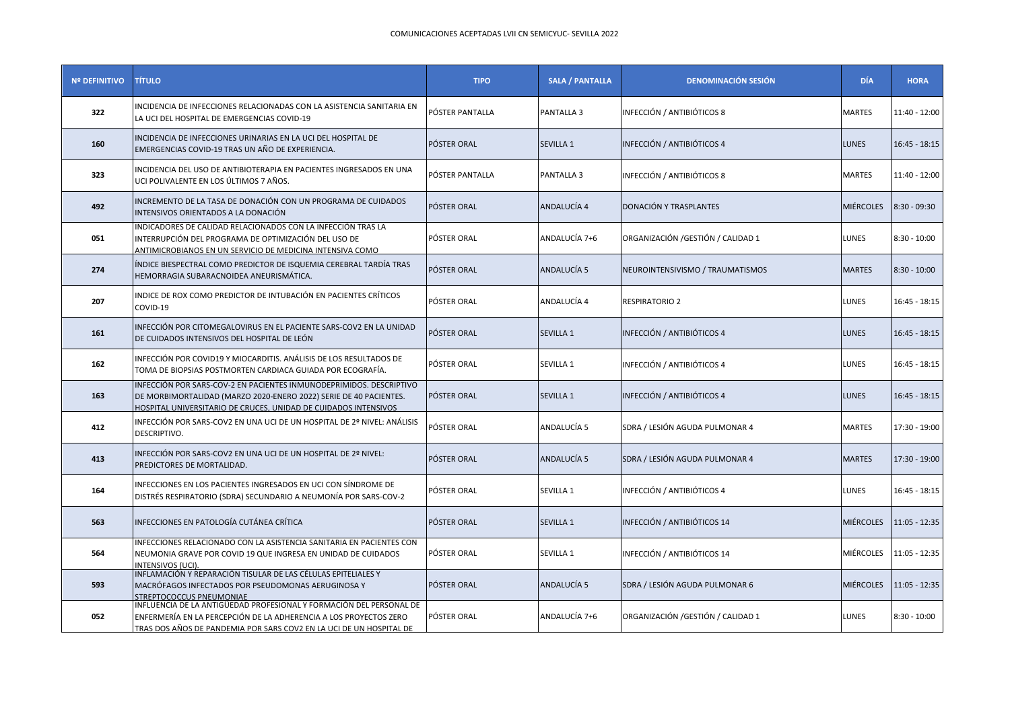| <b>Nº DEFINITIVO</b> | <b>TÍTULO</b>                                                                                                                                                                                                   | <b>TIPO</b>     | <b>SALA / PANTALLA</b> | <b>DENOMINACIÓN SESIÓN</b>         | DÍA              | <b>HORA</b>     |
|----------------------|-----------------------------------------------------------------------------------------------------------------------------------------------------------------------------------------------------------------|-----------------|------------------------|------------------------------------|------------------|-----------------|
| 322                  | INCIDENCIA DE INFECCIONES RELACIONADAS CON LA ASISTENCIA SANITARIA EN<br>LA UCI DEL HOSPITAL DE EMERGENCIAS COVID-19                                                                                            | PÓSTER PANTALLA | <b>PANTALLA 3</b>      | INFECCIÓN / ANTIBIÓTICOS 8         | <b>MARTES</b>    | 11:40 - 12:00   |
| 160                  | INCIDENCIA DE INFECCIONES URINARIAS EN LA UCI DEL HOSPITAL DE<br>EMERGENCIAS COVID-19 TRAS UN AÑO DE EXPERIENCIA.                                                                                               | PÓSTER ORAL     | <b>SEVILLA 1</b>       | INFECCIÓN / ANTIBIÓTICOS 4         | <b>LUNES</b>     | $16:45 - 18:15$ |
| 323                  | INCIDENCIA DEL USO DE ANTIBIOTERAPIA EN PACIENTES INGRESADOS EN UNA<br>UCI POLIVALENTE EN LOS ÚLTIMOS 7 AÑOS.                                                                                                   | PÓSTER PANTALLA | <b>PANTALLA 3</b>      | INFECCIÓN / ANTIBIÓTICOS 8         | <b>MARTES</b>    | 11:40 - 12:00   |
| 492                  | INCREMENTO DE LA TASA DE DONACIÓN CON UN PROGRAMA DE CUIDADOS<br>INTENSIVOS ORIENTADOS A LA DONACIÓN                                                                                                            | PÓSTER ORAL     | ANDALUCÍA 4            | DONACIÓN Y TRASPLANTES             | <b>MIÉRCOLES</b> | $8:30 - 09:30$  |
| 051                  | INDICADORES DE CALIDAD RELACIONADOS CON LA INFECCIÓN TRAS LA<br>INTERRUPCIÓN DEL PROGRAMA DE OPTIMIZACIÓN DEL USO DE<br>ANTIMICROBIANOS EN UN SERVICIO DE MEDICINA INTENSIVA COMO                               | PÓSTER ORAL     | ANDALUCÍA 7+6          | ORGANIZACIÓN / GESTIÓN / CALIDAD 1 | LUNES            | $8:30 - 10:00$  |
| 274                  | ÍNDICE BIESPECTRAL COMO PREDICTOR DE ISQUEMIA CEREBRAL TARDÍA TRAS<br>HEMORRAGIA SUBARACNOIDEA ANEURISMÁTICA.                                                                                                   | PÓSTER ORAL     | <b>ANDALUCÍA 5</b>     | NEUROINTENSIVISMO / TRAUMATISMOS   | <b>MARTES</b>    | $8:30 - 10:00$  |
| 207                  | INDICE DE ROX COMO PREDICTOR DE INTUBACIÓN EN PACIENTES CRÍTICOS<br>COVID-19                                                                                                                                    | PÓSTER ORAL     | ANDALUCÍA 4            | <b>RESPIRATORIO 2</b>              | <b>LUNES</b>     | 16:45 - 18:15   |
| 161                  | INFECCIÓN POR CITOMEGALOVIRUS EN EL PACIENTE SARS-COV2 EN LA UNIDAD<br>DE CUIDADOS INTENSIVOS DEL HOSPITAL DE LEÓN                                                                                              | PÓSTER ORAL     | <b>SEVILLA 1</b>       | INFECCIÓN / ANTIBIÓTICOS 4         | <b>LUNES</b>     | $16:45 - 18:15$ |
| 162                  | INFECCIÓN POR COVID19 Y MIOCARDITIS. ANÁLISIS DE LOS RESULTADOS DE<br>TOMA DE BIOPSIAS POSTMORTEN CARDIACA GUIADA POR ECOGRAFÍA.                                                                                | PÓSTER ORAL     | SEVILLA 1              | INFECCIÓN / ANTIBIÓTICOS 4         | LUNES            | $16:45 - 18:15$ |
| 163                  | INFECCIÓN POR SARS-COV-2 EN PACIENTES INMUNODEPRIMIDOS. DESCRIPTIVO<br>DE MORBIMORTALIDAD (MARZO 2020-ENERO 2022) SERIE DE 40 PACIENTES.<br>HOSPITAL UNIVERSITARIO DE CRUCES, UNIDAD DE CUIDADOS INTENSIVOS     | PÓSTER ORAL     | <b>SEVILLA 1</b>       | INFECCIÓN / ANTIBIÓTICOS 4         | <b>LUNES</b>     | $16:45 - 18:15$ |
| 412                  | INFECCIÓN POR SARS-COV2 EN UNA UCI DE UN HOSPITAL DE 2º NIVEL: ANÁLISIS<br><b>DESCRIPTIVO.</b>                                                                                                                  | PÓSTER ORAL     | ANDALUCÍA 5            | SDRA / LESIÓN AGUDA PULMONAR 4     | <b>MARTES</b>    | 17:30 - 19:00   |
| 413                  | INFECCIÓN POR SARS-COV2 EN UNA UCI DE UN HOSPITAL DE 2º NIVEL:<br>PREDICTORES DE MORTALIDAD.                                                                                                                    | PÓSTER ORAL     | ANDALUCÍA 5            | SDRA / LESIÓN AGUDA PULMONAR 4     | <b>MARTES</b>    | 17:30 - 19:00   |
| 164                  | INFECCIONES EN LOS PACIENTES INGRESADOS EN UCI CON SÍNDROME DE<br>DISTRÉS RESPIRATORIO (SDRA) SECUNDARIO A NEUMONÍA POR SARS-COV-2                                                                              | PÓSTER ORAL     | SEVILLA 1              | INFECCIÓN / ANTIBIÓTICOS 4         | <b>LUNES</b>     | 16:45 - 18:15   |
| 563                  | INFECCIONES EN PATOLOGÍA CUTÁNEA CRÍTICA                                                                                                                                                                        | PÓSTER ORAL     | <b>SEVILLA 1</b>       | INFECCIÓN / ANTIBIÓTICOS 14        | <b>MIÉRCOLES</b> | 11:05 - 12:35   |
| 564                  | INFECCIONES RELACIONADO CON LA ASISTENCIA SANITARIA EN PACIENTES CON<br>NEUMONIA GRAVE POR COVID 19 QUE INGRESA EN UNIDAD DE CUIDADOS<br>INTENSIVOS (UCI).                                                      | PÓSTER ORAL     | SEVILLA 1              | INFECCIÓN / ANTIBIÓTICOS 14        | MIÉRCOLES        | 11:05 - 12:35   |
| 593                  | INFLAMACIÓN Y REPARACIÓN TISULAR DE LAS CÉLULAS EPITELIALES Y<br>MACRÓFAGOS INFECTADOS POR PSEUDOMONAS AERUGINOSA Y<br>STREPTOCOCCUS PNEUMONIAE                                                                 | PÓSTER ORAL     | <b>ANDALUCÍA 5</b>     | SDRA / LESIÓN AGUDA PULMONAR 6     | <b>MIÉRCOLES</b> | 11:05 - 12:35   |
| 052                  | INFLUENCIA DE LA ANTIGÜEDAD PROFESIONAL Y FORMACIÓN DEL PERSONAL DE<br>ENFERMERÍA EN LA PERCEPCIÓN DE LA ADHERENCIA A LOS PROYECTOS ZERO<br>TRAS DOS AÑOS DE PANDEMIA POR SARS COV2 EN LA UCI DE UN HOSPITAL DE | PÓSTER ORAL     | ANDALUCÍA 7+6          | ORGANIZACIÓN / GESTIÓN / CALIDAD 1 | <b>LUNES</b>     | $8:30 - 10:00$  |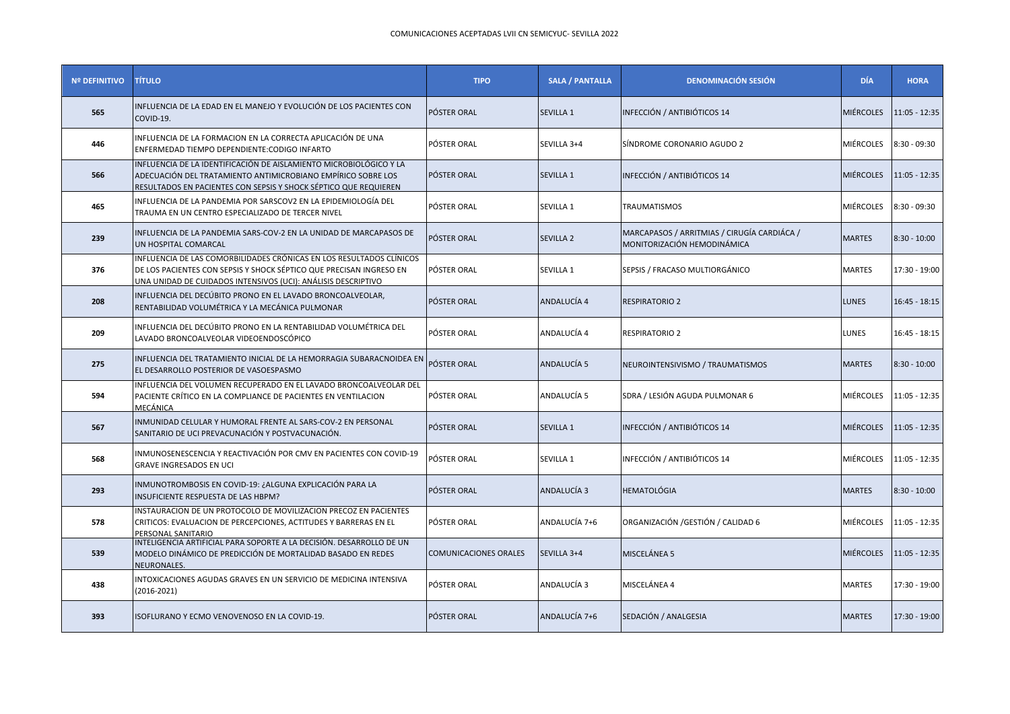| <b>Nº DEFINITIVO</b> | <b>TÍTULO</b>                                                                                                                                                                                                 | <b>TIPO</b>                  | <b>SALA / PANTALLA</b> | <b>DENOMINACIÓN SESIÓN</b>                                                 | <b>DÍA</b>       | <b>HORA</b>     |
|----------------------|---------------------------------------------------------------------------------------------------------------------------------------------------------------------------------------------------------------|------------------------------|------------------------|----------------------------------------------------------------------------|------------------|-----------------|
| 565                  | INFLUENCIA DE LA EDAD EN EL MANEJO Y EVOLUCIÓN DE LOS PACIENTES CON<br>COVID-19.                                                                                                                              | PÓSTER ORAL                  | <b>SEVILLA 1</b>       | INFECCIÓN / ANTIBIÓTICOS 14                                                | <b>MIÉRCOLES</b> | 11:05 - 12:35   |
| 446                  | INFLUENCIA DE LA FORMACION EN LA CORRECTA APLICACIÓN DE UNA<br>ENFERMEDAD TIEMPO DEPENDIENTE: CODIGO INFARTO                                                                                                  | PÓSTER ORAL                  | SEVILLA 3+4            | SÍNDROME CORONARIO AGUDO 2                                                 | <b>MIÉRCOLES</b> | $8:30 - 09:30$  |
| 566                  | INFLUENCIA DE LA IDENTIFICACIÓN DE AISLAMIENTO MICROBIOLÓGICO Y LA<br>ADECUACIÓN DEL TRATAMIENTO ANTIMICROBIANO EMPÍRICO SOBRE LOS<br><u>RESULTADOS EN PACIENTES CON SEPSIS Y SHOCK SÉPTICO QUE REQUIEREN</u> | PÓSTER ORAL                  | <b>SEVILLA 1</b>       | INFECCIÓN / ANTIBIÓTICOS 14                                                | <b>MIÉRCOLES</b> | 11:05 - 12:35   |
| 465                  | INFLUENCIA DE LA PANDEMIA POR SARSCOV2 EN LA EPIDEMIOLOGÍA DEL<br>TRAUMA EN UN CENTRO ESPECIALIZADO DE TERCER NIVEL                                                                                           | PÓSTER ORAL                  | SEVILLA 1              | TRAUMATISMOS                                                               | <b>MIÉRCOLES</b> | $8:30 - 09:30$  |
| 239                  | INFLUENCIA DE LA PANDEMIA SARS-COV-2 EN LA UNIDAD DE MARCAPASOS DE<br>UN HOSPITAL COMARCAL                                                                                                                    | PÓSTER ORAL                  | <b>SEVILLA 2</b>       | MARCAPASOS / ARRITMIAS / CIRUGÍA CARDIÁCA /<br>MONITORIZACIÓN HEMODINÁMICA | <b>MARTES</b>    | $8:30 - 10:00$  |
| 376                  | INFLUENCIA DE LAS COMORBILIDADES CRÓNICAS EN LOS RESULTADOS CLÍNICOS<br>DE LOS PACIENTES CON SEPSIS Y SHOCK SÉPTICO QUE PRECISAN INGRESO EN<br>UNA UNIDAD DE CUIDADOS INTENSIVOS (UCI): ANÁLISIS DESCRIPTIVO  | PÓSTER ORAL                  | SEVILLA 1              | SEPSIS / FRACASO MULTIORGÁNICO                                             | <b>MARTES</b>    | 17:30 - 19:00   |
| 208                  | INFLUENCIA DEL DECÚBITO PRONO EN EL LAVADO BRONCOALVEOLAR,<br>RENTABILIDAD VOLUMÉTRICA Y LA MECÁNICA PULMONAR                                                                                                 | PÓSTER ORAL                  | <b>ANDALUCÍA 4</b>     | <b>RESPIRATORIO 2</b>                                                      | <b>LUNES</b>     | $16:45 - 18:15$ |
| 209                  | INFLUENCIA DEL DECÚBITO PRONO EN LA RENTABILIDAD VOLUMÉTRICA DEL<br>LAVADO BRONCOALVEOLAR VIDEOENDOSCÓPICO                                                                                                    | PÓSTER ORAL                  | ANDALUCÍA 4            | <b>RESPIRATORIO 2</b>                                                      | <b>LUNES</b>     | 16:45 - 18:15   |
| 275                  | INFLUENCIA DEL TRATAMIENTO INICIAL DE LA HEMORRAGIA SUBARACNOIDEA EN<br>EL DESARROLLO POSTERIOR DE VASOESPASMO                                                                                                | PÓSTER ORAL                  | <b>ANDALUCÍA 5</b>     | NEUROINTENSIVISMO / TRAUMATISMOS                                           | <b>MARTES</b>    | $8:30 - 10:00$  |
| 594                  | INFLUENCIA DEL VOLUMEN RECUPERADO EN EL LAVADO BRONCOALVEOLAR DEL<br>PACIENTE CRÍTICO EN LA COMPLIANCE DE PACIENTES EN VENTILACION<br>MECÁNICA                                                                | PÓSTER ORAL                  | ANDALUCÍA 5            | SDRA / LESIÓN AGUDA PULMONAR 6                                             | <b>MIÉRCOLES</b> | 11:05 - 12:35   |
| 567                  | INMUNIDAD CELULAR Y HUMORAL FRENTE AL SARS-COV-2 EN PERSONAL<br>SANITARIO DE UCI PREVACUNACIÓN Y POSTVACUNACIÓN.                                                                                              | PÓSTER ORAL                  | <b>SEVILLA 1</b>       | INFECCIÓN / ANTIBIÓTICOS 14                                                | <b>MIÉRCOLES</b> | $11:05 - 12:35$ |
| 568                  | INMUNOSENESCENCIA Y REACTIVACIÓN POR CMV EN PACIENTES CON COVID-19<br><b>GRAVE INGRESADOS EN UCI</b>                                                                                                          | PÓSTER ORAL                  | SEVILLA 1              | INFECCIÓN / ANTIBIÓTICOS 14                                                | MIÉRCOLES        | 11:05 - 12:35   |
| 293                  | INMUNOTROMBOSIS EN COVID-19: ¿ALGUNA EXPLICACIÓN PARA LA<br>INSUFICIENTE RESPUESTA DE LAS HBPM?                                                                                                               | PÓSTER ORAL                  | <b>ANDALUCÍA 3</b>     | HEMATOLÓGIA                                                                | <b>MARTES</b>    | $8:30 - 10:00$  |
| 578                  | INSTAURACION DE UN PROTOCOLO DE MOVILIZACION PRECOZ EN PACIENTES<br>CRITICOS: EVALUACION DE PERCEPCIONES, ACTITUDES Y BARRERAS EN EL<br>PERSONAL SANITARIO                                                    | PÓSTER ORAL                  | ANDALUCÍA 7+6          | ORGANIZACIÓN /GESTIÓN / CALIDAD 6                                          | <b>MIÉRCOLES</b> | 11:05 - 12:35   |
| 539                  | INTELIGENCIA ARTIFICIAL PARA SOPORTE A LA DECISIÓN. DESARROLLO DE UN<br>MODELO DINÁMICO DE PREDICCIÓN DE MORTALIDAD BASADO EN REDES<br><b>NEURONALES.</b>                                                     | <b>COMUNICACIONES ORALES</b> | SEVILLA 3+4            | MISCELÁNEA 5                                                               | <b>MIÉRCOLES</b> | 11:05 - 12:35   |
| 438                  | INTOXICACIONES AGUDAS GRAVES EN UN SERVICIO DE MEDICINA INTENSIVA<br>$(2016 - 2021)$                                                                                                                          | PÓSTER ORAL                  | ANDALUCÍA 3            | MISCELÁNEA 4                                                               | <b>MARTES</b>    | 17:30 - 19:00   |
| 393                  | ISOFLURANO Y ECMO VENOVENOSO EN LA COVID-19.                                                                                                                                                                  | PÓSTER ORAL                  | ANDALUCÍA 7+6          | SEDACIÓN / ANALGESIA                                                       | <b>MARTES</b>    | 17:30 - 19:00   |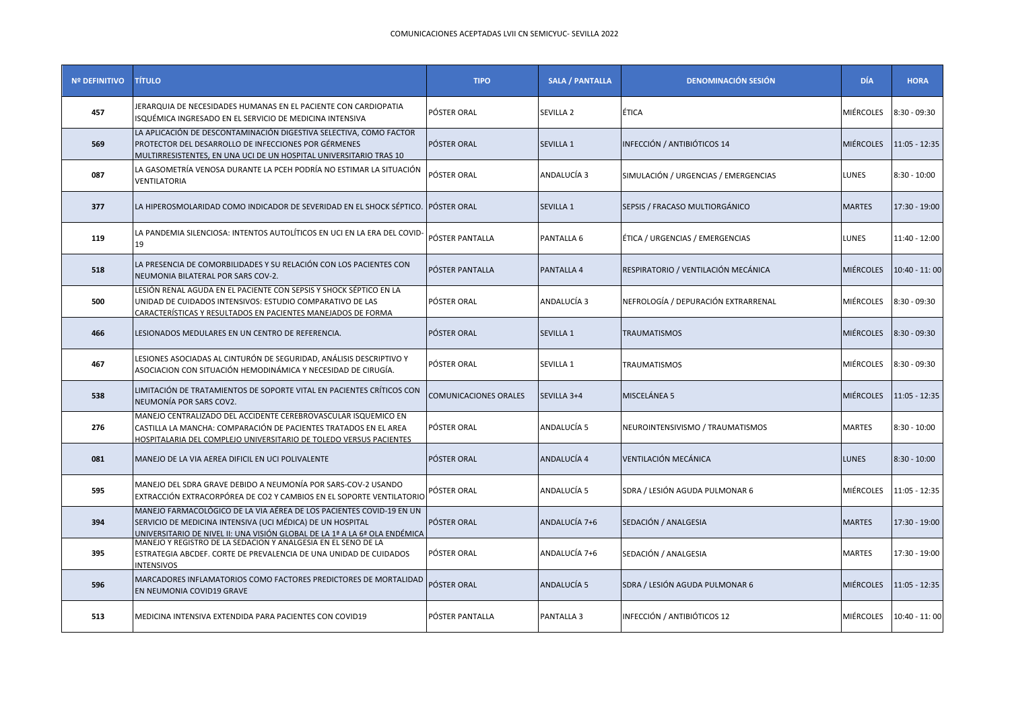| <b>Nº DEFINITIVO</b> | <b>TÍTULO</b>                                                                                                                                                                                                    | <b>TIPO</b>                  | <b>SALA / PANTALLA</b> | <b>DENOMINACIÓN SESIÓN</b>           | <b>DÍA</b>       | <b>HORA</b>     |
|----------------------|------------------------------------------------------------------------------------------------------------------------------------------------------------------------------------------------------------------|------------------------------|------------------------|--------------------------------------|------------------|-----------------|
| 457                  | JERARQUIA DE NECESIDADES HUMANAS EN EL PACIENTE CON CARDIOPATIA<br>ISQUÉMICA INGRESADO EN EL SERVICIO DE MEDICINA INTENSIVA                                                                                      | PÓSTER ORAL                  | <b>SEVILLA 2</b>       | ÉTICA                                | MIÉRCOLES        | $8:30 - 09:30$  |
| 569                  | LA APLICACIÓN DE DESCONTAMINACIÓN DIGESTIVA SELECTIVA, COMO FACTOR<br>PROTECTOR DEL DESARROLLO DE INFECCIONES POR GÉRMENES<br>MULTIRRESISTENTES, EN UNA UCI DE UN HOSPITAL UNIVERSITARIO TRAS 10                 | PÓSTER ORAL                  | <b>SEVILLA 1</b>       | INFECCIÓN / ANTIBIÓTICOS 14          | <b>MIÉRCOLES</b> | 11:05 - 12:35   |
| 087                  | LA GASOMETRÍA VENOSA DURANTE LA PCEH PODRÍA NO ESTIMAR LA SITUACIÓN<br>VENTILATORIA                                                                                                                              | PÓSTER ORAL                  | ANDALUCÍA 3            | SIMULACIÓN / URGENCIAS / EMERGENCIAS | <b>LUNES</b>     | $8:30 - 10:00$  |
| 377                  | LA HIPEROSMOLARIDAD COMO INDICADOR DE SEVERIDAD EN EL SHOCK SÉPTICO.                                                                                                                                             | PÓSTER ORAL                  | <b>SEVILLA 1</b>       | SEPSIS / FRACASO MULTIORGÁNICO       | <b>MARTES</b>    | 17:30 - 19:00   |
| 119                  | LA PANDEMIA SILENCIOSA: INTENTOS AUTOLÍTICOS EN UCI EN LA ERA DEL COVID-<br>19                                                                                                                                   | PÓSTER PANTALLA              | <b>PANTALLA 6</b>      | ÉTICA / URGENCIAS / EMERGENCIAS      | <b>LUNES</b>     | 11:40 - 12:00   |
| 518                  | LA PRESENCIA DE COMORBILIDADES Y SU RELACIÓN CON LOS PACIENTES CON<br>NEUMONIA BILATERAL POR SARS COV-2.                                                                                                         | PÓSTER PANTALLA              | <b>PANTALLA 4</b>      | RESPIRATORIO / VENTILACIÓN MECÁNICA  | <b>MIÉRCOLES</b> | $10:40 - 11:00$ |
| 500                  | LESIÓN RENAL AGUDA EN EL PACIENTE CON SEPSIS Y SHOCK SÉPTICO EN LA<br>UNIDAD DE CUIDADOS INTENSIVOS: ESTUDIO COMPARATIVO DE LAS<br>CARACTERÍSTICAS Y RESULTADOS EN PACIENTES MANEJADOS DE FORMA                  | PÓSTER ORAL                  | ANDALUCÍA 3            | NEFROLOGÍA / DEPURACIÓN EXTRARRENAL  | MIÉRCOLES        | 8:30 - 09:30    |
| 466                  | LESIONADOS MEDULARES EN UN CENTRO DE REFERENCIA.                                                                                                                                                                 | PÓSTER ORAL                  | <b>SEVILLA 1</b>       | <b>TRAUMATISMOS</b>                  | <b>MIÉRCOLES</b> | $8:30 - 09:30$  |
| 467                  | LESIONES ASOCIADAS AL CINTURÓN DE SEGURIDAD, ANÁLISIS DESCRIPTIVO Y<br>ASOCIACION CON SITUACIÓN HEMODINÁMICA Y NECESIDAD DE CIRUGÍA.                                                                             | PÓSTER ORAL                  | SEVILLA 1              | TRAUMATISMOS                         | <b>MIÉRCOLES</b> | $8:30 - 09:30$  |
| 538                  | LIMITACIÓN DE TRATAMIENTOS DE SOPORTE VITAL EN PACIENTES CRÍTICOS CON<br>NEUMONÍA POR SARS COV2.                                                                                                                 | <b>COMUNICACIONES ORALES</b> | SEVILLA 3+4            | MISCELÁNEA 5                         | <b>MIÉRCOLES</b> | 11:05 - 12:35   |
| 276                  | MANEJO CENTRALIZADO DEL ACCIDENTE CEREBROVASCULAR ISQUEMICO EN<br>CASTILLA LA MANCHA: COMPARACIÓN DE PACIENTES TRATADOS EN EL AREA<br>HOSPITALARIA DEL COMPLEJO UNIVERSITARIO DE TOLEDO VERSUS PACIENTES         | PÓSTER ORAL                  | ANDALUCÍA 5            | NEUROINTENSIVISMO / TRAUMATISMOS     | <b>MARTES</b>    | $8:30 - 10:00$  |
| 081                  | MANEJO DE LA VIA AEREA DIFICIL EN UCI POLIVALENTE                                                                                                                                                                | PÓSTER ORAL                  | ANDALUCÍA 4            | VENTILACIÓN MECÁNICA                 | <b>LUNES</b>     | $8:30 - 10:00$  |
| 595                  | MANEJO DEL SDRA GRAVE DEBIDO A NEUMONÍA POR SARS-COV-2 USANDO<br>EXTRACCIÓN EXTRACORPÓREA DE CO2 Y CAMBIOS EN EL SOPORTE VENTILATORIO                                                                            | PÓSTER ORAL                  | ANDALUCÍA 5            | SDRA / LESIÓN AGUDA PULMONAR 6       | MIÉRCOLES        | $11:05 - 12:35$ |
| 394                  | MANEJO FARMACOLÓGICO DE LA VIA AÉREA DE LOS PACIENTES COVID-19 EN UN<br>SERVICIO DE MEDICINA INTENSIVA (UCI MÉDICA) DE UN HOSPITAL<br>UNIVERSITARIO DE NIVEL II: UNA VISIÓN GLOBAL DE LA 1ª A LA 6ª OLA ENDÉMICA | PÓSTER ORAL                  | ANDALUCÍA 7+6          | SEDACIÓN / ANALGESIA                 | <b>MARTES</b>    | 17:30 - 19:00   |
| 395                  | MANEJO Y REGISTRO DE LA SEDACION Y ANALGESIA EN EL SENO DE LA<br>ESTRATEGIA ABCDEF. CORTE DE PREVALENCIA DE UNA UNIDAD DE CUIDADOS<br><b>INTENSIVOS</b>                                                          | PÓSTER ORAL                  | ANDALUCÍA 7+6          | SEDACIÓN / ANALGESIA                 | <b>MARTES</b>    | 17:30 - 19:00   |
| 596                  | MARCADORES INFLAMATORIOS COMO FACTORES PREDICTORES DE MORTALIDAD<br>EN NEUMONIA COVID19 GRAVE                                                                                                                    | PÓSTER ORAL                  | <b>ANDALUCÍA 5</b>     | SDRA / LESIÓN AGUDA PULMONAR 6       | <b>MIÉRCOLES</b> | 11:05 - 12:35   |
| 513                  | MEDICINA INTENSIVA EXTENDIDA PARA PACIENTES CON COVID19                                                                                                                                                          | PÓSTER PANTALLA              | <b>PANTALLA 3</b>      | INFECCIÓN / ANTIBIÓTICOS 12          | <b>MIÉRCOLES</b> | 10:40 - 11:00   |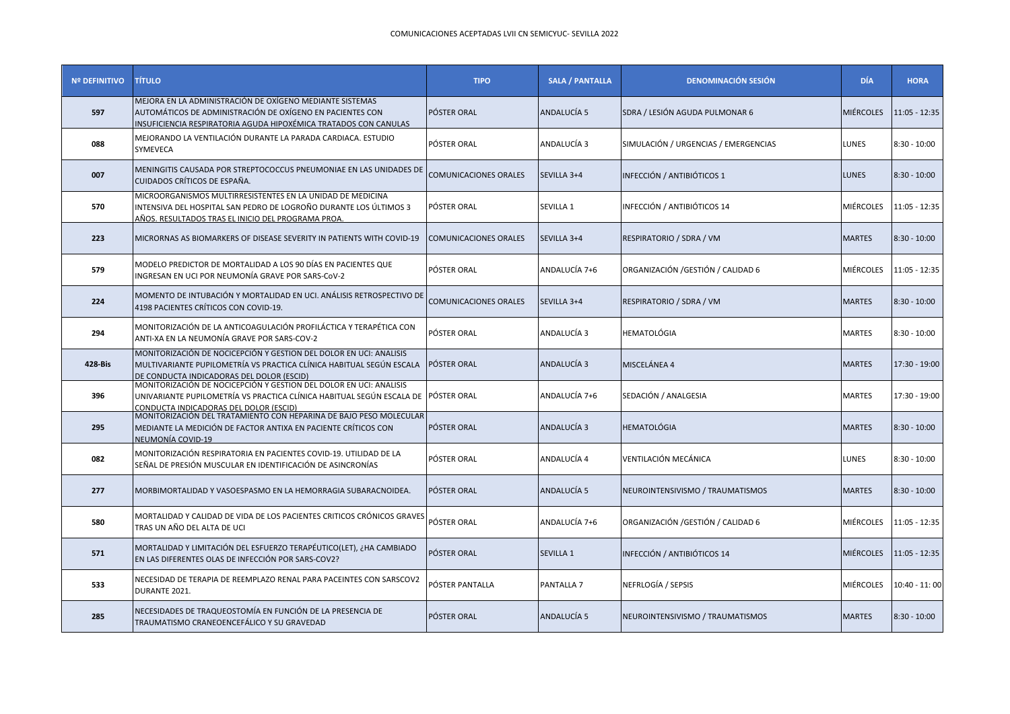| <b>Nº DEFINITIVO</b> | <b>TÍTULO</b>                                                                                                                                                                                     | <b>TIPO</b>           | <b>SALA / PANTALLA</b> | <b>DENOMINACIÓN SESIÓN</b>           | <b>DÍA</b>       | <b>HORA</b>     |
|----------------------|---------------------------------------------------------------------------------------------------------------------------------------------------------------------------------------------------|-----------------------|------------------------|--------------------------------------|------------------|-----------------|
| 597                  | MEJORA EN LA ADMINISTRACIÓN DE OXÍGENO MEDIANTE SISTEMAS<br>AUTOMÁTICOS DE ADMINISTRACIÓN DE OXÍGENO EN PACIENTES CON<br><u>INSUFICIENCIA RESPIRATORIA AGUDA HIPOXÉMICA TRATADOS CON CANULAS</u>  | PÓSTER ORAL           | ANDALUCÍA 5            | SDRA / LESIÓN AGUDA PULMONAR 6       | <b>MIÉRCOLES</b> | $11:05 - 12:35$ |
| 088                  | MEJORANDO LA VENTILACIÓN DURANTE LA PARADA CARDIACA. ESTUDIO<br>SYMEVECA                                                                                                                          | PÓSTER ORAL           | ANDALUCÍA 3            | SIMULACIÓN / URGENCIAS / EMERGENCIAS | <b>LUNES</b>     | $8:30 - 10:00$  |
| 007                  | MENINGITIS CAUSADA POR STREPTOCOCCUS PNEUMONIAE EN LAS UNIDADES DE<br>CUIDADOS CRÍTICOS DE ESPAÑA.                                                                                                | COMUNICACIONES ORALES | SEVILLA 3+4            | INFECCIÓN / ANTIBIÓTICOS 1           | <b>LUNES</b>     | $8:30 - 10:00$  |
| 570                  | MICROORGANISMOS MULTIRRESISTENTES EN LA UNIDAD DE MEDICINA<br>INTENSIVA DEL HOSPITAL SAN PEDRO DE LOGROÑO DURANTE LOS ÚLTIMOS 3<br>AÑOS. RESULTADOS TRAS EL INICIO DEL PROGRAMA PROA              | PÓSTER ORAL           | SEVILLA 1              | INFECCIÓN / ANTIBIÓTICOS 14          | <b>MIÉRCOLES</b> | $11:05 - 12:35$ |
| 223                  | MICRORNAS AS BIOMARKERS OF DISEASE SEVERITY IN PATIENTS WITH COVID-19                                                                                                                             | COMUNICACIONES ORALES | SEVILLA 3+4            | RESPIRATORIO / SDRA / VM             | <b>MARTES</b>    | $8:30 - 10:00$  |
| 579                  | MODELO PREDICTOR DE MORTALIDAD A LOS 90 DÍAS EN PACIENTES QUE<br>INGRESAN EN UCI POR NEUMONÍA GRAVE POR SARS-CoV-2                                                                                | PÓSTER ORAL           | ANDALUCÍA 7+6          | ORGANIZACIÓN / GESTIÓN / CALIDAD 6   | <b>MIÉRCOLES</b> | 11:05 - 12:35   |
| 224                  | MOMENTO DE INTUBACIÓN Y MORTALIDAD EN UCI. ANÁLISIS RETROSPECTIVO DE<br>4198 PACIENTES CRÍTICOS CON COVID-19.                                                                                     | COMUNICACIONES ORALES | SEVILLA 3+4            | RESPIRATORIO / SDRA / VM             | <b>MARTES</b>    | $8:30 - 10:00$  |
| 294                  | MONITORIZACIÓN DE LA ANTICOAGULACIÓN PROFILÁCTICA Y TERAPÉTICA CON<br>ANTI-XA EN LA NEUMONÍA GRAVE POR SARS-COV-2                                                                                 | PÓSTER ORAL           | ANDALUCÍA 3            | HEMATOLÓGIA                          | <b>MARTES</b>    | $8:30 - 10:00$  |
| 428-Bis              | MONITORIZACIÓN DE NOCICEPCIÓN Y GESTION DEL DOLOR EN UCI: ANALISIS<br>MULTIVARIANTE PUPILOMETRÍA VS PRACTICA CLÍNICA HABITUAL SEGÚN ESCALA<br>DE CONDUCTA INDICADORAS DEL DOLOR (ESCID)           | PÓSTER ORAL           | ANDALUCÍA 3            | MISCELÁNEA 4                         | <b>MARTES</b>    | 17:30 - 19:00   |
| 396                  | MONITORIZACIÓN DE NOCICEPCIÓN Y GESTION DEL DOLOR EN UCI: ANALISIS<br>UNIVARIANTE PUPILOMETRÍA VS PRACTICA CLÍNICA HABITUAL SEGÚN ESCALA DE PÓSTER ORAL<br>CONDUCTA INDICADORAS DEL DOLOR (ESCID) |                       | ANDALUCÍA 7+6          | SEDACIÓN / ANALGESIA                 | <b>MARTES</b>    | 17:30 - 19:00   |
| 295                  | MONITORIZACIÓN DEL TRATAMIENTO CON HEPARINA DE BAJO PESO MOLECULAR<br>MEDIANTE LA MEDICIÓN DE FACTOR ANTIXA EN PACIENTE CRÍTICOS CON<br>NEUMONÍA COVID-19                                         | PÓSTER ORAL           | ANDALUCÍA 3            | <b>HEMATOLÓGIA</b>                   | <b>MARTES</b>    | $8:30 - 10:00$  |
| 082                  | MONITORIZACIÓN RESPIRATORIA EN PACIENTES COVID-19. UTILIDAD DE LA<br>SEÑAL DE PRESIÓN MUSCULAR EN IDENTIFICACIÓN DE ASINCRONÍAS                                                                   | PÓSTER ORAL           | ANDALUCÍA 4            | <b>VENTILACIÓN MECÁNICA</b>          | <b>LUNES</b>     | $8:30 - 10:00$  |
| 277                  | MORBIMORTALIDAD Y VASOESPASMO EN LA HEMORRAGIA SUBARACNOIDEA.                                                                                                                                     | PÓSTER ORAL           | <b>ANDALUCÍA 5</b>     | NEUROINTENSIVISMO / TRAUMATISMOS     | <b>MARTES</b>    | $8:30 - 10:00$  |
| 580                  | MORTALIDAD Y CALIDAD DE VIDA DE LOS PACIENTES CRITICOS CRÓNICOS GRAVES<br>TRAS UN AÑO DEL ALTA DE UCI                                                                                             | PÓSTER ORAL           | ANDALUCÍA 7+6          | ORGANIZACIÓN / GESTIÓN / CALIDAD 6   | MIÉRCOLES        | 11:05 - 12:35   |
| 571                  | MORTALIDAD Y LIMITACIÓN DEL ESFUERZO TERAPÉUTICO(LET), ¿HA CAMBIADO<br>EN LAS DIFERENTES OLAS DE INFECCIÓN POR SARS-COV2?                                                                         | PÓSTER ORAL           | <b>SEVILLA 1</b>       | INFECCIÓN / ANTIBIÓTICOS 14          | <b>MIÉRCOLES</b> | 11:05 - 12:35   |
| 533                  | NECESIDAD DE TERAPIA DE REEMPLAZO RENAL PARA PACEINTES CON SARSCOV2<br>DURANTE 2021.                                                                                                              | PÓSTER PANTALLA       | <b>PANTALLA 7</b>      | NEFRLOGÍA / SEPSIS                   | <b>MIÉRCOLES</b> | 10:40 - 11:00   |
| 285                  | NECESIDADES DE TRAQUEOSTOMÍA EN FUNCIÓN DE LA PRESENCIA DE<br>TRAUMATISMO CRANEOENCEFÁLICO Y SU GRAVEDAD                                                                                          | PÓSTER ORAL           | <b>ANDALUCÍA 5</b>     | NEUROINTENSIVISMO / TRAUMATISMOS     | <b>MARTES</b>    | $8:30 - 10:00$  |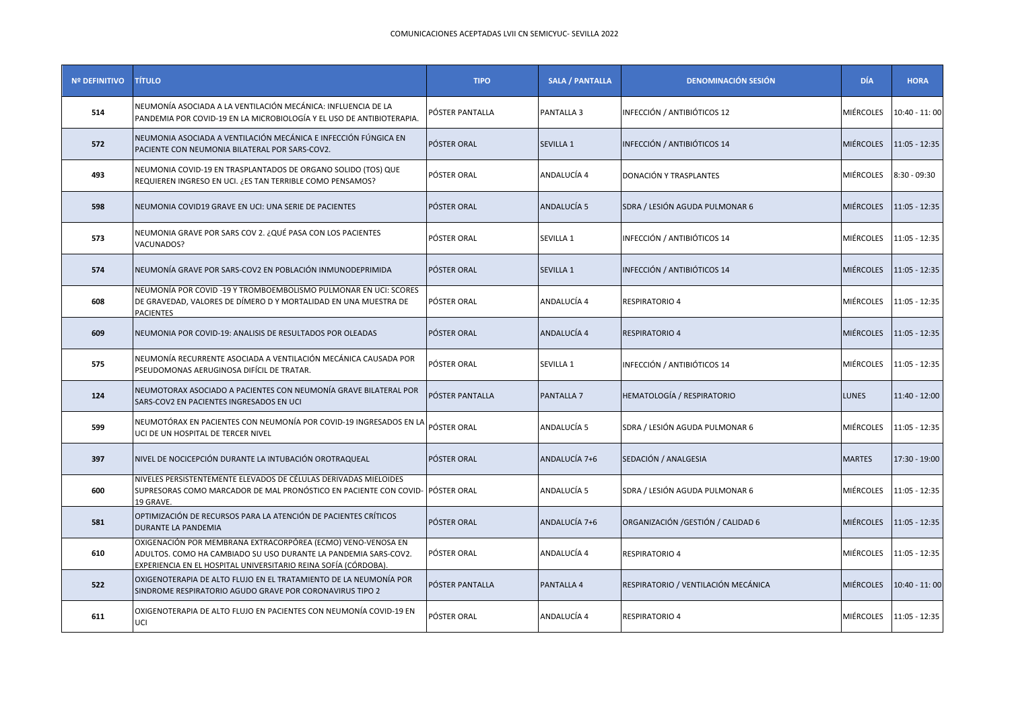| <b>Nº DEFINITIVO</b> | <b>TÍTULO</b>                                                                                                                                                                                      | <b>TIPO</b>     | <b>SALA / PANTALLA</b> | <b>DENOMINACIÓN SESIÓN</b>          | DÍA              | <b>HORA</b>     |
|----------------------|----------------------------------------------------------------------------------------------------------------------------------------------------------------------------------------------------|-----------------|------------------------|-------------------------------------|------------------|-----------------|
| 514                  | NEUMONÍA ASOCIADA A LA VENTILACIÓN MECÁNICA: INFLUENCIA DE LA<br>PANDEMIA POR COVID-19 EN LA MICROBIOLOGÍA Y EL USO DE ANTIBIOTERAPIA.                                                             | PÓSTER PANTALLA | <b>PANTALLA 3</b>      | INFECCIÓN / ANTIBIÓTICOS 12         | MIÉRCOLES        | 10:40 - 11:00   |
| 572                  | NEUMONIA ASOCIADA A VENTILACIÓN MECÁNICA E INFECCIÓN FÚNGICA EN<br>PACIENTE CON NEUMONIA BILATERAL POR SARS-COV2.                                                                                  | PÓSTER ORAL     | <b>SEVILLA 1</b>       | INFECCIÓN / ANTIBIÓTICOS 14         | <b>MIÉRCOLES</b> | 11:05 - 12:35   |
| 493                  | NEUMONIA COVID-19 EN TRASPLANTADOS DE ORGANO SOLIDO (TOS) QUE<br>REQUIEREN INGRESO EN UCI. ¿ES TAN TERRIBLE COMO PENSAMOS?                                                                         | PÓSTER ORAL     | ANDALUCÍA 4            | DONACIÓN Y TRASPLANTES              | <b>MIÉRCOLES</b> | $8:30 - 09:30$  |
| 598                  | NEUMONIA COVID19 GRAVE EN UCI: UNA SERIE DE PACIENTES                                                                                                                                              | PÓSTER ORAL     | ANDALUCÍA 5            | SDRA / LESIÓN AGUDA PULMONAR 6      | <b>MIÉRCOLES</b> | $11:05 - 12:35$ |
| 573                  | NEUMONIA GRAVE POR SARS COV 2. ¿QUÉ PASA CON LOS PACIENTES<br>VACUNADOS?                                                                                                                           | PÓSTER ORAL     | SEVILLA 1              | INFECCIÓN / ANTIBIÓTICOS 14         | <b>MIÉRCOLES</b> | 11:05 - 12:35   |
| 574                  | NEUMONÍA GRAVE POR SARS-COV2 EN POBLACIÓN INMUNODEPRIMIDA                                                                                                                                          | PÓSTER ORAL     | <b>SEVILLA 1</b>       | INFECCIÓN / ANTIBIÓTICOS 14         | <b>MIÉRCOLES</b> | $11:05 - 12:35$ |
| 608                  | NEUMONÍA POR COVID -19 Y TROMBOEMBOLISMO PULMONAR EN UCI: SCORES<br>DE GRAVEDAD, VALORES DE DÍMERO D Y MORTALIDAD EN UNA MUESTRA DE<br><b>PACIENTES</b>                                            | PÓSTER ORAL     | ANDALUCÍA 4            | RESPIRATORIO 4                      | MIÉRCOLES        | $11:05 - 12:35$ |
| 609                  | NEUMONIA POR COVID-19: ANALISIS DE RESULTADOS POR OLEADAS                                                                                                                                          | PÓSTER ORAL     | ANDALUCÍA 4            | <b>RESPIRATORIO 4</b>               | <b>MIÉRCOLES</b> | $11:05 - 12:35$ |
| 575                  | NEUMONÍA RECURRENTE ASOCIADA A VENTILACIÓN MECÁNICA CAUSADA POR<br>PSEUDOMONAS AERUGINOSA DIFÍCIL DE TRATAR.                                                                                       | PÓSTER ORAL     | SEVILLA 1              | INFECCIÓN / ANTIBIÓTICOS 14         | <b>MIÉRCOLES</b> | 11:05 - 12:35   |
| 124                  | NEUMOTORAX ASOCIADO A PACIENTES CON NEUMONÍA GRAVE BILATERAL POR<br>SARS-COV2 EN PACIENTES INGRESADOS EN UCI                                                                                       | PÓSTER PANTALLA | <b>PANTALLA 7</b>      | HEMATOLOGÍA / RESPIRATORIO          | <b>LUNES</b>     | 11:40 - 12:00   |
| 599                  | NEUMOTÓRAX EN PACIENTES CON NEUMONÍA POR COVID-19 INGRESADOS EN LA<br>UCI DE UN HOSPITAL DE TERCER NIVEL                                                                                           | PÓSTER ORAL     | ANDALUCÍA 5            | SDRA / LESIÓN AGUDA PULMONAR 6      | <b>MIÉRCOLES</b> | $11:05 - 12:35$ |
| 397                  | NIVEL DE NOCICEPCIÓN DURANTE LA INTUBACIÓN OROTRAQUEAL                                                                                                                                             | PÓSTER ORAL     | ANDALUCÍA 7+6          | SEDACIÓN / ANALGESIA                | <b>MARTES</b>    | 17:30 - 19:00   |
| 600                  | NIVELES PERSISTENTEMENTE ELEVADOS DE CÉLULAS DERIVADAS MIELOIDES<br>SUPRESORAS COMO MARCADOR DE MAL PRONÓSTICO EN PACIENTE CON COVID-<br>19 GRAVE.                                                 | PÓSTER ORAL     | ANDALUCÍA 5            | SDRA / LESIÓN AGUDA PULMONAR 6      | MIÉRCOLES        | 11:05 - 12:35   |
| 581                  | OPTIMIZACIÓN DE RECURSOS PARA LA ATENCIÓN DE PACIENTES CRÍTICOS<br><b>DURANTE LA PANDEMIA</b>                                                                                                      | PÓSTER ORAL     | ANDALUCÍA 7+6          | ORGANIZACIÓN / GESTIÓN / CALIDAD 6  | <b>MIÉRCOLES</b> | $11:05 - 12:35$ |
| 610                  | OXIGENACIÓN POR MEMBRANA EXTRACORPÓREA (ECMO) VENO-VENOSA EN<br>ADULTOS. COMO HA CAMBIADO SU USO DURANTE LA PANDEMIA SARS-COV2.<br>EXPERIENCIA EN EL HOSPITAL UNIVERSITARIO REINA SOFÍA (CÓRDOBA). | PÓSTER ORAL     | ANDALUCÍA 4            | <b>RESPIRATORIO 4</b>               | MIÉRCOLES        | 11:05 - 12:35   |
| 522                  | OXIGENOTERAPIA DE ALTO FLUJO EN EL TRATAMIENTO DE LA NEUMONÍA POR<br>SINDROME RESPIRATORIO AGUDO GRAVE POR CORONAVIRUS TIPO 2                                                                      | PÓSTER PANTALLA | <b>PANTALLA 4</b>      | RESPIRATORIO / VENTILACIÓN MECÁNICA | <b>MIÉRCOLES</b> | 10:40 - 11:00   |
| 611                  | OXIGENOTERAPIA DE ALTO FLUJO EN PACIENTES CON NEUMONÍA COVID-19 EN<br>UCI                                                                                                                          | PÓSTER ORAL     | ANDALUCÍA 4            | <b>RESPIRATORIO 4</b>               | MIÉRCOLES        | $11:05 - 12:35$ |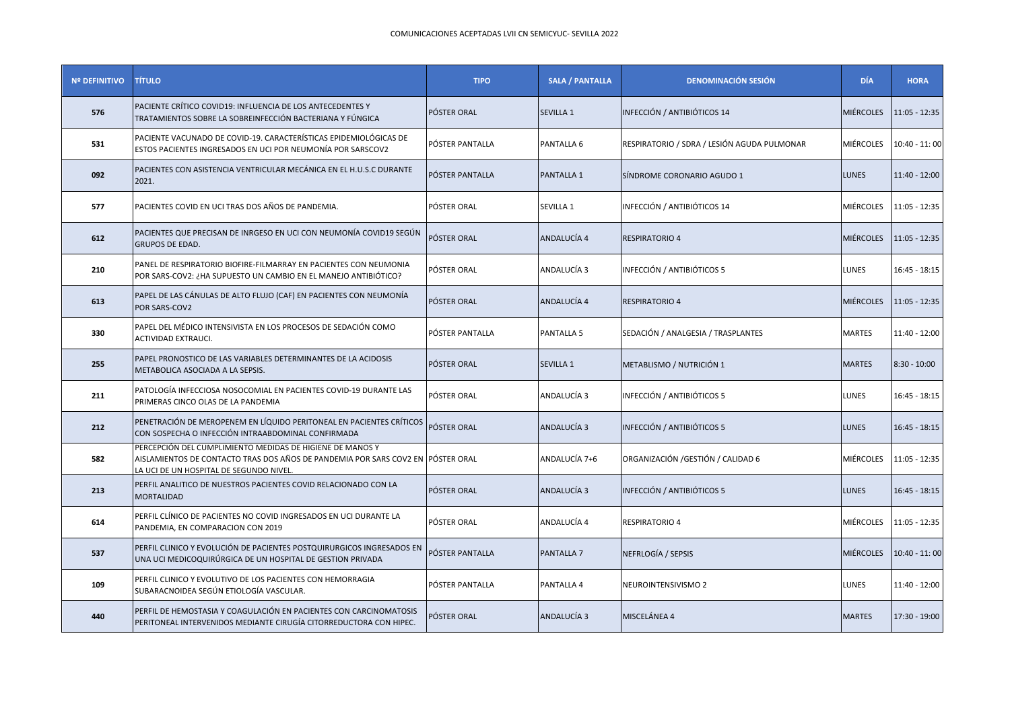| <b>Nº DEFINITIVO</b> | <b>TÍTULO</b>                                                                                                                                                                          | <b>TIPO</b>     | <b>SALA / PANTALLA</b> | <b>DENOMINACIÓN SESIÓN</b>                  | DÍA              | <b>HORA</b>     |
|----------------------|----------------------------------------------------------------------------------------------------------------------------------------------------------------------------------------|-----------------|------------------------|---------------------------------------------|------------------|-----------------|
| 576                  | PACIENTE CRÍTICO COVID19: INFLUENCIA DE LOS ANTECEDENTES Y<br>TRATAMIENTOS SOBRE LA SOBREINFECCIÓN BACTERIANA Y FÚNGICA                                                                | PÓSTER ORAL     | <b>SEVILLA 1</b>       | INFECCIÓN / ANTIBIÓTICOS 14                 | <b>MIÉRCOLES</b> | 11:05 - 12:35   |
| 531                  | PACIENTE VACUNADO DE COVID-19. CARACTERÍSTICAS EPIDEMIOLÓGICAS DE<br>ESTOS PACIENTES INGRESADOS EN UCI POR NEUMONÍA POR SARSCOV2                                                       | PÓSTER PANTALLA | PANTALLA 6             | RESPIRATORIO / SDRA / LESIÓN AGUDA PULMONAR | MIÉRCOLES        | 10:40 - 11:00   |
| 092                  | PACIENTES CON ASISTENCIA VENTRICULAR MECÁNICA EN EL H.U.S.C DURANTE<br>2021.                                                                                                           | PÓSTER PANTALLA | <b>PANTALLA 1</b>      | SINDROME CORONARIO AGUDO 1                  | <b>LUNES</b>     | 11:40 - 12:00   |
| 577                  | PACIENTES COVID EN UCI TRAS DOS AÑOS DE PANDEMIA.                                                                                                                                      | PÓSTER ORAL     | SEVILLA 1              | INFECCIÓN / ANTIBIÓTICOS 14                 | <b>MIÉRCOLES</b> | $11:05 - 12:35$ |
| 612                  | PACIENTES QUE PRECISAN DE INRGESO EN UCI CON NEUMONÍA COVID19 SEGÚN<br><b>GRUPOS DE EDAD.</b>                                                                                          | PÓSTER ORAL     | ANDALUCÍA 4            | <b>RESPIRATORIO 4</b>                       | <b>MIÉRCOLES</b> | $11:05 - 12:35$ |
| 210                  | PANEL DE RESPIRATORIO BIOFIRE-FILMARRAY EN PACIENTES CON NEUMONIA<br>POR SARS-COV2: ¿HA SUPUESTO UN CAMBIO EN EL MANEJO ANTIBIÓTICO?                                                   | PÓSTER ORAL     | ANDALUCÍA 3            | INFECCIÓN / ANTIBIÓTICOS 5                  | <b>LUNES</b>     | 16:45 - 18:15   |
| 613                  | PAPEL DE LAS CÁNULAS DE ALTO FLUJO (CAF) EN PACIENTES CON NEUMONÍA<br>POR SARS-COV2                                                                                                    | PÓSTER ORAL     | <b>ANDALUCÍA 4</b>     | <b>RESPIRATORIO 4</b>                       | <b>MIÉRCOLES</b> | $11:05 - 12:35$ |
| 330                  | PAPEL DEL MÉDICO INTENSIVISTA EN LOS PROCESOS DE SEDACIÓN COMO<br><b>ACTIVIDAD EXTRAUCI.</b>                                                                                           | PÓSTER PANTALLA | PANTALLA <sub>5</sub>  | SEDACIÓN / ANALGESIA / TRASPLANTES          | <b>MARTES</b>    | 11:40 - 12:00   |
| 255                  | PAPEL PRONOSTICO DE LAS VARIABLES DETERMINANTES DE LA ACIDOSIS<br>METABOLICA ASOCIADA A LA SEPSIS.                                                                                     | PÓSTER ORAL     | <b>SEVILLA 1</b>       | METABLISMO / NUTRICIÓN 1                    | <b>MARTES</b>    | $8:30 - 10:00$  |
| 211                  | PATOLOGÍA INFECCIOSA NOSOCOMIAL EN PACIENTES COVID-19 DURANTE LAS<br>PRIMERAS CINCO OLAS DE LA PANDEMIA                                                                                | PÓSTER ORAL     | ANDALUCÍA 3            | INFECCIÓN / ANTIBIÓTICOS 5                  | <b>LUNES</b>     | $16:45 - 18:15$ |
| 212                  | PENETRACIÓN DE MEROPENEM EN LÍQUIDO PERITONEAL EN PACIENTES CRÍTICOS<br>CON SOSPECHA O INFECCIÓN INTRAABDOMINAL CONFIRMADA                                                             | PÓSTER ORAL     | ANDALUCÍA 3            | INFECCIÓN / ANTIBIÓTICOS 5                  | <b>LUNES</b>     | $16:45 - 18:15$ |
| 582                  | PERCEPCIÓN DEL CUMPLIMIENTO MEDIDAS DE HIGIENE DE MANOS Y<br>AISLAMIENTOS DE CONTACTO TRAS DOS AÑOS DE PANDEMIA POR SARS COV2 EN PÓSTER ORAL<br>LA UCI DE UN HOSPITAL DE SEGUNDO NIVEL |                 | ANDALUCÍA 7+6          | ORGANIZACIÓN /GESTIÓN / CALIDAD 6           | MIÉRCOLES        | $11:05 - 12:35$ |
| 213                  | PERFIL ANALITICO DE NUESTROS PACIENTES COVID RELACIONADO CON LA<br><b>MORTALIDAD</b>                                                                                                   | PÓSTER ORAL     | ANDALUCÍA 3            | INFECCIÓN / ANTIBIÓTICOS 5                  | <b>LUNES</b>     | 16:45 - 18:15   |
| 614                  | PERFIL CLÍNICO DE PACIENTES NO COVID INGRESADOS EN UCI DURANTE LA<br>PANDEMIA, EN COMPARACION CON 2019                                                                                 | PÓSTER ORAL     | ANDALUCÍA 4            | <b>RESPIRATORIO 4</b>                       | MIÉRCOLES        | 11:05 - 12:35   |
| 537                  | PERFIL CLINICO Y EVOLUCIÓN DE PACIENTES POSTQUIRURGICOS INGRESADOS EN<br>UNA UCI MEDICOQUIRÚRGICA DE UN HOSPITAL DE GESTION PRIVADA                                                    | PÓSTER PANTALLA | <b>PANTALLA 7</b>      | NEFRLOGÍA / SEPSIS                          | <b>MIÉRCOLES</b> | 10:40 - 11:00   |
| 109                  | PERFIL CLINICO Y EVOLUTIVO DE LOS PACIENTES CON HEMORRAGIA<br>SUBARACNOIDEA SEGÚN ETIOLOGÍA VASCULAR.                                                                                  | PÓSTER PANTALLA | PANTALLA 4             | NEUROINTENSIVISMO 2                         | <b>LUNES</b>     | 11:40 - 12:00   |
| 440                  | PERFIL DE HEMOSTASIA Y COAGULACIÓN EN PACIENTES CON CARCINOMATOSIS<br>PERITONEAL INTERVENIDOS MEDIANTE CIRUGÍA CITORREDUCTORA CON HIPEC.                                               | PÓSTER ORAL     | <b>ANDALUCÍA 3</b>     | MISCELÁNEA 4                                | <b>MARTES</b>    | 17:30 - 19:00   |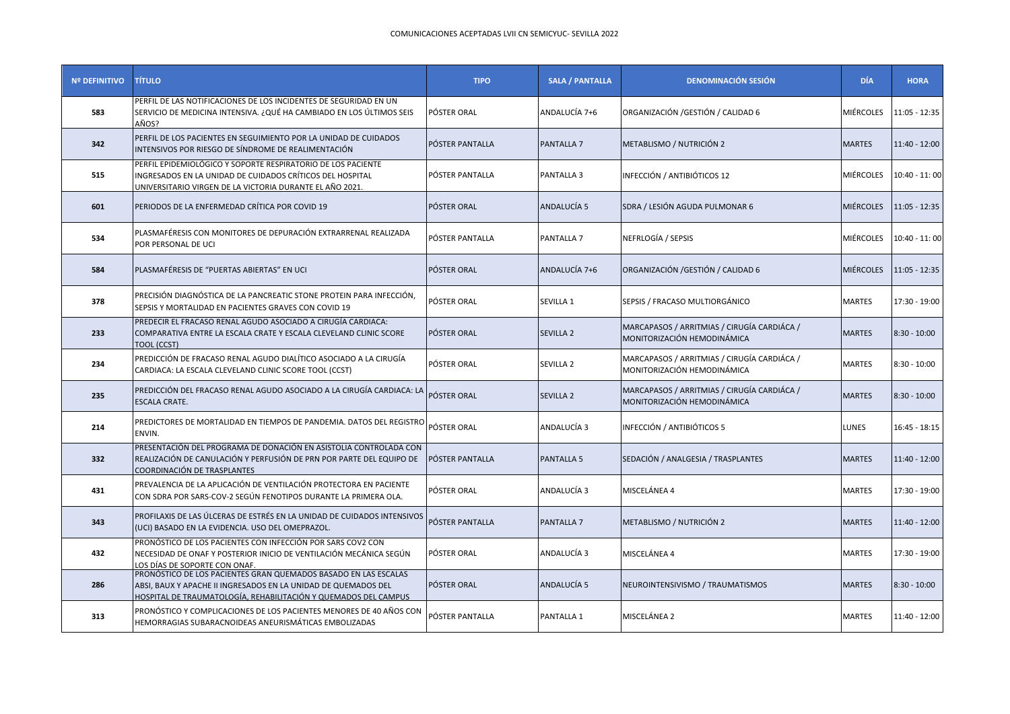| <b>Nº DEFINITIVO</b> | <b>TÍTULO</b>                                                                                                                                                                                               | <b>TIPO</b>     | <b>SALA / PANTALLA</b> | <b>DENOMINACIÓN SESIÓN</b>                                                 | <b>DÍA</b>       | <b>HORA</b>     |
|----------------------|-------------------------------------------------------------------------------------------------------------------------------------------------------------------------------------------------------------|-----------------|------------------------|----------------------------------------------------------------------------|------------------|-----------------|
| 583                  | PERFIL DE LAS NOTIFICACIONES DE LOS INCIDENTES DE SEGURIDAD EN UN<br>SERVICIO DE MEDICINA INTENSIVA. ¿QUÉ HA CAMBIADO EN LOS ÚLTIMOS SEIS<br>AÑOS?                                                          | PÓSTER ORAL     | ANDALUCÍA 7+6          | ORGANIZACIÓN /GESTIÓN / CALIDAD 6                                          | <b>MIÉRCOLES</b> | 11:05 - 12:35   |
| 342                  | PERFIL DE LOS PACIENTES EN SEGUIMIENTO POR LA UNIDAD DE CUIDADOS<br>INTENSIVOS POR RIESGO DE SÍNDROME DE REALIMENTACIÓN                                                                                     | PÓSTER PANTALLA | <b>PANTALLA 7</b>      | METABLISMO / NUTRICIÓN 2                                                   | <b>MARTES</b>    | 11:40 - 12:00   |
| 515                  | PERFIL EPIDEMIOLÓGICO Y SOPORTE RESPIRATORIO DE LOS PACIENTE<br>INGRESADOS EN LA UNIDAD DE CUIDADOS CRÍTICOS DEL HOSPITAL<br>UNIVERSITARIO VIRGEN DE LA VICTORIA DURANTE EL AÑO 2021                        | PÓSTER PANTALLA | <b>PANTALLA 3</b>      | INFECCIÓN / ANTIBIÓTICOS 12                                                | <b>MIÉRCOLES</b> | 10:40 - 11:00   |
| 601                  | PERIODOS DE LA ENFERMEDAD CRÍTICA POR COVID 19                                                                                                                                                              | PÓSTER ORAL     | <b>ANDALUCÍA 5</b>     | SDRA / LESIÓN AGUDA PULMONAR 6                                             | <b>MIÉRCOLES</b> | 11:05 - 12:35   |
| 534                  | PLASMAFÉRESIS CON MONITORES DE DEPURACIÓN EXTRARRENAL REALIZADA<br>POR PERSONAL DE UCI                                                                                                                      | PÓSTER PANTALLA | <b>PANTALLA 7</b>      | NEFRLOGÍA / SEPSIS                                                         | <b>MIÉRCOLES</b> | 10:40 - 11:00   |
| 584                  | PLASMAFÉRESIS DE "PUERTAS ABIERTAS" EN UCI                                                                                                                                                                  | PÓSTER ORAL     | ANDALUCÍA 7+6          | ORGANIZACIÓN / GESTIÓN / CALIDAD 6                                         | <b>MIÉRCOLES</b> | $11:05 - 12:35$ |
| 378                  | PRECISIÓN DIAGNÓSTICA DE LA PANCREATIC STONE PROTEIN PARA INFECCIÓN,<br>SEPSIS Y MORTALIDAD EN PACIENTES GRAVES CON COVID 19                                                                                | PÓSTER ORAL     | SEVILLA 1              | SEPSIS / FRACASO MULTIORGÁNICO                                             | <b>MARTES</b>    | 17:30 - 19:00   |
| 233                  | PREDECIR EL FRACASO RENAL AGUDO ASOCIADO A CIRUGÍA CARDIACA:<br>COMPARATIVA ENTRE LA ESCALA CRATE Y ESCALA CLEVELAND CLINIC SCORE<br><b>TOOL (CCST)</b>                                                     | PÓSTER ORAL     | <b>SEVILLA 2</b>       | MARCAPASOS / ARRITMIAS / CIRUGÍA CARDIÁCA /<br>MONITORIZACIÓN HEMODINÁMICA | <b>MARTES</b>    | $8:30 - 10:00$  |
| 234                  | PREDICCIÓN DE FRACASO RENAL AGUDO DIALÍTICO ASOCIADO A LA CIRUGÍA<br>CARDIACA: LA ESCALA CLEVELAND CLINIC SCORE TOOL (CCST)                                                                                 | PÓSTER ORAL     | <b>SEVILLA 2</b>       | MARCAPASOS / ARRITMIAS / CIRUGÍA CARDIÁCA /<br>MONITORIZACIÓN HEMODINÁMICA | <b>MARTES</b>    | $8:30 - 10:00$  |
| 235                  | PREDICCIÓN DEL FRACASO RENAL AGUDO ASOCIADO A LA CIRUGÍA CARDIACA: LA<br><b>ESCALA CRATE.</b>                                                                                                               | PÓSTER ORAL     | <b>SEVILLA 2</b>       | MARCAPASOS / ARRITMIAS / CIRUGÍA CARDIÁCA /<br>MONITORIZACIÓN HEMODINÁMICA | <b>MARTES</b>    | $8:30 - 10:00$  |
| 214                  | PREDICTORES DE MORTALIDAD EN TIEMPOS DE PANDEMIA. DATOS DEL REGISTRO<br>ENVIN.                                                                                                                              | PÓSTER ORAL     | ANDALUCÍA 3            | INFECCIÓN / ANTIBIÓTICOS 5                                                 | <b>LUNES</b>     | $16:45 - 18:15$ |
| 332                  | PRESENTACIÓN DEL PROGRAMA DE DONACIÓN EN ASISTOLIA CONTROLADA CON<br>REALIZACIÓN DE CANULACIÓN Y PERFUSIÓN DE PRN POR PARTE DEL EQUIPO DE<br>COORDINACIÓN DE TRASPLANTES                                    | PÓSTER PANTALLA | <b>PANTALLA 5</b>      | SEDACIÓN / ANALGESIA / TRASPLANTES                                         | <b>MARTES</b>    | 11:40 - 12:00   |
| 431                  | PREVALENCIA DE LA APLICACIÓN DE VENTILACIÓN PROTECTORA EN PACIENTE<br>CON SDRA POR SARS-COV-2 SEGÚN FENOTIPOS DURANTE LA PRIMERA OLA.                                                                       | PÓSTER ORAL     | ANDALUCÍA 3            | MISCELÁNEA 4                                                               | <b>MARTES</b>    | 17:30 - 19:00   |
| 343                  | PROFILAXIS DE LAS ÚLCERAS DE ESTRÉS EN LA UNIDAD DE CUIDADOS INTENSIVOS<br>(UCI) BASADO EN LA EVIDENCIA. USO DEL OMEPRAZOL.                                                                                 | PÓSTER PANTALLA | <b>PANTALLA 7</b>      | METABLISMO / NUTRICIÓN 2                                                   | <b>MARTES</b>    | 11:40 - 12:00   |
| 432                  | PRONÓSTICO DE LOS PACIENTES CON INFECCIÓN POR SARS COV2 CON<br>NECESIDAD DE ONAF Y POSTERIOR INICIO DE VENTILACIÓN MECÁNICA SEGÚN<br>OS DÍAS DE SOPORTE CON ONAF.                                           | PÓSTER ORAL     | ANDALUCÍA 3            | MISCELÁNEA 4                                                               | <b>MARTES</b>    | 17:30 - 19:00   |
| 286                  | PRONÓSTICO DE LOS PACIENTES GRAN QUEMADOS BASADO EN LAS ESCALAS<br>ABSI, BAUX Y APACHE II INGRESADOS EN LA UNIDAD DE QUEMADOS DEL<br>HOSPITAL DE <u>TRAUMATOLOGÍA, REHABILITACIÓN Y QUEMADOS DEL CAMPUS</u> | PÓSTER ORAL     | <b>ANDALUCÍA 5</b>     | NEUROINTENSIVISMO / TRAUMATISMOS                                           | <b>MARTES</b>    | $8:30 - 10:00$  |
| 313                  | PRONÓSTICO Y COMPLICACIONES DE LOS PACIENTES MENORES DE 40 AÑOS CON<br>HEMORRAGIAS SUBARACNOIDEAS ANEURISMÁTICAS EMBOLIZADAS                                                                                | PÓSTER PANTALLA | PANTALLA 1             | MISCELÁNEA 2                                                               | <b>MARTES</b>    | $11:40 - 12:00$ |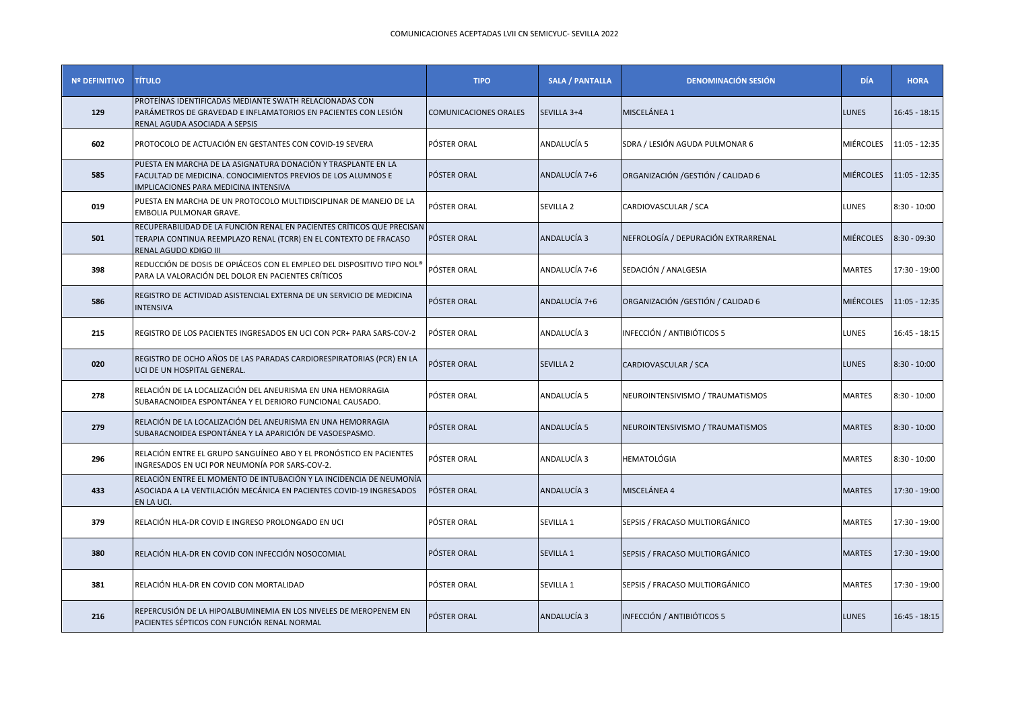| <b>Nº DEFINITIVO</b> | <b>TÍTULO</b>                                                                                                                                                          | <b>TIPO</b>           | <b>SALA / PANTALLA</b> | <b>DENOMINACIÓN SESIÓN</b>          | <b>DÍA</b>       | <b>HORA</b>     |
|----------------------|------------------------------------------------------------------------------------------------------------------------------------------------------------------------|-----------------------|------------------------|-------------------------------------|------------------|-----------------|
| 129                  | PROTEÍNAS IDENTIFICADAS MEDIANTE SWATH RELACIONADAS CON<br>PARÁMETROS DE GRAVEDAD E INFLAMATORIOS EN PACIENTES CON LESIÓN<br>RENAL AGUDA ASOCIADA A SEPSIS             | COMUNICACIONES ORALES | SEVILLA 3+4            | MISCELÁNEA 1                        | <b>LUNES</b>     | $16:45 - 18:15$ |
| 602                  | PROTOCOLO DE ACTUACIÓN EN GESTANTES CON COVID-19 SEVERA                                                                                                                | PÓSTER ORAL           | ANDALUCÍA 5            | SDRA / LESIÓN AGUDA PULMONAR 6      | <b>MIÉRCOLES</b> | $11:05 - 12:35$ |
| 585                  | PUESTA EN MARCHA DE LA ASIGNATURA DONACIÓN Y TRASPLANTE EN LA<br>FACULTAD DE MEDICINA. CONOCIMIENTOS PREVIOS DE LOS ALUMNOS E<br>IMPLICACIONES PARA MEDICINA INTENSIVA | PÓSTER ORAL           | ANDALUCÍA 7+6          | ORGANIZACIÓN / GESTIÓN / CALIDAD 6  | <b>MIÉRCOLES</b> | 11:05 - 12:35   |
| 019                  | PUESTA EN MARCHA DE UN PROTOCOLO MULTIDISCIPLINAR DE MANEJO DE LA<br>EMBOLIA PULMONAR GRAVE.                                                                           | PÓSTER ORAL           | SEVILLA 2              | CARDIOVASCULAR / SCA                | LUNES            | $8:30 - 10:00$  |
| 501                  | RECUPERABILIDAD DE LA FUNCIÓN RENAL EN PACIENTES CRÍTICOS QUE PRECISAN<br>TERAPIA CONTINUA REEMPLAZO RENAL (TCRR) EN EL CONTEXTO DE FRACASO<br>RENAL AGUDO KDIGO III   | PÓSTER ORAL           | ANDALUCÍA 3            | NEFROLOGÍA / DEPURACIÓN EXTRARRENAL | <b>MIÉRCOLES</b> | $8:30 - 09:30$  |
| 398                  | REDUCCIÓN DE DOSIS DE OPIÁCEOS CON EL EMPLEO DEL DISPOSITIVO TIPO NOL®<br>PARA LA VALORACIÓN DEL DOLOR EN PACIENTES CRÍTICOS                                           | PÓSTER ORAL           | ANDALUCÍA 7+6          | SEDACIÓN / ANALGESIA                | <b>MARTES</b>    | 17:30 - 19:00   |
| 586                  | REGISTRO DE ACTIVIDAD ASISTENCIAL EXTERNA DE UN SERVICIO DE MEDICINA<br><b>INTENSIVA</b>                                                                               | PÓSTER ORAL           | ANDALUCÍA 7+6          | ORGANIZACIÓN / GESTIÓN / CALIDAD 6  | <b>MIÉRCOLES</b> | $11:05 - 12:35$ |
| 215                  | REGISTRO DE LOS PACIENTES INGRESADOS EN UCI CON PCR+ PARA SARS-COV-2                                                                                                   | PÓSTER ORAL           | ANDALUCÍA 3            | INFECCIÓN / ANTIBIÓTICOS 5          | LUNES            | $16:45 - 18:15$ |
| 020                  | REGISTRO DE OCHO AÑOS DE LAS PARADAS CARDIORESPIRATORIAS (PCR) EN LA<br>UCI DE UN HOSPITAL GENERAL.                                                                    | PÓSTER ORAL           | <b>SEVILLA 2</b>       | CARDIOVASCULAR / SCA                | <b>LUNES</b>     | $8:30 - 10:00$  |
| 278                  | RELACIÓN DE LA LOCALIZACIÓN DEL ANEURISMA EN UNA HEMORRAGIA<br>SUBARACNOIDEA ESPONTÁNEA Y EL DERIORO FUNCIONAL CAUSADO.                                                | PÓSTER ORAL           | ANDALUCÍA 5            | NEUROINTENSIVISMO / TRAUMATISMOS    | <b>MARTES</b>    | $8:30 - 10:00$  |
| 279                  | RELACIÓN DE LA LOCALIZACIÓN DEL ANEURISMA EN UNA HEMORRAGIA<br>SUBARACNOIDEA ESPONTÁNEA Y LA APARICIÓN DE VASOESPASMO.                                                 | PÓSTER ORAL           | ANDALUCÍA 5            | NEUROINTENSIVISMO / TRAUMATISMOS    | <b>MARTES</b>    | $8:30 - 10:00$  |
| 296                  | RELACIÓN ENTRE EL GRUPO SANGUÍNEO ABO Y EL PRONÓSTICO EN PACIENTES<br>INGRESADOS EN UCI POR NEUMONÍA POR SARS-COV-2.                                                   | PÓSTER ORAL           | ANDALUCÍA 3            | HEMATOLÓGIA                         | <b>MARTES</b>    | $8:30 - 10:00$  |
| 433                  | RELACIÓN ENTRE EL MOMENTO DE INTUBACIÓN Y LA INCIDENCIA DE NEUMONÍA<br>ASOCIADA A LA VENTILACIÓN MECÁNICA EN PACIENTES COVID-19 INGRESADOS<br>EN LA UCI.               | PÓSTER ORAL           | ANDALUCÍA 3            | MISCELÁNEA 4                        | <b>MARTES</b>    | 17:30 - 19:00   |
| 379                  | RELACIÓN HLA-DR COVID E INGRESO PROLONGADO EN UCI                                                                                                                      | PÓSTER ORAL           | SEVILLA 1              | SEPSIS / FRACASO MULTIORGÁNICO      | <b>MARTES</b>    | 17:30 - 19:00   |
| 380                  | RELACIÓN HLA-DR EN COVID CON INFECCIÓN NOSOCOMIAL                                                                                                                      | PÓSTER ORAL           | <b>SEVILLA 1</b>       | SEPSIS / FRACASO MULTIORGÁNICO      | <b>MARTES</b>    | 17:30 - 19:00   |
| 381                  | RELACIÓN HLA-DR EN COVID CON MORTALIDAD                                                                                                                                | PÓSTER ORAL           | SEVILLA 1              | SEPSIS / FRACASO MULTIORGÁNICO      | <b>MARTES</b>    | 17:30 - 19:00   |
| 216                  | REPERCUSIÓN DE LA HIPOALBUMINEMIA EN LOS NIVELES DE MEROPENEM EN<br>PACIENTES SÉPTICOS CON FUNCIÓN RENAL NORMAL                                                        | PÓSTER ORAL           | ANDALUCÍA 3            | <b>INFECCIÓN / ANTIBIÓTICOS 5</b>   | <b>LUNES</b>     | $16:45 - 18:15$ |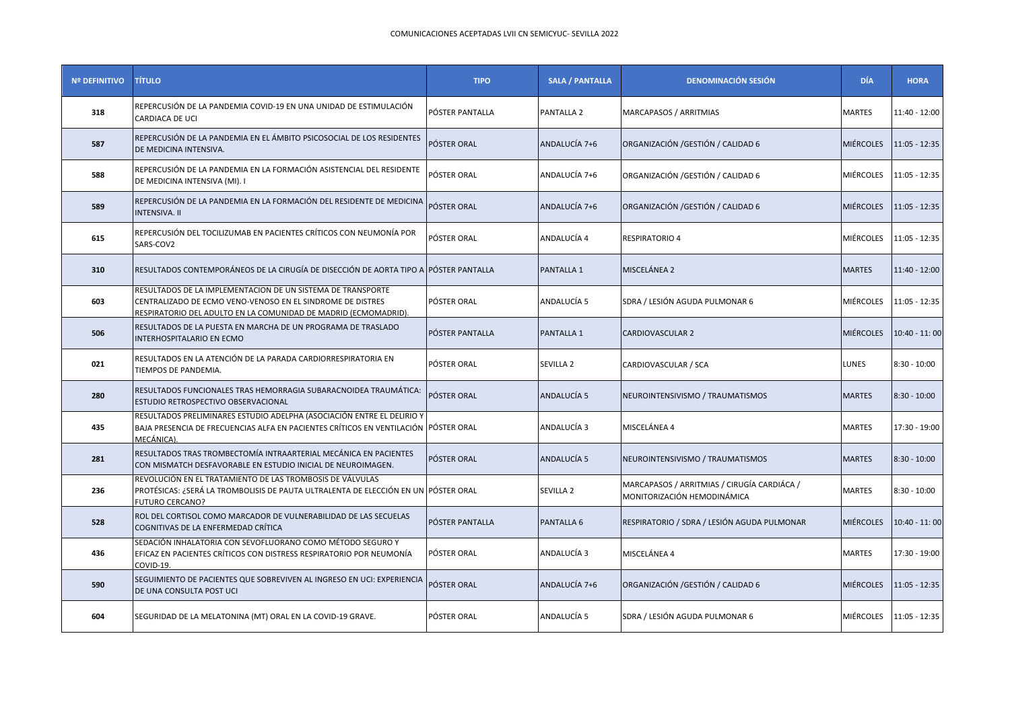| <b>Nº DEFINITIVO</b> | <b>TÍTULO</b>                                                                                                                                                                                | <b>TIPO</b>     | <b>SALA / PANTALLA</b> | <b>DENOMINACIÓN SESIÓN</b>                                                 | <b>DÍA</b>       | <b>HORA</b>     |
|----------------------|----------------------------------------------------------------------------------------------------------------------------------------------------------------------------------------------|-----------------|------------------------|----------------------------------------------------------------------------|------------------|-----------------|
| 318                  | REPERCUSIÓN DE LA PANDEMIA COVID-19 EN UNA UNIDAD DE ESTIMULACIÓN<br>CARDIACA DE UCI                                                                                                         | PÓSTER PANTALLA | <b>PANTALLA 2</b>      | MARCAPASOS / ARRITMIAS                                                     | <b>MARTES</b>    | 11:40 - 12:00   |
| 587                  | REPERCUSIÓN DE LA PANDEMIA EN EL ÁMBITO PSICOSOCIAL DE LOS RESIDENTES<br>DE MEDICINA INTENSIVA.                                                                                              | PÓSTER ORAL     | ANDALUCÍA 7+6          | ORGANIZACIÓN / GESTIÓN / CALIDAD 6                                         | <b>MIÉRCOLES</b> | $11:05 - 12:35$ |
| 588                  | REPERCUSIÓN DE LA PANDEMIA EN LA FORMACIÓN ASISTENCIAL DEL RESIDENTE<br>DE MEDICINA INTENSIVA (MI). I                                                                                        | PÓSTER ORAL     | ANDALUCÍA 7+6          | ORGANIZACIÓN / GESTIÓN / CALIDAD 6                                         | <b>MIÉRCOLES</b> | 11:05 - 12:35   |
| 589                  | REPERCUSIÓN DE LA PANDEMIA EN LA FORMACIÓN DEL RESIDENTE DE MEDICINA<br><b>INTENSIVA. II</b>                                                                                                 | PÓSTER ORAL     | ANDALUCÍA 7+6          | ORGANIZACIÓN / GESTIÓN / CALIDAD 6                                         | <b>MIÉRCOLES</b> | $11:05 - 12:35$ |
| 615                  | REPERCUSIÓN DEL TOCILIZUMAB EN PACIENTES CRÍTICOS CON NEUMONÍA POR<br>SARS-COV2                                                                                                              | PÓSTER ORAL     | ANDALUCÍA 4            | <b>RESPIRATORIO 4</b>                                                      | <b>MIÉRCOLES</b> | $11:05 - 12:35$ |
| 310                  | RESULTADOS CONTEMPORÁNEOS DE LA CIRUGÍA DE DISECCIÓN DE AORTA TIPO A PÓSTER PANTALLA                                                                                                         |                 | <b>PANTALLA 1</b>      | MISCELÁNEA 2                                                               | <b>MARTES</b>    | $11:40 - 12:00$ |
| 603                  | RESULTADOS DE LA IMPLEMENTACION DE UN SISTEMA DE TRANSPORTE<br>CENTRALIZADO DE ECMO VENO-VENOSO EN EL SINDROME DE DISTRES<br>RESPIRATORIO DEL ADULTO EN LA COMUNIDAD DE MADRID (ECMOMADRID). | PÓSTER ORAL     | ANDALUCÍA 5            | SDRA / LESIÓN AGUDA PULMONAR 6                                             | <b>MIÉRCOLES</b> | $11:05 - 12:35$ |
| 506                  | RESULTADOS DE LA PUESTA EN MARCHA DE UN PROGRAMA DE TRASLADO<br>INTERHOSPITALARIO EN ECMO                                                                                                    | PÓSTER PANTALLA | <b>PANTALLA 1</b>      | <b>CARDIOVASCULAR 2</b>                                                    | <b>MIÉRCOLES</b> | $10:40 - 11:00$ |
| 021                  | RESULTADOS EN LA ATENCIÓN DE LA PARADA CARDIORRESPIRATORIA EN<br>TIEMPOS DE PANDEMIA.                                                                                                        | PÓSTER ORAL     | SEVILLA <sub>2</sub>   | CARDIOVASCULAR / SCA                                                       | <b>LUNES</b>     | $8:30 - 10:00$  |
| 280                  | RESULTADOS FUNCIONALES TRAS HEMORRAGIA SUBARACNOIDEA TRAUMÁTICA:<br>ESTUDIO RETROSPECTIVO OBSERVACIONAL                                                                                      | PÓSTER ORAL     | ANDALUCÍA 5            | NEUROINTENSIVISMO / TRAUMATISMOS                                           | <b>MARTES</b>    | $8:30 - 10:00$  |
| 435                  | RESULTADOS PRELIMINARES ESTUDIO ADELPHA (ASOCIACIÓN ENTRE EL DELIRIO Y<br>BAJA PRESENCIA DE FRECUENCIAS ALFA EN PACIENTES CRÍTICOS EN VENTILACIÓN PÓSTER ORAL<br>MECÁNICA).                  |                 | ANDALUCÍA 3            | MISCELÁNEA 4                                                               | <b>MARTES</b>    | 17:30 - 19:00   |
| 281                  | RESULTADOS TRAS TROMBECTOMÍA INTRAARTERIAL MECÁNICA EN PACIENTES<br>CON MISMATCH DESFAVORABLE EN ESTUDIO INICIAL DE NEUROIMAGEN.                                                             | PÓSTER ORAL     | ANDALUCÍA 5            | NEUROINTENSIVISMO / TRAUMATISMOS                                           | <b>MARTES</b>    | $8:30 - 10:00$  |
| 236                  | REVOLUCIÓN EN EL TRATAMIENTO DE LAS TROMBOSIS DE VÁLVULAS<br>PROTÉSICAS: ¿SERÁ LA TROMBOLISIS DE PAUTA ULTRALENTA DE ELECCIÓN EN UN PÓSTER ORAL<br><b>FUTURO CERCANO?</b>                    |                 | SEVILLA <sub>2</sub>   | MARCAPASOS / ARRITMIAS / CIRUGÍA CARDIÁCA /<br>MONITORIZACIÓN HEMODINÁMICA | <b>MARTES</b>    | $8:30 - 10:00$  |
| 528                  | ROL DEL CORTISOL COMO MARCADOR DE VULNERABILIDAD DE LAS SECUELAS<br>COGNITIVAS DE LA ENFERMEDAD CRÍTICA                                                                                      | PÓSTER PANTALLA | PANTALLA 6             | RESPIRATORIO / SDRA / LESIÓN AGUDA PULMONAR                                | <b>MIÉRCOLES</b> | $10:40 - 11:00$ |
| 436                  | SEDACIÓN INHALATORIA CON SEVOFLUORANO COMO MÉTODO SEGURO Y<br>EFICAZ EN PACIENTES CRÍTICOS CON DISTRESS RESPIRATORIO POR NEUMONÍA<br>COVID-19.                                               | PÓSTER ORAL     | ANDALUCÍA 3            | MISCELÁNEA 4                                                               | <b>MARTES</b>    | 17:30 - 19:00   |
| 590                  | SEGUIMIENTO DE PACIENTES QUE SOBREVIVEN AL INGRESO EN UCI: EXPERIENCIA<br>DE UNA CONSULTA POST UCI                                                                                           | PÓSTER ORAL     | ANDALUCÍA 7+6          | ORGANIZACIÓN / GESTIÓN / CALIDAD 6                                         | <b>MIÉRCOLES</b> | $11:05 - 12:35$ |
| 604                  | SEGURIDAD DE LA MELATONINA (MT) ORAL EN LA COVID-19 GRAVE.                                                                                                                                   | PÓSTER ORAL     | ANDALUCÍA 5            | SDRA / LESIÓN AGUDA PULMONAR 6                                             | <b>MIÉRCOLES</b> | $11:05 - 12:35$ |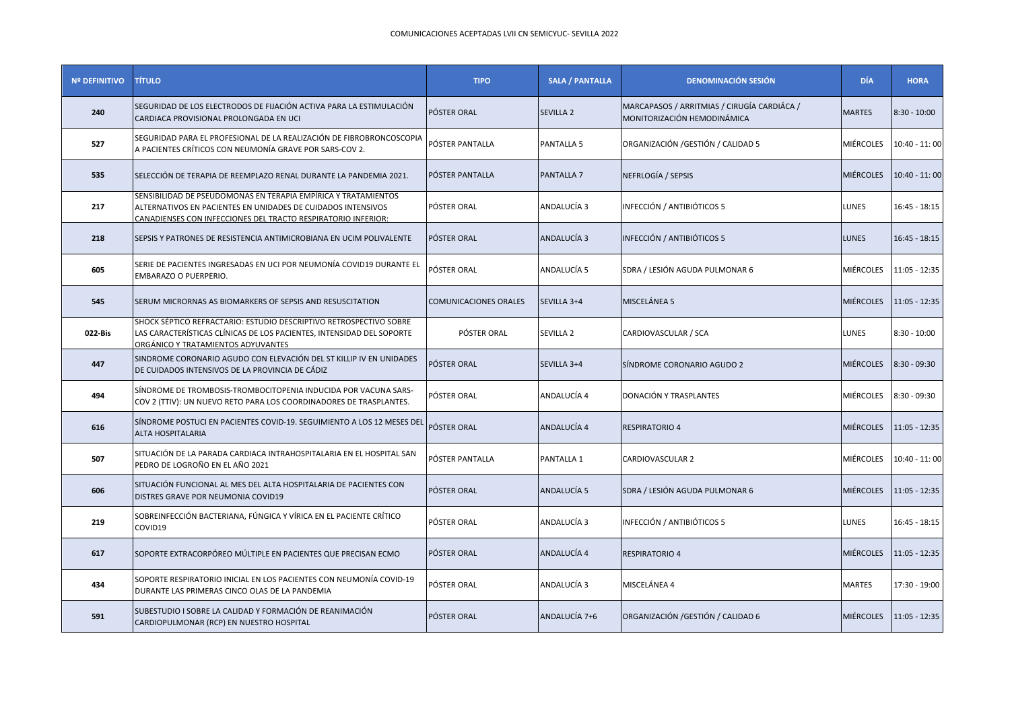| <b>Nº DEFINITIVO</b> | <b>TÍTULO</b>                                                                                                                                                                                   | <b>TIPO</b>           | <b>SALA / PANTALLA</b> | <b>DENOMINACIÓN SESIÓN</b>                                                 | <b>DÍA</b>       | <b>HORA</b>     |
|----------------------|-------------------------------------------------------------------------------------------------------------------------------------------------------------------------------------------------|-----------------------|------------------------|----------------------------------------------------------------------------|------------------|-----------------|
| 240                  | SEGURIDAD DE LOS ELECTRODOS DE FIJACIÓN ACTIVA PARA LA ESTIMULACIÓN<br>CARDIACA PROVISIONAL PROLONGADA EN UCI                                                                                   | PÓSTER ORAL           | <b>SEVILLA 2</b>       | MARCAPASOS / ARRITMIAS / CIRUGÍA CARDIÁCA /<br>MONITORIZACIÓN HEMODINÁMICA | <b>MARTES</b>    | $8:30 - 10:00$  |
| 527                  | SEGURIDAD PARA EL PROFESIONAL DE LA REALIZACIÓN DE FIBROBRONCOSCOPIA<br>A PACIENTES CRÍTICOS CON NEUMONÍA GRAVE POR SARS-COV 2.                                                                 | PÓSTER PANTALLA       | <b>PANTALLA 5</b>      | ORGANIZACIÓN / GESTIÓN / CALIDAD 5                                         | <b>MIÉRCOLES</b> | $10:40 - 11:00$ |
| 535                  | SELECCIÓN DE TERAPIA DE REEMPLAZO RENAL DURANTE LA PANDEMIA 2021.                                                                                                                               | PÓSTER PANTALLA       | <b>PANTALLA 7</b>      | NEFRLOGÍA / SEPSIS                                                         | <b>MIÉRCOLES</b> | 10:40 - 11:00   |
| 217                  | SENSIBILIDAD DE PSEUDOMONAS EN TERAPIA EMPÍRICA Y TRATAMIENTOS<br>ALTERNATIVOS EN PACIENTES EN UNIDADES DE CUIDADOS INTENSIVOS<br>CANADIENSES CON INFECCIONES DEL TRACTO RESPIRATORIO INFERIOR: | PÓSTER ORAL           | ANDALUCÍA 3            | INFECCIÓN / ANTIBIÓTICOS 5                                                 | LUNES            | $16:45 - 18:15$ |
| 218                  | SEPSIS Y PATRONES DE RESISTENCIA ANTIMICROBIANA EN UCIM POLIVALENTE                                                                                                                             | PÓSTER ORAL           | ANDALUCÍA 3            | INFECCIÓN / ANTIBIÓTICOS 5                                                 | <b>LUNES</b>     | $16:45 - 18:15$ |
| 605                  | SERIE DE PACIENTES INGRESADAS EN UCI POR NEUMONÍA COVID19 DURANTE EL<br>EMBARAZO O PUERPERIO.                                                                                                   | PÓSTER ORAL           | ANDALUCÍA 5            | SDRA / LESIÓN AGUDA PULMONAR 6                                             | <b>MIÉRCOLES</b> | $11:05 - 12:35$ |
| 545                  | SERUM MICRORNAS AS BIOMARKERS OF SEPSIS AND RESUSCITATION                                                                                                                                       | COMUNICACIONES ORALES | SEVILLA 3+4            | MISCELÁNEA 5                                                               | <b>MIÉRCOLES</b> | 11:05 - 12:35   |
| 022-Bis              | SHOCK SÉPTICO REFRACTARIO: ESTUDIO DESCRIPTIVO RETROSPECTIVO SOBRE<br>LAS CARACTERÍSTICAS CLÍNICAS DE LOS PACIENTES, INTENSIDAD DEL SOPORTE<br>ORGÁNICO Y TRATAMIENTOS ADYUVANTES               | PÓSTER ORAL           | SEVILLA <sub>2</sub>   | CARDIOVASCULAR / SCA                                                       | LUNES            | $8:30 - 10:00$  |
| 447                  | SINDROME CORONARIO AGUDO CON ELEVACIÓN DEL ST KILLIP IV EN UNIDADES<br>DE CUIDADOS INTENSIVOS DE LA PROVINCIA DE CÁDIZ                                                                          | PÓSTER ORAL           | SEVILLA 3+4            | SÍNDROME CORONARIO AGUDO 2                                                 | <b>MIÉRCOLES</b> | 8:30 - 09:30    |
| 494                  | SÍNDROME DE TROMBOSIS-TROMBOCITOPENIA INDUCIDA POR VACUNA SARS-<br>COV 2 (TTIV): UN NUEVO RETO PARA LOS COORDINADORES DE TRASPLANTES.                                                           | PÓSTER ORAL           | ANDALUCÍA 4            | DONACIÓN Y TRASPLANTES                                                     | <b>MIÉRCOLES</b> | $8:30 - 09:30$  |
| 616                  | SÍNDROME POSTUCI EN PACIENTES COVID-19. SEGUIMIENTO A LOS 12 MESES DEL<br>ALTA HOSPITALARIA                                                                                                     | PÓSTER ORAL           | ANDALUCÍA 4            | <b>RESPIRATORIO 4</b>                                                      | <b>MIÉRCOLES</b> | 11:05 - 12:35   |
| 507                  | SITUACIÓN DE LA PARADA CARDIACA INTRAHOSPITALARIA EN EL HOSPITAL SAN<br>PEDRO DE LOGROÑO EN EL AÑO 2021                                                                                         | PÓSTER PANTALLA       | PANTALLA 1             | <b>CARDIOVASCULAR 2</b>                                                    | <b>MIÉRCOLES</b> | 10:40 - 11:00   |
| 606                  | SITUACIÓN FUNCIONAL AL MES DEL ALTA HOSPITALARIA DE PACIENTES CON<br>DISTRES GRAVE POR NEUMONIA COVID19                                                                                         | PÓSTER ORAL           | <b>ANDALUCÍA 5</b>     | SDRA / LESIÓN AGUDA PULMONAR 6                                             | <b>MIÉRCOLES</b> | 11:05 - 12:35   |
| 219                  | SOBREINFECCIÓN BACTERIANA, FÚNGICA Y VÍRICA EN EL PACIENTE CRÍTICO<br>COVID19                                                                                                                   | PÓSTER ORAL           | ANDALUCÍA 3            | INFECCIÓN / ANTIBIÓTICOS 5                                                 | <b>LUNES</b>     | $16:45 - 18:15$ |
| 617                  | SOPORTE EXTRACORPÓREO MÚLTIPLE EN PACIENTES QUE PRECISAN ECMO                                                                                                                                   | PÓSTER ORAL           | ANDALUCÍA 4            | <b>RESPIRATORIO 4</b>                                                      | <b>MIÉRCOLES</b> | 11:05 - 12:35   |
| 434                  | SOPORTE RESPIRATORIO INICIAL EN LOS PACIENTES CON NEUMONÍA COVID-19<br>DURANTE LAS PRIMERAS CINCO OLAS DE LA PANDEMIA                                                                           | PÓSTER ORAL           | ANDALUCÍA 3            | MISCELÁNEA 4                                                               | <b>MARTES</b>    | 17:30 - 19:00   |
| 591                  | SUBESTUDIO I SOBRE LA CALIDAD Y FORMACIÓN DE REANIMACIÓN<br>CARDIOPULMONAR (RCP) EN NUESTRO HOSPITAL                                                                                            | PÓSTER ORAL           | ANDALUCÍA 7+6          | ORGANIZACIÓN / GESTIÓN / CALIDAD 6                                         | <b>MIÉRCOLES</b> | $11:05 - 12:35$ |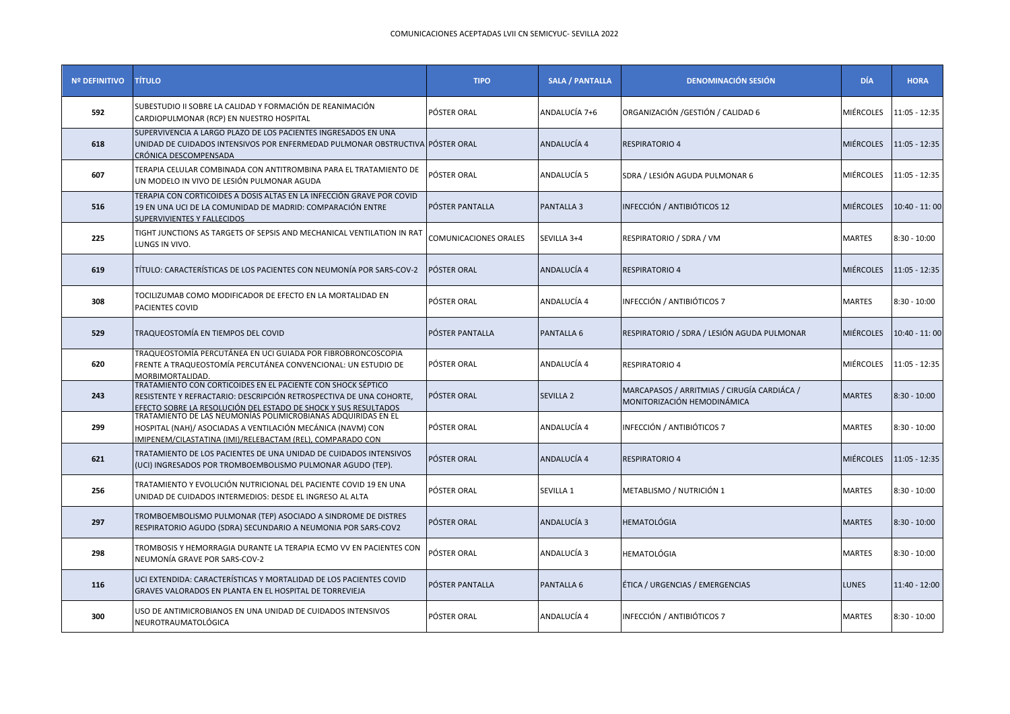| <b>Nº DEFINITIVO</b> | <b>TÍTULO</b>                                                                                                                                                                                          | <b>TIPO</b>           | <b>SALA / PANTALLA</b> | <b>DENOMINACIÓN SESIÓN</b>                                                 | <b>DÍA</b>       | <b>HORA</b>     |
|----------------------|--------------------------------------------------------------------------------------------------------------------------------------------------------------------------------------------------------|-----------------------|------------------------|----------------------------------------------------------------------------|------------------|-----------------|
| 592                  | SUBESTUDIO II SOBRE LA CALIDAD Y FORMACIÓN DE REANIMACIÓN<br>CARDIOPULMONAR (RCP) EN NUESTRO HOSPITAL                                                                                                  | PÓSTER ORAL           | ANDALUCÍA 7+6          | ORGANIZACIÓN /GESTIÓN / CALIDAD 6                                          | <b>MIÉRCOLES</b> | 11:05 - 12:35   |
| 618                  | SUPERVIVENCIA A LARGO PLAZO DE LOS PACIENTES INGRESADOS EN UNA<br>UNIDAD DE CUIDADOS INTENSIVOS POR ENFERMEDAD PULMONAR OBSTRUCTIVA PÓSTER ORAL<br>CRÓNICA DESCOMPENSADA                               |                       | ANDALUCÍA 4            | <b>RESPIRATORIO 4</b>                                                      | <b>MIÉRCOLES</b> | 11:05 - 12:35   |
| 607                  | TERAPIA CELULAR COMBINADA CON ANTITROMBINA PARA EL TRATAMIENTO DE<br>UN MODELO IN VIVO DE LESIÓN PULMONAR AGUDA                                                                                        | PÓSTER ORAL           | ANDALUCÍA 5            | SDRA / LESIÓN AGUDA PULMONAR 6                                             | <b>MIÉRCOLES</b> | 11:05 - 12:35   |
| 516                  | TERAPIA CON CORTICOIDES A DOSIS ALTAS EN LA INFECCIÓN GRAVE POR COVID<br>19 EN UNA UCI DE LA COMUNIDAD DE MADRID: COMPARACIÓN ENTRE<br>SUPERVIVIENTES Y FALLECIDOS                                     | PÓSTER PANTALLA       | <b>PANTALLA 3</b>      | INFECCIÓN / ANTIBIÓTICOS 12                                                | <b>MIÉRCOLES</b> | 10:40 - 11:00   |
| 225                  | TIGHT JUNCTIONS AS TARGETS OF SEPSIS AND MECHANICAL VENTILATION IN RAT<br>LUNGS IN VIVO.                                                                                                               | COMUNICACIONES ORALES | SEVILLA 3+4            | RESPIRATORIO / SDRA / VM                                                   | <b>MARTES</b>    | $8:30 - 10:00$  |
| 619                  | TÍTULO: CARACTERÍSTICAS DE LOS PACIENTES CON NEUMONÍA POR SARS-COV-2                                                                                                                                   | PÓSTER ORAL           | ANDALUCÍA 4            | <b>RESPIRATORIO 4</b>                                                      | <b>MIÉRCOLES</b> | $11:05 - 12:35$ |
| 308                  | TOCILIZUMAB COMO MODIFICADOR DE EFECTO EN LA MORTALIDAD EN<br>PACIENTES COVID                                                                                                                          | PÓSTER ORAL           | ANDALUCÍA 4            | INFECCIÓN / ANTIBIÓTICOS 7                                                 | <b>MARTES</b>    | $8:30 - 10:00$  |
| 529                  | TRAQUEOSTOMÍA EN TIEMPOS DEL COVID                                                                                                                                                                     | PÓSTER PANTALLA       | <b>PANTALLA 6</b>      | RESPIRATORIO / SDRA / LESIÓN AGUDA PULMONAR                                | <b>MIÉRCOLES</b> | 10:40 - 11:00   |
| 620                  | TRAQUEOSTOMÍA PERCUTÁNEA EN UCI GUIADA POR FIBROBRONCOSCOPIA<br>FRENTE A TRAQUEOSTOMÍA PERCUTÁNEA CONVENCIONAL: UN ESTUDIO DE<br><b>MORBIMORTALIDAD</b>                                                | PÓSTER ORAL           | ANDALUCÍA 4            | <b>RESPIRATORIO 4</b>                                                      | <b>MIÉRCOLES</b> | 11:05 - 12:35   |
| 243                  | TRATAMIENTO CON CORTICOIDES EN EL PACIENTE CON SHOCK SÉPTICO<br>RESISTENTE Y REFRACTARIO: DESCRIPCIÓN RETROSPECTIVA DE UNA COHORTE,<br>EFECTO SOBRE LA RESOLUCIÓN DEL ESTADO DE SHOCK Y SUS RESULTADOS | PÓSTER ORAL           | <b>SEVILLA 2</b>       | MARCAPASOS / ARRITMIAS / CIRUGÍA CARDIÁCA /<br>MONITORIZACIÓN HEMODINÁMICA | <b>MARTES</b>    | $8:30 - 10:00$  |
| 299                  | TRATAMIENTO DE LAS NEUMONÍAS POLIMICROBIANAS ADQUIRIDAS EN EL<br>HOSPITAL (NAH)/ ASOCIADAS A VENTILACIÓN MECÁNICA (NAVM) CON<br>IMIPENEM/CILASTATINA (IMI)/RELEBACTAM (REL), COMPARADO CON             | PÓSTER ORAL           | ANDALUCÍA 4            | INFECCIÓN / ANTIBIÓTICOS 7                                                 | <b>MARTES</b>    | $8:30 - 10:00$  |
| 621                  | TRATAMIENTO DE LOS PACIENTES DE UNA UNIDAD DE CUIDADOS INTENSIVOS<br>(UCI) INGRESADOS POR TROMBOEMBOLISMO PULMONAR AGUDO (TEP).                                                                        | PÓSTER ORAL           | ANDALUCÍA 4            | <b>RESPIRATORIO 4</b>                                                      | <b>MIÉRCOLES</b> | 11:05 - 12:35   |
| 256                  | TRATAMIENTO Y EVOLUCIÓN NUTRICIONAL DEL PACIENTE COVID 19 EN UNA<br>UNIDAD DE CUIDADOS INTERMEDIOS: DESDE EL INGRESO AL ALTA                                                                           | PÓSTER ORAL           | SEVILLA 1              | METABLISMO / NUTRICIÓN 1                                                   | <b>MARTES</b>    | $8:30 - 10:00$  |
| 297                  | TROMBOEMBOLISMO PULMONAR (TEP) ASOCIADO A SINDROME DE DISTRES<br>RESPIRATORIO AGUDO (SDRA) SECUNDARIO A NEUMONIA POR SARS-COV2                                                                         | PÓSTER ORAL           | <b>ANDALUCÍA 3</b>     | HEMATOLÓGIA                                                                | <b>MARTES</b>    | $8:30 - 10:00$  |
| 298                  | TROMBOSIS Y HEMORRAGIA DURANTE LA TERAPIA ECMO VV EN PACIENTES CON<br>NEUMONÍA GRAVE POR SARS-COV-2                                                                                                    | PÓSTER ORAL           | ANDALUCÍA 3            | HEMATOLÓGIA                                                                | <b>MARTES</b>    | $8:30 - 10:00$  |
| 116                  | UCI EXTENDIDA: CARACTERÍSTICAS Y MORTALIDAD DE LOS PACIENTES COVID<br>GRAVES VALORADOS EN PLANTA EN EL HOSPITAL DE TORREVIEJA                                                                          | PÓSTER PANTALLA       | <b>PANTALLA 6</b>      | ÉTICA / URGENCIAS / EMERGENCIAS                                            | <b>LUNES</b>     | 11:40 - 12:00   |
| 300                  | USO DE ANTIMICROBIANOS EN UNA UNIDAD DE CUIDADOS INTENSIVOS<br>NEUROTRAUMATOLÓGICA                                                                                                                     | PÓSTER ORAL           | ANDALUCÍA 4            | INFECCIÓN / ANTIBIÓTICOS 7                                                 | <b>MARTES</b>    | $8:30 - 10:00$  |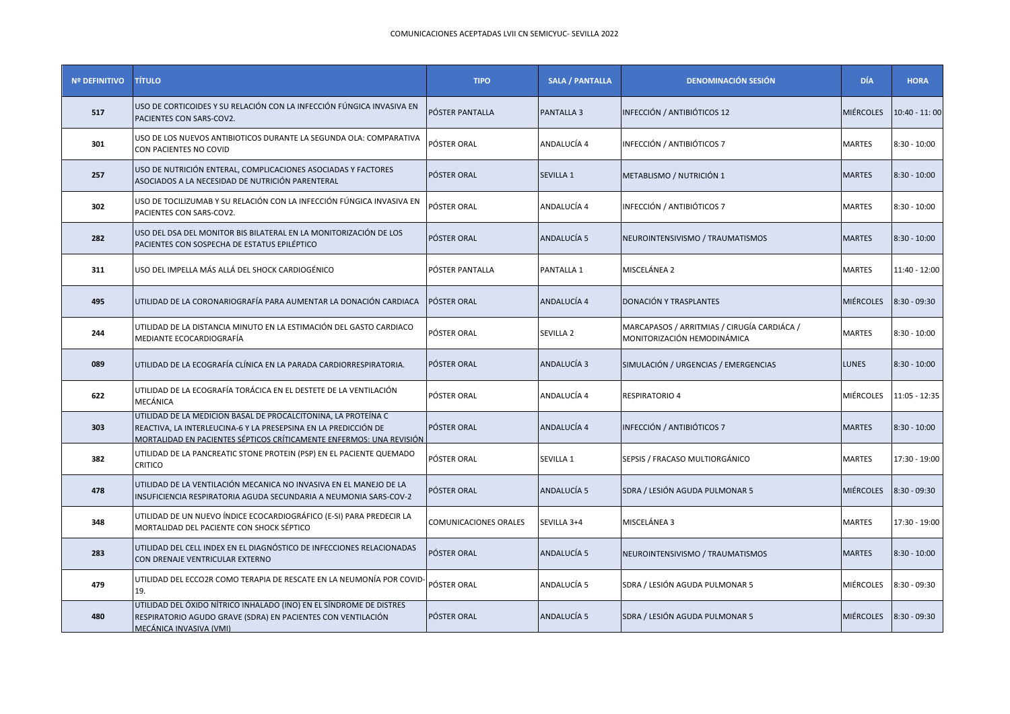| <b>Nº DEFINITIVO</b> | <b>TÍTULO</b>                                                                                                                                                                                             | <b>TIPO</b>           | <b>SALA / PANTALLA</b> | <b>DENOMINACIÓN SESIÓN</b>                                                 | <b>DÍA</b>       | <b>HORA</b>    |
|----------------------|-----------------------------------------------------------------------------------------------------------------------------------------------------------------------------------------------------------|-----------------------|------------------------|----------------------------------------------------------------------------|------------------|----------------|
| 517                  | USO DE CORTICOIDES Y SU RELACIÓN CON LA INFECCIÓN FÚNGICA INVASIVA EN<br>PACIENTES CON SARS-COV2.                                                                                                         | PÓSTER PANTALLA       | <b>PANTALLA 3</b>      | INFECCIÓN / ANTIBIÓTICOS 12                                                | <b>MIÉRCOLES</b> | 10:40 - 11:00  |
| 301                  | USO DE LOS NUEVOS ANTIBIOTICOS DURANTE LA SEGUNDA OLA: COMPARATIVA<br>CON PACIENTES NO COVID                                                                                                              | PÓSTER ORAL           | ANDALUCÍA 4            | INFECCIÓN / ANTIBIÓTICOS 7                                                 | <b>MARTES</b>    | $8:30 - 10:00$ |
| 257                  | USO DE NUTRICIÓN ENTERAL, COMPLICACIONES ASOCIADAS Y FACTORES<br>ASOCIADOS A LA NECESIDAD DE NUTRICIÓN PARENTERAL                                                                                         | PÓSTER ORAL           | <b>SEVILLA 1</b>       | METABLISMO / NUTRICIÓN 1                                                   | <b>MARTES</b>    | $8:30 - 10:00$ |
| 302                  | USO DE TOCILIZUMAB Y SU RELACIÓN CON LA INFECCIÓN FÚNGICA INVASIVA EN<br>PACIENTES CON SARS-COV2.                                                                                                         | PÓSTER ORAL           | ANDALUCÍA 4            | INFECCIÓN / ANTIBIÓTICOS 7                                                 | <b>MARTES</b>    | $8:30 - 10:00$ |
| 282                  | USO DEL DSA DEL MONITOR BIS BILATERAL EN LA MONITORIZACIÓN DE LOS<br>PACIENTES CON SOSPECHA DE ESTATUS EPILÉPTICO                                                                                         | PÓSTER ORAL           | <b>ANDALUCÍA 5</b>     | NEUROINTENSIVISMO / TRAUMATISMOS                                           | <b>MARTES</b>    | $8:30 - 10:00$ |
| 311                  | USO DEL IMPELLA MÁS ALLÁ DEL SHOCK CARDIOGÉNICO                                                                                                                                                           | PÓSTER PANTALLA       | PANTALLA 1             | MISCELÁNEA 2                                                               | <b>MARTES</b>    | 11:40 - 12:00  |
| 495                  | UTILIDAD DE LA CORONARIOGRAFÍA PARA AUMENTAR LA DONACIÓN CARDIACA                                                                                                                                         | PÓSTER ORAL           | <b>ANDALUCÍA 4</b>     | DONACIÓN Y TRASPLANTES                                                     | <b>MIÉRCOLES</b> | $8:30 - 09:30$ |
| 244                  | UTILIDAD DE LA DISTANCIA MINUTO EN LA ESTIMACIÓN DEL GASTO CARDIACO<br>MEDIANTE ECOCARDIOGRAFÍA                                                                                                           | PÓSTER ORAL           | SEVILLA <sub>2</sub>   | MARCAPASOS / ARRITMIAS / CIRUGÍA CARDIÁCA /<br>MONITORIZACIÓN HEMODINÁMICA | <b>MARTES</b>    | $8:30 - 10:00$ |
| 089                  | UTILIDAD DE LA ECOGRAFÍA CLÍNICA EN LA PARADA CARDIORRESPIRATORIA.                                                                                                                                        | PÓSTER ORAL           | ANDALUCÍA 3            | SIMULACIÓN / URGENCIAS / EMERGENCIAS                                       | <b>LUNES</b>     | $8:30 - 10:00$ |
| 622                  | UTILIDAD DE LA ECOGRAFÍA TORÁCICA EN EL DESTETE DE LA VENTILACIÓN<br>MECÁNICA                                                                                                                             | PÓSTER ORAL           | ANDALUCÍA 4            | RESPIRATORIO 4                                                             | <b>MIÉRCOLES</b> | 11:05 - 12:35  |
| 303                  | UTILIDAD DE LA MEDICION BASAL DE PROCALCITONINA, LA PROTEÍNA C<br>REACTIVA, LA INTERLEUCINA-6 Y LA PRESEPSINA EN LA PREDICCIÓN DE<br>MORTALIDAD EN PACIENTES SÉPTICOS CRÍTICAMENTE ENFERMOS: UNA REVISIÓN | PÓSTER ORAL           | ANDALUCÍA 4            | INFECCIÓN / ANTIBIÓTICOS 7                                                 | <b>MARTES</b>    | $8:30 - 10:00$ |
| 382                  | UTILIDAD DE LA PANCREATIC STONE PROTEIN (PSP) EN EL PACIENTE QUEMADO<br><b>CRITICO</b>                                                                                                                    | PÓSTER ORAL           | SEVILLA 1              | SEPSIS / FRACASO MULTIORGÁNICO                                             | <b>MARTES</b>    | 17:30 - 19:00  |
| 478                  | UTILIDAD DE LA VENTILACIÓN MECANICA NO INVASIVA EN EL MANEJO DE LA<br>INSUFICIENCIA RESPIRATORIA AGUDA SECUNDARIA A NEUMONIA SARS-COV-2                                                                   | PÓSTER ORAL           | <b>ANDALUCÍA 5</b>     | SDRA / LESIÓN AGUDA PULMONAR 5                                             | <b>MIÉRCOLES</b> | $8:30 - 09:30$ |
| 348                  | UTILIDAD DE UN NUEVO ÍNDICE ECOCARDIOGRÁFICO (E-SI) PARA PREDECIR LA<br>MORTALIDAD DEL PACIENTE CON SHOCK SÉPTICO                                                                                         | COMUNICACIONES ORALES | SEVILLA 3+4            | MISCELÁNEA 3                                                               | <b>MARTES</b>    | 17:30 - 19:00  |
| 283                  | UTILIDAD DEL CELL INDEX EN EL DIAGNÓSTICO DE INFECCIONES RELACIONADAS<br>CON DRENAJE VENTRICULAR EXTERNO                                                                                                  | PÓSTER ORAL           | <b>ANDALUCÍA 5</b>     | NEUROINTENSIVISMO / TRAUMATISMOS                                           | <b>MARTES</b>    | $8:30 - 10:00$ |
| 479                  | UTILIDAD DEL ECCO2R COMO TERAPIA DE RESCATE EN LA NEUMONÍA POR COVID-<br>19.                                                                                                                              | PÓSTER ORAL           | ANDALUCÍA 5            | SDRA / LESIÓN AGUDA PULMONAR 5                                             | MIÉRCOLES        | $8:30 - 09:30$ |
| 480                  | UTILIDAD DEL ÓXIDO NÍTRICO INHALADO (INO) EN EL SÍNDROME DE DISTRES<br>RESPIRATORIO AGUDO GRAVE (SDRA) EN PACIENTES CON VENTILACIÓN<br><u>MECÁNICA INVASIVA (VMI).</u>                                    | PÓSTER ORAL           | <b>ANDALUCÍA 5</b>     | SDRA / LESIÓN AGUDA PULMONAR 5                                             | <b>MIÉRCOLES</b> | 8:30 - 09:30   |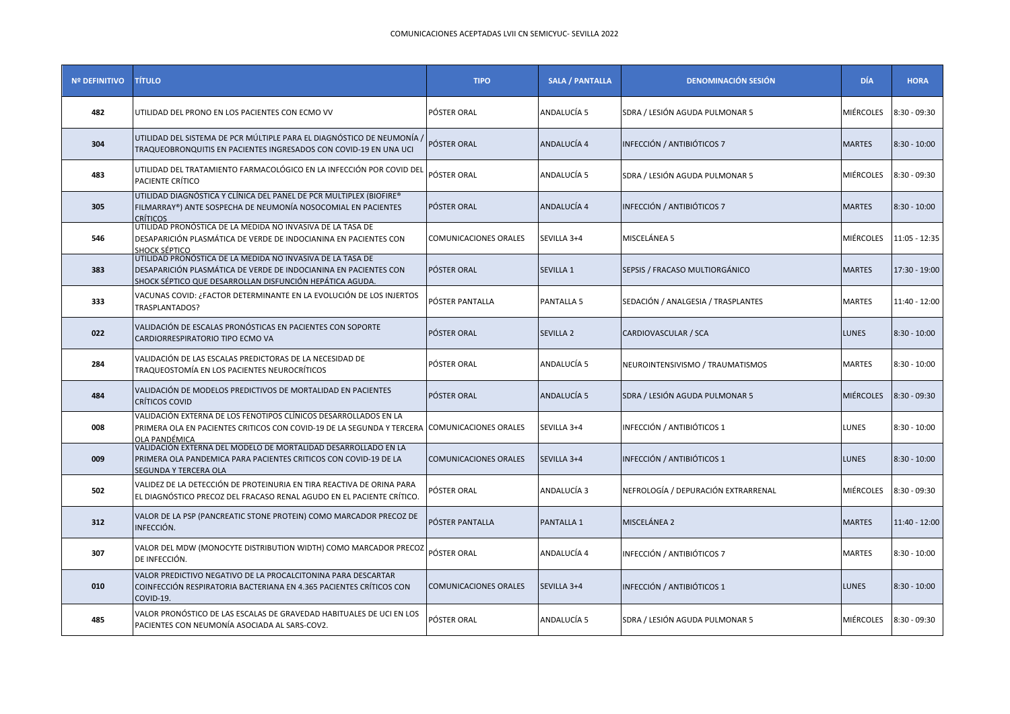| <b>Nº DEFINITIVO</b> | <b>TÍTULO</b>                                                                                                                                                                             | <b>TIPO</b>                  | <b>SALA / PANTALLA</b> | <b>DENOMINACIÓN SESIÓN</b>          | <b>DÍA</b>       | <b>HORA</b>    |
|----------------------|-------------------------------------------------------------------------------------------------------------------------------------------------------------------------------------------|------------------------------|------------------------|-------------------------------------|------------------|----------------|
| 482                  | UTILIDAD DEL PRONO EN LOS PACIENTES CON ECMO VV                                                                                                                                           | PÓSTER ORAL                  | ANDALUCÍA 5            | SDRA / LESIÓN AGUDA PULMONAR 5      | <b>MIÉRCOLES</b> | $8:30 - 09:30$ |
| 304                  | UTILIDAD DEL SISTEMA DE PCR MÚLTIPLE PARA EL DIAGNÓSTICO DE NEUMONÍA /<br>TRAQUEOBRONQUITIS EN PACIENTES INGRESADOS CON COVID-19 EN UNA UCI                                               | PÓSTER ORAL                  | ANDALUCÍA 4            | INFECCIÓN / ANTIBIÓTICOS 7          | <b>MARTES</b>    | $8:30 - 10:00$ |
| 483                  | UTILIDAD DEL TRATAMIENTO FARMACOLÓGICO EN LA INFECCIÓN POR COVID DEL<br>PACIENTE CRÍTICO                                                                                                  | PÓSTER ORAL                  | ANDALUCÍA 5            | SDRA / LESIÓN AGUDA PULMONAR 5      | <b>MIÉRCOLES</b> | $8:30 - 09:30$ |
| 305                  | UTILIDAD DIAGNÓSTICA Y CLÍNICA DEL PANEL DE PCR MULTIPLEX (BIOFIRE®<br>FILMARRAY®) ANTE SOSPECHA DE NEUMONÍA NOSOCOMIAL EN PACIENTES<br>CRÍTICOS                                          | PÓSTER ORAL                  | ANDALUCÍA 4            | INFECCIÓN / ANTIBIÓTICOS 7          | <b>MARTES</b>    | $8:30 - 10:00$ |
| 546                  | UTILIDAD PRONÓSTICA DE LA MEDIDA NO INVASIVA DE LA TASA DE<br>DESAPARICIÓN PLASMÁTICA DE VERDE DE INDOCIANINA EN PACIENTES CON<br>SHOCK SÉPTICO                                           | COMUNICACIONES ORALES        | SEVILLA 3+4            | MISCELÁNEA 5                        | <b>MIÉRCOLES</b> | 11:05 - 12:35  |
| 383                  | UTILIDAD PRONÓSTICA DE LA MEDIDA NO INVASIVA DE LA TASA DE<br>DESAPARICIÓN PLASMÁTICA DE VERDE DE INDOCIANINA EN PACIENTES CON<br>SHOCK SÉPTICO QUE DESARROLLAN DISFUNCIÓN HEPÁTICA AGUDA | PÓSTER ORAL                  | <b>SEVILLA 1</b>       | SEPSIS / FRACASO MULTIORGÁNICO      | <b>MARTES</b>    | 17:30 - 19:00  |
| 333                  | VACUNAS COVID: ¿FACTOR DETERMINANTE EN LA EVOLUCIÓN DE LOS INJERTOS<br>TRASPLANTADOS?                                                                                                     | PÓSTER PANTALLA              | <b>PANTALLA 5</b>      | SEDACIÓN / ANALGESIA / TRASPLANTES  | <b>MARTES</b>    | 11:40 - 12:00  |
| 022                  | VALIDACIÓN DE ESCALAS PRONÓSTICAS EN PACIENTES CON SOPORTE<br>CARDIORRESPIRATORIO TIPO ECMO VA                                                                                            | PÓSTER ORAL                  | <b>SEVILLA 2</b>       | CARDIOVASCULAR / SCA                | <b>LUNES</b>     | $8:30 - 10:00$ |
| 284                  | VALIDACIÓN DE LAS ESCALAS PREDICTORAS DE LA NECESIDAD DE<br>TRAQUEOSTOMÍA EN LOS PACIENTES NEUROCRÍTICOS                                                                                  | PÓSTER ORAL                  | ANDALUCÍA 5            | NEUROINTENSIVISMO / TRAUMATISMOS    | <b>MARTES</b>    | $8:30 - 10:00$ |
| 484                  | VALIDACIÓN DE MODELOS PREDICTIVOS DE MORTALIDAD EN PACIENTES<br><b>CRÍTICOS COVID</b>                                                                                                     | PÓSTER ORAL                  | <b>ANDALUCÍA 5</b>     | SDRA / LESIÓN AGUDA PULMONAR 5      | <b>MIÉRCOLES</b> | $8:30 - 09:30$ |
| 008                  | VALIDACIÓN EXTERNA DE LOS FENOTIPOS CLÍNICOS DESARROLLADOS EN LA<br>PRIMERA OLA EN PACIENTES CRITICOS CON COVID-19 DE LA SEGUNDA Y TERCERA<br>OLA PANDÉMICA                               | <b>COMUNICACIONES ORALES</b> | SEVILLA 3+4            | NFECCIÓN / ANTIBIÓTICOS 1           | <b>LUNES</b>     | $8:30 - 10:00$ |
| 009                  | VALIDACIÓN EXTERNA DEL MODELO DE MORTALIDAD DESARROLLADO EN LA<br>PRIMERA OLA PANDEMICA PARA PACIENTES CRITICOS CON COVID-19 DE LA<br>SEGUNDA Y TERCERA OLA                               | COMUNICACIONES ORALES        | SEVILLA 3+4            | INFECCIÓN / ANTIBIÓTICOS 1          | <b>LUNES</b>     | $8:30 - 10:00$ |
| 502                  | VALIDEZ DE LA DETECCIÓN DE PROTEINURIA EN TIRA REACTIVA DE ORINA PARA<br>EL DIAGNÓSTICO PRECOZ DEL FRACASO RENAL AGUDO EN EL PACIENTE CRÍTICO.                                            | PÓSTER ORAL                  | ANDALUCÍA 3            | NEFROLOGÍA / DEPURACIÓN EXTRARRENAL | <b>MIÉRCOLES</b> | 8:30 - 09:30   |
| 312                  | VALOR DE LA PSP (PANCREATIC STONE PROTEIN) COMO MARCADOR PRECOZ DE<br>INFECCIÓN.                                                                                                          | PÓSTER PANTALLA              | <b>PANTALLA 1</b>      | MISCELÁNEA 2                        | <b>MARTES</b>    | 11:40 - 12:00  |
| 307                  | VALOR DEL MDW (MONOCYTE DISTRIBUTION WIDTH) COMO MARCADOR PRECOZ<br>DE INFECCIÓN.                                                                                                         | PÓSTER ORAL                  | ANDALUCÍA 4            | NFECCIÓN / ANTIBIÓTICOS 7           | <b>MARTES</b>    | $8:30 - 10:00$ |
| 010                  | VALOR PREDICTIVO NEGATIVO DE LA PROCALCITONINA PARA DESCARTAR<br>COINFECCIÓN RESPIRATORIA BACTERIANA EN 4.365 PACIENTES CRÍTICOS CON<br>COVID-19.                                         | <b>COMUNICACIONES ORALES</b> | SEVILLA 3+4            | INFECCIÓN / ANTIBIÓTICOS 1          | <b>LUNES</b>     | $8:30 - 10:00$ |
| 485                  | VALOR PRONÓSTICO DE LAS ESCALAS DE GRAVEDAD HABITUALES DE UCI EN LOS<br>PACIENTES CON NEUMONÍA ASOCIADA AL SARS-COV2.                                                                     | PÓSTER ORAL                  | ANDALUCÍA 5            | SDRA / LESIÓN AGUDA PULMONAR 5      | <b>MIÉRCOLES</b> | $8:30 - 09:30$ |